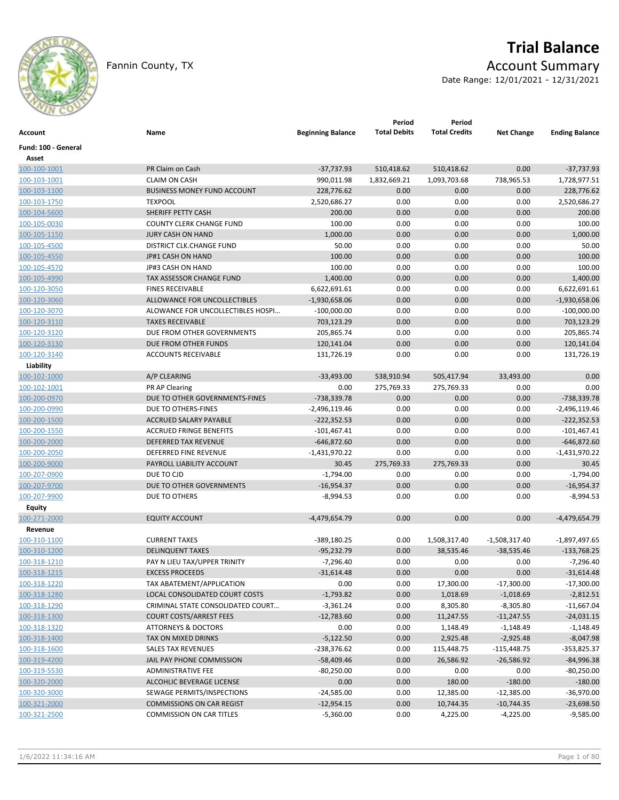

Fannin County, TX **Account Summary** 

# **Trial Balance**

Date Range: 12/01/2021 - 12/31/2021

| Account                      | Name                                                                | <b>Beginning Balance</b> | Period<br><b>Total Debits</b> | Period<br><b>Total Credits</b> | <b>Net Change</b> | <b>Ending Balance</b>        |
|------------------------------|---------------------------------------------------------------------|--------------------------|-------------------------------|--------------------------------|-------------------|------------------------------|
| Fund: 100 - General          |                                                                     |                          |                               |                                |                   |                              |
| Asset                        |                                                                     |                          |                               |                                |                   |                              |
| 100-100-1001                 | PR Claim on Cash                                                    | $-37,737.93$             | 510,418.62                    | 510,418.62                     | 0.00              | $-37,737.93$                 |
| 100-103-1001                 | <b>CLAIM ON CASH</b>                                                | 990,011.98               | 1,832,669.21                  | 1,093,703.68                   | 738,965.53        | 1,728,977.51                 |
| 100-103-1100                 | <b>BUSINESS MONEY FUND ACCOUNT</b>                                  | 228,776.62               | 0.00                          | 0.00                           | 0.00              | 228,776.62                   |
| 100-103-1750                 | <b>TEXPOOL</b>                                                      | 2,520,686.27             | 0.00                          | 0.00                           | 0.00              | 2,520,686.27                 |
| 100-104-5600                 | SHERIFF PETTY CASH                                                  | 200.00                   | 0.00                          | 0.00                           | 0.00              | 200.00                       |
| 100-105-0030                 | COUNTY CLERK CHANGE FUND                                            | 100.00                   | 0.00                          | 0.00                           | 0.00              | 100.00                       |
| 100-105-1150                 | <b>JURY CASH ON HAND</b>                                            | 1,000.00                 | 0.00                          | 0.00                           | 0.00              | 1,000.00                     |
| 100-105-4500                 | DISTRICT CLK.CHANGE FUND                                            | 50.00                    | 0.00                          | 0.00                           | 0.00              | 50.00                        |
| 100-105-4550                 | JP#1 CASH ON HAND                                                   | 100.00                   | 0.00                          | 0.00                           | 0.00              | 100.00                       |
| 100-105-4570                 | JP#3 CASH ON HAND                                                   | 100.00                   | 0.00                          | 0.00                           | 0.00              | 100.00                       |
| 100-105-4990                 | TAX ASSESSOR CHANGE FUND                                            | 1,400.00                 | 0.00                          | 0.00                           | 0.00              | 1,400.00                     |
| 100-120-3050                 | <b>FINES RECEIVABLE</b>                                             | 6,622,691.61             | 0.00                          | 0.00                           | 0.00              | 6,622,691.61                 |
| 100-120-3060                 | ALLOWANCE FOR UNCOLLECTIBLES                                        | $-1,930,658.06$          | 0.00                          | 0.00                           | 0.00              | $-1,930,658.06$              |
| 100-120-3070                 | ALOWANCE FOR UNCOLLECTIBLES HOSPI                                   | $-100,000.00$            | 0.00                          | 0.00                           | 0.00              | $-100,000.00$                |
| 100-120-3110                 | <b>TAXES RECEIVABLE</b>                                             | 703,123.29               | 0.00                          | 0.00                           | 0.00              | 703,123.29                   |
| 100-120-3120                 | DUE FROM OTHER GOVERNMENTS                                          | 205,865.74               | 0.00                          | 0.00                           | 0.00              | 205,865.74                   |
| 100-120-3130                 | DUE FROM OTHER FUNDS                                                | 120,141.04               | 0.00                          | 0.00                           | 0.00              | 120,141.04                   |
| 100-120-3140                 | <b>ACCOUNTS RECEIVABLE</b>                                          | 131,726.19               | 0.00                          | 0.00                           | 0.00              | 131,726.19                   |
| Liability                    |                                                                     |                          |                               |                                |                   |                              |
| 100-102-1000                 | A/P CLEARING                                                        | $-33,493.00$             | 538,910.94                    | 505,417.94                     | 33,493.00         | 0.00                         |
| 100-102-1001                 | PR AP Clearing                                                      | 0.00                     | 275,769.33                    | 275,769.33                     | 0.00              | 0.00                         |
| 100-200-0970                 | DUE TO OTHER GOVERNMENTS-FINES                                      | -738,339.78              | 0.00                          | 0.00                           | 0.00              | -738,339.78                  |
| 100-200-0990                 | DUE TO OTHERS-FINES                                                 | $-2,496,119.46$          | 0.00                          | 0.00                           | 0.00              | $-2,496,119.46$              |
| 100-200-1500                 | ACCRUED SALARY PAYABLE                                              | $-222,352.53$            | 0.00                          | 0.00                           | 0.00              | $-222,352.53$                |
| 100-200-1550                 | <b>ACCRUED FRINGE BENEFITS</b>                                      | $-101,467.41$            | 0.00                          | 0.00                           | 0.00              | $-101,467.41$                |
| 100-200-2000                 | DEFERRED TAX REVENUE                                                | $-646,872.60$            | 0.00                          | 0.00                           | 0.00              | $-646,872.60$                |
| 100-200-2050                 | DEFERRED FINE REVENUE                                               | $-1,431,970.22$          | 0.00                          | 0.00                           | 0.00              | $-1,431,970.22$              |
| 100-200-9000                 | PAYROLL LIABILITY ACCOUNT                                           | 30.45                    | 275,769.33                    | 275,769.33                     | 0.00              | 30.45                        |
| 100-207-0900                 | DUE TO CJD                                                          | $-1,794.00$              | 0.00                          | 0.00                           | 0.00              | $-1,794.00$                  |
| 100-207-9700                 | DUE TO OTHER GOVERNMENTS                                            | $-16,954.37$             | 0.00                          | 0.00                           | 0.00              | $-16,954.37$                 |
| 100-207-9900                 | DUE TO OTHERS                                                       | -8,994.53                | 0.00                          | 0.00                           | 0.00              | $-8,994.53$                  |
| Equity                       |                                                                     |                          |                               |                                |                   |                              |
| 100-271-2000                 | <b>EQUITY ACCOUNT</b>                                               | $-4,479,654.79$          | 0.00                          | 0.00                           | 0.00              | $-4,479,654.79$              |
| Revenue                      |                                                                     |                          |                               |                                |                   |                              |
| 100-310-1100                 | <b>CURRENT TAXES</b>                                                | -389,180.25              | 0.00                          | 1,508,317.40                   | -1,508,317.40     | -1,897,497.65                |
| 100-310-1200                 | <b>DELINQUENT TAXES</b>                                             | $-95,232.79$             | 0.00                          | 38,535.46                      | $-38,535.46$      | $-133,768.25$                |
| 100-318-1210                 | PAY N LIEU TAX/UPPER TRINITY                                        | $-7,296.40$              | 0.00                          | 0.00                           | 0.00              | $-7,296.40$                  |
| 100-318-1215                 | <b>EXCESS PROCEEDS</b>                                              | $-31,614.48$             | 0.00                          | 0.00                           | 0.00              | $-31,614.48$                 |
| 100-318-1220                 | TAX ABATEMENT/APPLICATION                                           | 0.00                     | 0.00                          | 17,300.00                      | $-17,300.00$      | $-17,300.00$                 |
| 100-318-1280                 | LOCAL CONSOLIDATED COURT COSTS                                      | $-1,793.82$              | 0.00                          | 1,018.69                       | $-1,018.69$       | $-2,812.51$                  |
| 100-318-1290                 | CRIMINAL STATE CONSOLIDATED COURT                                   | $-3,361.24$              | 0.00                          | 8,305.80                       | $-8,305.80$       | $-11,667.04$                 |
| 100-318-1300                 | <b>COURT COSTS/ARREST FEES</b>                                      | $-12,783.60$             | 0.00                          | 11,247.55                      | $-11,247.55$      | $-24,031.15$                 |
| 100-318-1320                 | <b>ATTORNEYS &amp; DOCTORS</b>                                      | 0.00                     | 0.00                          | 1,148.49                       | $-1,148.49$       | $-1,148.49$                  |
| 100-318-1400                 | TAX ON MIXED DRINKS                                                 | $-5,122.50$              | 0.00                          | 2,925.48                       | $-2,925.48$       | $-8,047.98$                  |
| 100-318-1600                 | SALES TAX REVENUES                                                  | $-238,376.62$            | 0.00                          | 115,448.75                     | $-115,448.75$     | $-353,825.37$                |
| 100-319-4200                 | JAIL PAY PHONE COMMISSION                                           | $-58,409.46$             | 0.00                          |                                |                   |                              |
| 100-319-5530                 | ADMINISTRATIVE FEE                                                  | $-80,250.00$             | 0.00                          | 26,586.92                      | $-26,586.92$      | $-84,996.38$<br>$-80,250.00$ |
|                              | ALCOHLIC BEVERAGE LICENSE                                           | 0.00                     | 0.00                          | 0.00                           | 0.00              | $-180.00$                    |
| 100-320-2000                 | SEWAGE PERMITS/INSPECTIONS                                          | $-24,585.00$             |                               | 180.00                         | $-180.00$         | $-36,970.00$                 |
| 100-320-3000                 |                                                                     |                          | 0.00                          | 12,385.00                      | $-12,385.00$      |                              |
| 100-321-2000<br>100-321-2500 | <b>COMMISSIONS ON CAR REGIST</b><br><b>COMMISSION ON CAR TITLES</b> | $-12,954.15$             | 0.00<br>0.00                  | 10,744.35                      | $-10,744.35$      | $-23,698.50$<br>$-9,585.00$  |
|                              |                                                                     | $-5,360.00$              |                               | 4,225.00                       | $-4,225.00$       |                              |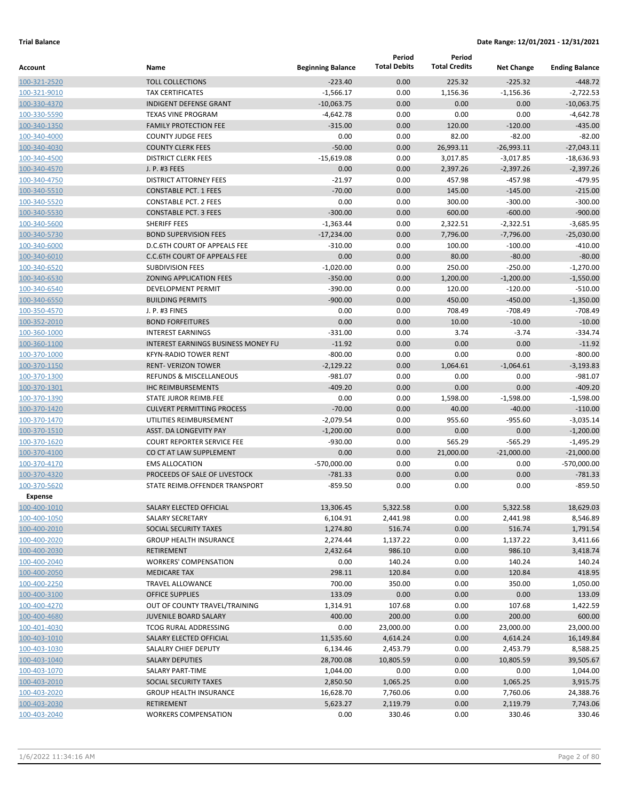|                              |                                                                 |                          | Period              | Period               |                   |                        |
|------------------------------|-----------------------------------------------------------------|--------------------------|---------------------|----------------------|-------------------|------------------------|
| Account                      | Name                                                            | <b>Beginning Balance</b> | <b>Total Debits</b> | <b>Total Credits</b> | <b>Net Change</b> | <b>Ending Balance</b>  |
| 100-321-2520                 | <b>TOLL COLLECTIONS</b>                                         | $-223.40$                | 0.00                | 225.32               | $-225.32$         | $-448.72$              |
| 100-321-9010                 | <b>TAX CERTIFICATES</b>                                         | $-1,566.17$              | 0.00                | 1,156.36             | $-1,156.36$       | $-2,722.53$            |
| 100-330-4370                 | <b>INDIGENT DEFENSE GRANT</b>                                   | $-10,063.75$             | 0.00                | 0.00                 | 0.00              | $-10,063.75$           |
| 100-330-5590                 | <b>TEXAS VINE PROGRAM</b>                                       | $-4,642.78$              | 0.00                | 0.00                 | 0.00              | $-4,642.78$            |
| 100-340-1350                 | <b>FAMILY PROTECTION FEE</b>                                    | $-315.00$                | 0.00                | 120.00               | $-120.00$         | $-435.00$              |
| 100-340-4000                 | <b>COUNTY JUDGE FEES</b>                                        | 0.00                     | 0.00                | 82.00                | $-82.00$          | $-82.00$               |
| 100-340-4030                 | <b>COUNTY CLERK FEES</b>                                        | $-50.00$                 | 0.00                | 26,993.11            | $-26,993.11$      | $-27,043.11$           |
| 100-340-4500                 | <b>DISTRICT CLERK FEES</b>                                      | $-15,619.08$             | 0.00                | 3,017.85             | $-3,017.85$       | $-18.636.93$           |
| 100-340-4570                 | J. P. #3 FEES                                                   | 0.00                     | 0.00                | 2,397.26             | $-2,397.26$       | $-2,397.26$            |
| 100-340-4750                 | <b>DISTRICT ATTORNEY FEES</b>                                   | $-21.97$                 | 0.00                | 457.98               | $-457.98$         | $-479.95$              |
| 100-340-5510                 | <b>CONSTABLE PCT. 1 FEES</b>                                    | $-70.00$                 | 0.00                | 145.00               | $-145.00$         | $-215.00$              |
| 100-340-5520                 | <b>CONSTABLE PCT. 2 FEES</b>                                    | 0.00                     | 0.00                | 300.00               | $-300.00$         | $-300.00$              |
| 100-340-5530                 | <b>CONSTABLE PCT. 3 FEES</b>                                    | $-300.00$                | 0.00                | 600.00               | $-600.00$         | $-900.00$              |
| 100-340-5600                 | SHERIFF FEES                                                    | $-1,363.44$              | 0.00                | 2,322.51             | $-2,322.51$       | $-3,685.95$            |
| 100-340-5730                 | <b>BOND SUPERVISION FEES</b>                                    | $-17,234.00$             | 0.00                | 7,796.00             | $-7,796.00$       | $-25,030.00$           |
| 100-340-6000                 | D.C.6TH COURT OF APPEALS FEE                                    | $-310.00$                | 0.00                | 100.00               | $-100.00$         | $-410.00$              |
| 100-340-6010                 | <b>C.C.6TH COURT OF APPEALS FEE</b>                             | 0.00                     | 0.00                | 80.00                | $-80.00$          | $-80.00$               |
| 100-340-6520                 | <b>SUBDIVISION FEES</b>                                         | $-1,020.00$              | 0.00                | 250.00               | $-250.00$         | $-1,270.00$            |
| 100-340-6530                 | <b>ZONING APPLICATION FEES</b>                                  | $-350.00$                | 0.00                | 1,200.00             | $-1,200.00$       | $-1,550.00$            |
| 100-340-6540                 | <b>DEVELOPMENT PERMIT</b>                                       | $-390.00$                | 0.00                | 120.00               | $-120.00$         | $-510.00$              |
| 100-340-6550                 | <b>BUILDING PERMITS</b>                                         | $-900.00$                | 0.00                | 450.00               | $-450.00$         | $-1,350.00$            |
| 100-350-4570                 | J. P. #3 FINES                                                  | 0.00                     | 0.00                | 708.49               | $-708.49$         | $-708.49$              |
| 100-352-2010                 | <b>BOND FORFEITURES</b>                                         | 0.00                     | 0.00                | 10.00                | $-10.00$          | $-10.00$               |
| 100-360-1000                 | <b>INTEREST EARNINGS</b>                                        | $-331.00$                | 0.00                | 3.74                 | $-3.74$           | $-334.74$              |
| 100-360-1100                 | <b>INTEREST EARNINGS BUSINESS MONEY FU</b>                      | $-11.92$                 | 0.00                | 0.00                 | 0.00              | $-11.92$               |
| 100-370-1000                 | <b>KFYN-RADIO TOWER RENT</b>                                    | $-800.00$                | 0.00                | 0.00                 | 0.00              | $-800.00$              |
| 100-370-1150                 | <b>RENT- VERIZON TOWER</b>                                      | $-2,129.22$              | 0.00                | 1,064.61             | $-1,064.61$       | $-3,193.83$            |
| 100-370-1300                 | <b>REFUNDS &amp; MISCELLANEOUS</b><br><b>IHC REIMBURSEMENTS</b> | $-981.07$<br>$-409.20$   | 0.00<br>0.00        | 0.00<br>0.00         | 0.00<br>0.00      | $-981.07$<br>$-409.20$ |
| 100-370-1301<br>100-370-1390 | <b>STATE JUROR REIMB.FEE</b>                                    | 0.00                     | 0.00                | 1,598.00             | $-1,598.00$       | $-1,598.00$            |
| 100-370-1420                 | <b>CULVERT PERMITTING PROCESS</b>                               | $-70.00$                 | 0.00                | 40.00                | $-40.00$          | $-110.00$              |
| 100-370-1470                 | UTILITIES REIMBURSEMENT                                         | $-2,079.54$              | 0.00                | 955.60               | $-955.60$         | $-3,035.14$            |
| 100-370-1510                 | ASST. DA LONGEVITY PAY                                          | $-1,200.00$              | 0.00                | 0.00                 | 0.00              | $-1,200.00$            |
| 100-370-1620                 | <b>COURT REPORTER SERVICE FEE</b>                               | $-930.00$                | 0.00                | 565.29               | $-565.29$         | $-1,495.29$            |
| 100-370-4100                 | CO CT AT LAW SUPPLEMENT                                         | 0.00                     | 0.00                | 21,000.00            | $-21,000.00$      | $-21,000.00$           |
| 100-370-4170                 | <b>EMS ALLOCATION</b>                                           | -570,000.00              | 0.00                | 0.00                 | 0.00              | $-570,000.00$          |
| 100-370-4320                 | PROCEEDS OF SALE OF LIVESTOCK                                   | $-781.33$                | 0.00                | 0.00                 | 0.00              | $-781.33$              |
| 100-370-5620                 | STATE REIMB.OFFENDER TRANSPORT                                  | $-859.50$                | 0.00                | 0.00                 | 0.00              | $-859.50$              |
| <b>Expense</b>               |                                                                 |                          |                     |                      |                   |                        |
| 100-400-1010                 | SALARY ELECTED OFFICIAL                                         | 13,306.45                | 5,322.58            | 0.00                 | 5,322.58          | 18,629.03              |
| 100-400-1050                 | SALARY SECRETARY                                                | 6,104.91                 | 2,441.98            | 0.00                 | 2,441.98          | 8,546.89               |
| 100-400-2010                 | SOCIAL SECURITY TAXES                                           | 1,274.80                 | 516.74              | 0.00                 | 516.74            | 1,791.54               |
| 100-400-2020                 | <b>GROUP HEALTH INSURANCE</b>                                   | 2,274.44                 | 1,137.22            | 0.00                 | 1,137.22          | 3,411.66               |
| 100-400-2030                 | <b>RETIREMENT</b>                                               | 2,432.64                 | 986.10              | 0.00                 | 986.10            | 3,418.74               |
| 100-400-2040                 | <b>WORKERS' COMPENSATION</b>                                    | 0.00                     | 140.24              | 0.00                 | 140.24            | 140.24                 |
| 100-400-2050                 | <b>MEDICARE TAX</b>                                             | 298.11                   | 120.84              | 0.00                 | 120.84            | 418.95                 |
| 100-400-2250                 | <b>TRAVEL ALLOWANCE</b>                                         | 700.00                   | 350.00              | 0.00                 | 350.00            | 1,050.00               |
| 100-400-3100                 | <b>OFFICE SUPPLIES</b>                                          | 133.09                   | 0.00                | 0.00                 | 0.00              | 133.09                 |
| 100-400-4270                 | OUT OF COUNTY TRAVEL/TRAINING                                   | 1,314.91                 | 107.68              | 0.00                 | 107.68            | 1,422.59               |
| 100-400-4680                 | <b>JUVENILE BOARD SALARY</b>                                    | 400.00                   | 200.00              | 0.00                 | 200.00            | 600.00                 |
| 100-401-4030                 | TCOG RURAL ADDRESSING                                           | 0.00                     | 23,000.00           | 0.00                 | 23,000.00         | 23,000.00              |
| 100-403-1010                 | SALARY ELECTED OFFICIAL                                         | 11,535.60                | 4,614.24            | 0.00                 | 4,614.24          | 16,149.84              |
| 100-403-1030                 | SALALRY CHIEF DEPUTY                                            | 6,134.46                 | 2,453.79            | 0.00                 | 2,453.79          | 8,588.25               |
| 100-403-1040                 | <b>SALARY DEPUTIES</b>                                          | 28,700.08                | 10,805.59           | 0.00                 | 10,805.59         | 39,505.67              |
| 100-403-1070                 | SALARY PART-TIME                                                | 1,044.00                 | 0.00                | 0.00                 | 0.00              | 1,044.00               |
| 100-403-2010                 | SOCIAL SECURITY TAXES                                           | 2,850.50                 | 1,065.25            | 0.00                 | 1,065.25          | 3,915.75               |
| 100-403-2020                 | <b>GROUP HEALTH INSURANCE</b>                                   | 16,628.70                | 7,760.06            | 0.00                 | 7,760.06          | 24,388.76              |
| 100-403-2030                 | <b>RETIREMENT</b>                                               | 5,623.27                 | 2,119.79            | 0.00                 | 2,119.79          | 7,743.06               |
| 100-403-2040                 | <b>WORKERS COMPENSATION</b>                                     | 0.00                     | 330.46              | 0.00                 | 330.46            | 330.46                 |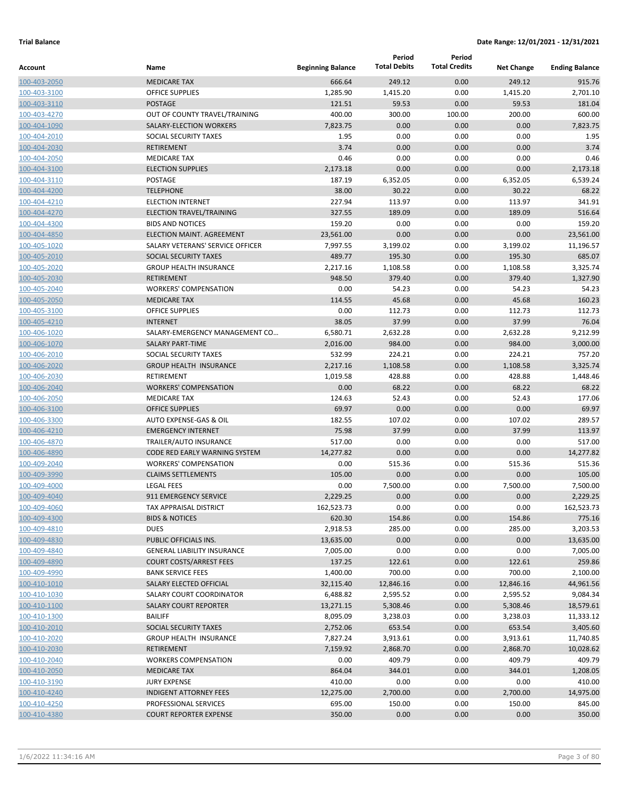|                              |                                               |                          | Period              | Period               |                   |                       |
|------------------------------|-----------------------------------------------|--------------------------|---------------------|----------------------|-------------------|-----------------------|
| Account                      | Name                                          | <b>Beginning Balance</b> | <b>Total Debits</b> | <b>Total Credits</b> | <b>Net Change</b> | <b>Ending Balance</b> |
| 100-403-2050                 | <b>MEDICARE TAX</b>                           | 666.64                   | 249.12              | 0.00                 | 249.12            | 915.76                |
| 100-403-3100                 | <b>OFFICE SUPPLIES</b>                        | 1,285.90                 | 1,415.20            | 0.00                 | 1,415.20          | 2,701.10              |
| 100-403-3110                 | <b>POSTAGE</b>                                | 121.51                   | 59.53               | 0.00                 | 59.53             | 181.04                |
| 100-403-4270                 | OUT OF COUNTY TRAVEL/TRAINING                 | 400.00                   | 300.00              | 100.00               | 200.00            | 600.00                |
| 100-404-1090                 | SALARY-ELECTION WORKERS                       | 7,823.75                 | 0.00                | 0.00                 | 0.00              | 7,823.75              |
| 100-404-2010                 | SOCIAL SECURITY TAXES                         | 1.95                     | 0.00                | 0.00                 | 0.00              | 1.95                  |
| 100-404-2030                 | <b>RETIREMENT</b>                             | 3.74                     | 0.00                | 0.00                 | 0.00              | 3.74                  |
| 100-404-2050                 | <b>MEDICARE TAX</b>                           | 0.46                     | 0.00                | 0.00                 | 0.00              | 0.46                  |
| 100-404-3100                 | <b>ELECTION SUPPLIES</b>                      | 2,173.18                 | 0.00                | 0.00                 | 0.00              | 2,173.18              |
| 100-404-3110                 | POSTAGE                                       | 187.19                   | 6,352.05            | 0.00                 | 6,352.05          | 6,539.24              |
| 100-404-4200                 | <b>TELEPHONE</b>                              | 38.00                    | 30.22               | 0.00                 | 30.22             | 68.22                 |
| 100-404-4210                 | <b>ELECTION INTERNET</b>                      | 227.94                   | 113.97              | 0.00                 | 113.97            | 341.91                |
| 100-404-4270                 | ELECTION TRAVEL/TRAINING                      | 327.55                   | 189.09              | 0.00                 | 189.09            | 516.64                |
| 100-404-4300                 | <b>BIDS AND NOTICES</b>                       | 159.20                   | 0.00                | 0.00                 | 0.00              | 159.20                |
| 100-404-4850                 | ELECTION MAINT. AGREEMENT                     | 23,561.00                | 0.00                | 0.00                 | 0.00              | 23,561.00             |
| 100-405-1020                 | SALARY VETERANS' SERVICE OFFICER              | 7,997.55                 | 3,199.02            | 0.00                 | 3,199.02          | 11,196.57             |
| 100-405-2010                 | SOCIAL SECURITY TAXES                         | 489.77                   | 195.30              | 0.00                 | 195.30            | 685.07                |
| 100-405-2020                 | <b>GROUP HEALTH INSURANCE</b>                 | 2,217.16                 | 1,108.58            | 0.00                 | 1,108.58          | 3,325.74              |
| 100-405-2030                 | <b>RETIREMENT</b>                             | 948.50                   | 379.40              | 0.00                 | 379.40            | 1,327.90              |
| 100-405-2040                 | <b>WORKERS' COMPENSATION</b>                  | 0.00                     | 54.23               | 0.00                 | 54.23             | 54.23                 |
| 100-405-2050                 | <b>MEDICARE TAX</b>                           | 114.55                   | 45.68               | 0.00                 | 45.68             | 160.23                |
| 100-405-3100                 | <b>OFFICE SUPPLIES</b>                        | 0.00                     | 112.73              | 0.00                 | 112.73            | 112.73                |
| 100-405-4210                 | <b>INTERNET</b>                               | 38.05                    | 37.99               | 0.00                 | 37.99             | 76.04                 |
| 100-406-1020                 | SALARY-EMERGENCY MANAGEMENT CO                | 6,580.71                 | 2,632.28            | 0.00                 | 2,632.28          | 9,212.99              |
| 100-406-1070                 | <b>SALARY PART-TIME</b>                       | 2,016.00                 | 984.00              | 0.00                 | 984.00            | 3,000.00              |
| 100-406-2010                 | SOCIAL SECURITY TAXES                         | 532.99                   | 224.21              | 0.00                 | 224.21            | 757.20                |
| 100-406-2020                 | <b>GROUP HEALTH INSURANCE</b>                 | 2,217.16                 | 1,108.58            | 0.00                 | 1,108.58          | 3,325.74              |
| 100-406-2030                 | RETIREMENT                                    | 1,019.58                 | 428.88              | 0.00                 | 428.88            | 1,448.46              |
| 100-406-2040                 | <b>WORKERS' COMPENSATION</b>                  | 0.00                     | 68.22               | 0.00                 | 68.22             | 68.22                 |
| 100-406-2050                 | <b>MEDICARE TAX</b><br><b>OFFICE SUPPLIES</b> | 124.63<br>69.97          | 52.43<br>0.00       | 0.00<br>0.00         | 52.43<br>0.00     | 177.06<br>69.97       |
| 100-406-3100                 | AUTO EXPENSE-GAS & OIL                        | 182.55                   | 107.02              | 0.00                 | 107.02            | 289.57                |
| 100-406-3300                 | <b>EMERGENCY INTERNET</b>                     | 75.98                    | 37.99               | 0.00                 | 37.99             | 113.97                |
| 100-406-4210<br>100-406-4870 | TRAILER/AUTO INSURANCE                        | 517.00                   | 0.00                | 0.00                 | 0.00              | 517.00                |
| 100-406-4890                 | CODE RED EARLY WARNING SYSTEM                 | 14,277.82                | 0.00                | 0.00                 | 0.00              | 14,277.82             |
| 100-409-2040                 | <b>WORKERS' COMPENSATION</b>                  | 0.00                     | 515.36              | 0.00                 | 515.36            | 515.36                |
| 100-409-3990                 | <b>CLAIMS SETTLEMENTS</b>                     | 105.00                   | 0.00                | 0.00                 | 0.00              | 105.00                |
| 100-409-4000                 | <b>LEGAL FEES</b>                             | 0.00                     | 7,500.00            | 0.00                 | 7,500.00          | 7,500.00              |
| 100-409-4040                 | 911 EMERGENCY SERVICE                         | 2,229.25                 | 0.00                | 0.00                 | 0.00              | 2,229.25              |
| 100-409-4060                 | TAX APPRAISAL DISTRICT                        | 162,523.73               | 0.00                | 0.00                 | 0.00              | 162,523.73            |
| 100-409-4300                 | <b>BIDS &amp; NOTICES</b>                     | 620.30                   | 154.86              | 0.00                 | 154.86            | 775.16                |
| 100-409-4810                 | <b>DUES</b>                                   | 2,918.53                 | 285.00              | 0.00                 | 285.00            | 3,203.53              |
| 100-409-4830                 | PUBLIC OFFICIALS INS.                         | 13,635.00                | 0.00                | 0.00                 | 0.00              | 13,635.00             |
| 100-409-4840                 | <b>GENERAL LIABILITY INSURANCE</b>            | 7,005.00                 | 0.00                | 0.00                 | 0.00              | 7,005.00              |
| 100-409-4890                 | <b>COURT COSTS/ARREST FEES</b>                | 137.25                   | 122.61              | 0.00                 | 122.61            | 259.86                |
| 100-409-4990                 | <b>BANK SERVICE FEES</b>                      | 1,400.00                 | 700.00              | 0.00                 | 700.00            | 2,100.00              |
| 100-410-1010                 | SALARY ELECTED OFFICIAL                       | 32,115.40                | 12,846.16           | 0.00                 | 12,846.16         | 44,961.56             |
| 100-410-1030                 | SALARY COURT COORDINATOR                      | 6,488.82                 | 2,595.52            | 0.00                 | 2,595.52          | 9,084.34              |
| 100-410-1100                 | <b>SALARY COURT REPORTER</b>                  | 13,271.15                | 5,308.46            | 0.00                 | 5,308.46          | 18,579.61             |
| 100-410-1300                 | <b>BAILIFF</b>                                | 8,095.09                 | 3,238.03            | 0.00                 | 3,238.03          | 11,333.12             |
| 100-410-2010                 | SOCIAL SECURITY TAXES                         | 2,752.06                 | 653.54              | 0.00                 | 653.54            | 3,405.60              |
| 100-410-2020                 | <b>GROUP HEALTH INSURANCE</b>                 | 7,827.24                 | 3,913.61            | 0.00                 | 3,913.61          | 11,740.85             |
| 100-410-2030                 | RETIREMENT                                    | 7,159.92                 | 2,868.70            | 0.00                 | 2,868.70          | 10,028.62             |
| 100-410-2040                 | <b>WORKERS COMPENSATION</b>                   | 0.00                     | 409.79              | 0.00                 | 409.79            | 409.79                |
| 100-410-2050                 | <b>MEDICARE TAX</b>                           | 864.04                   | 344.01              | 0.00                 | 344.01            | 1,208.05              |
| 100-410-3190                 | <b>JURY EXPENSE</b>                           | 410.00                   | 0.00                | 0.00                 | 0.00              | 410.00                |
| 100-410-4240                 | <b>INDIGENT ATTORNEY FEES</b>                 | 12,275.00                | 2,700.00            | 0.00                 | 2,700.00          | 14,975.00             |
| 100-410-4250                 | PROFESSIONAL SERVICES                         | 695.00                   | 150.00              | 0.00                 | 150.00            | 845.00                |
| 100-410-4380                 | <b>COURT REPORTER EXPENSE</b>                 | 350.00                   | 0.00                | 0.00                 | 0.00              | 350.00                |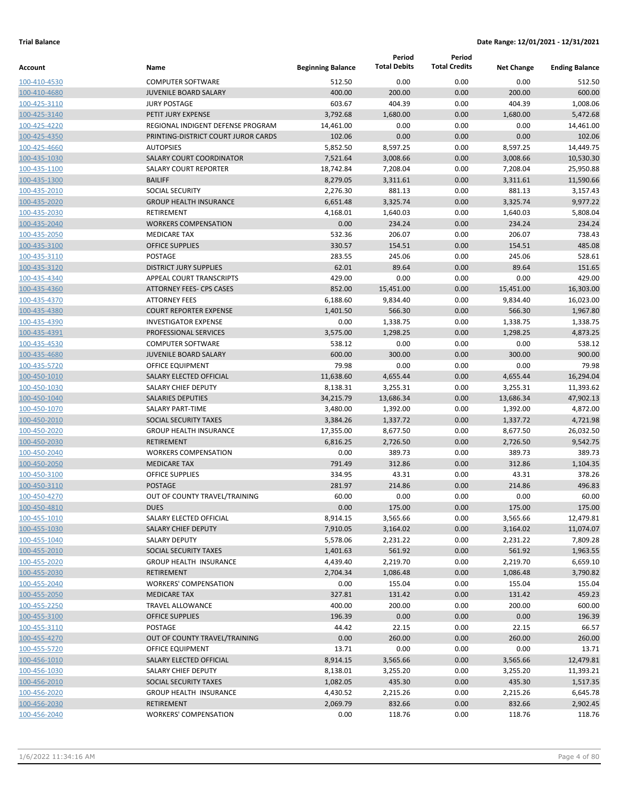|                              |                                                          |                          | Period              | Period               |                   |                       |
|------------------------------|----------------------------------------------------------|--------------------------|---------------------|----------------------|-------------------|-----------------------|
| Account                      | Name                                                     | <b>Beginning Balance</b> | <b>Total Debits</b> | <b>Total Credits</b> | <b>Net Change</b> | <b>Ending Balance</b> |
| 100-410-4530                 | <b>COMPUTER SOFTWARE</b>                                 | 512.50                   | 0.00                | 0.00                 | 0.00              | 512.50                |
| 100-410-4680                 | <b>JUVENILE BOARD SALARY</b>                             | 400.00                   | 200.00              | 0.00                 | 200.00            | 600.00                |
| 100-425-3110                 | <b>JURY POSTAGE</b>                                      | 603.67                   | 404.39              | 0.00                 | 404.39            | 1,008.06              |
| 100-425-3140                 | PETIT JURY EXPENSE                                       | 3,792.68                 | 1,680.00            | 0.00                 | 1,680.00          | 5,472.68              |
| 100-425-4220                 | REGIONAL INDIGENT DEFENSE PROGRAM                        | 14,461.00                | 0.00                | 0.00                 | 0.00              | 14,461.00             |
| 100-425-4350                 | PRINTING-DISTRICT COURT JUROR CARDS                      | 102.06                   | 0.00                | 0.00                 | 0.00              | 102.06                |
| 100-425-4660                 | <b>AUTOPSIES</b>                                         | 5,852.50                 | 8,597.25            | 0.00                 | 8,597.25          | 14,449.75             |
| 100-435-1030                 | <b>SALARY COURT COORDINATOR</b>                          | 7,521.64                 | 3,008.66            | 0.00                 | 3,008.66          | 10,530.30             |
| 100-435-1100                 | <b>SALARY COURT REPORTER</b>                             | 18,742.84                | 7,208.04            | 0.00                 | 7,208.04          | 25,950.88             |
| 100-435-1300                 | <b>BAILIFF</b>                                           | 8,279.05                 | 3,311.61            | 0.00                 | 3,311.61          | 11,590.66             |
| 100-435-2010                 | <b>SOCIAL SECURITY</b>                                   | 2,276.30                 | 881.13              | 0.00                 | 881.13            | 3,157.43              |
| 100-435-2020                 | <b>GROUP HEALTH INSURANCE</b>                            | 6,651.48                 | 3,325.74            | 0.00                 | 3,325.74          | 9,977.22              |
| 100-435-2030                 | <b>RETIREMENT</b>                                        | 4,168.01                 | 1,640.03            | 0.00                 | 1,640.03          | 5,808.04              |
| 100-435-2040                 | <b>WORKERS COMPENSATION</b>                              | 0.00                     | 234.24              | 0.00                 | 234.24            | 234.24                |
| 100-435-2050                 | <b>MEDICARE TAX</b>                                      | 532.36                   | 206.07              | 0.00                 | 206.07            | 738.43                |
| 100-435-3100                 | <b>OFFICE SUPPLIES</b>                                   | 330.57                   | 154.51              | 0.00                 | 154.51            | 485.08                |
| 100-435-3110                 | POSTAGE                                                  | 283.55                   | 245.06              | 0.00                 | 245.06            | 528.61                |
| 100-435-3120                 | <b>DISTRICT JURY SUPPLIES</b>                            | 62.01                    | 89.64               | 0.00                 | 89.64             | 151.65                |
| 100-435-4340                 | APPEAL COURT TRANSCRIPTS                                 | 429.00                   | 0.00                | 0.00                 | 0.00              | 429.00                |
| 100-435-4360                 | <b>ATTORNEY FEES- CPS CASES</b>                          | 852.00                   | 15,451.00           | 0.00                 | 15,451.00         | 16,303.00             |
| 100-435-4370                 | <b>ATTORNEY FEES</b>                                     | 6,188.60                 | 9,834.40            | 0.00                 | 9,834.40          | 16,023.00             |
| 100-435-4380                 | <b>COURT REPORTER EXPENSE</b>                            | 1,401.50                 | 566.30              | 0.00                 | 566.30            | 1,967.80              |
| 100-435-4390                 | <b>INVESTIGATOR EXPENSE</b>                              | 0.00                     | 1,338.75            | 0.00                 | 1,338.75          | 1,338.75              |
| 100-435-4391                 | PROFESSIONAL SERVICES                                    | 3,575.00                 | 1,298.25            | 0.00                 | 1,298.25          | 4,873.25<br>538.12    |
| 100-435-4530                 | <b>COMPUTER SOFTWARE</b><br><b>JUVENILE BOARD SALARY</b> | 538.12<br>600.00         | 0.00<br>300.00      | 0.00<br>0.00         | 0.00<br>300.00    | 900.00                |
| 100-435-4680                 | OFFICE EQUIPMENT                                         | 79.98                    | 0.00                | 0.00                 | 0.00              | 79.98                 |
| 100-435-5720<br>100-450-1010 | SALARY ELECTED OFFICIAL                                  | 11,638.60                | 4,655.44            | 0.00                 | 4,655.44          | 16,294.04             |
| 100-450-1030                 | SALARY CHIEF DEPUTY                                      | 8,138.31                 | 3,255.31            | 0.00                 | 3,255.31          | 11,393.62             |
| 100-450-1040                 | <b>SALARIES DEPUTIES</b>                                 | 34,215.79                | 13,686.34           | 0.00                 | 13,686.34         | 47,902.13             |
| 100-450-1070                 | <b>SALARY PART-TIME</b>                                  | 3,480.00                 | 1,392.00            | 0.00                 | 1,392.00          | 4,872.00              |
| 100-450-2010                 | SOCIAL SECURITY TAXES                                    | 3,384.26                 | 1,337.72            | 0.00                 | 1,337.72          | 4,721.98              |
| 100-450-2020                 | <b>GROUP HEALTH INSURANCE</b>                            | 17,355.00                | 8,677.50            | 0.00                 | 8,677.50          | 26,032.50             |
| 100-450-2030                 | <b>RETIREMENT</b>                                        | 6,816.25                 | 2,726.50            | 0.00                 | 2,726.50          | 9,542.75              |
| 100-450-2040                 | <b>WORKERS COMPENSATION</b>                              | 0.00                     | 389.73              | 0.00                 | 389.73            | 389.73                |
| 100-450-2050                 | <b>MEDICARE TAX</b>                                      | 791.49                   | 312.86              | 0.00                 | 312.86            | 1,104.35              |
| 100-450-3100                 | <b>OFFICE SUPPLIES</b>                                   | 334.95                   | 43.31               | 0.00                 | 43.31             | 378.26                |
| 100-450-3110                 | <b>POSTAGE</b>                                           | 281.97                   | 214.86              | 0.00                 | 214.86            | 496.83                |
| 100-450-4270                 | OUT OF COUNTY TRAVEL/TRAINING                            | 60.00                    | 0.00                | 0.00                 | 0.00              | 60.00                 |
| 100-450-4810                 | <b>DUES</b>                                              | 0.00                     | 175.00              | 0.00                 | 175.00            | 175.00                |
| 100-455-1010                 | SALARY ELECTED OFFICIAL                                  | 8,914.15                 | 3,565.66            | 0.00                 | 3,565.66          | 12,479.81             |
| 100-455-1030                 | <b>SALARY CHIEF DEPUTY</b>                               | 7,910.05                 | 3,164.02            | 0.00                 | 3,164.02          | 11,074.07             |
| 100-455-1040                 | SALARY DEPUTY                                            | 5,578.06                 | 2,231.22            | 0.00                 | 2,231.22          | 7,809.28              |
| 100-455-2010                 | SOCIAL SECURITY TAXES                                    | 1,401.63                 | 561.92              | 0.00                 | 561.92            | 1,963.55              |
| 100-455-2020                 | <b>GROUP HEALTH INSURANCE</b>                            | 4,439.40                 | 2,219.70            | 0.00                 | 2,219.70          | 6,659.10              |
| 100-455-2030                 | <b>RETIREMENT</b>                                        | 2,704.34                 | 1,086.48            | 0.00                 | 1,086.48          | 3,790.82              |
| 100-455-2040                 | <b>WORKERS' COMPENSATION</b>                             | 0.00                     | 155.04              | 0.00                 | 155.04            | 155.04                |
| 100-455-2050                 | <b>MEDICARE TAX</b>                                      | 327.81                   | 131.42              | 0.00                 | 131.42            | 459.23                |
| 100-455-2250                 | TRAVEL ALLOWANCE                                         | 400.00                   | 200.00              | 0.00                 | 200.00            | 600.00                |
| 100-455-3100                 | <b>OFFICE SUPPLIES</b>                                   | 196.39                   | 0.00                | 0.00                 | 0.00              | 196.39                |
| 100-455-3110                 | <b>POSTAGE</b>                                           | 44.42                    | 22.15               | 0.00                 | 22.15             | 66.57                 |
| 100-455-4270                 | OUT OF COUNTY TRAVEL/TRAINING                            | 0.00                     | 260.00              | 0.00                 | 260.00            | 260.00                |
| 100-455-5720                 | OFFICE EQUIPMENT                                         | 13.71                    | 0.00                | 0.00                 | 0.00              | 13.71                 |
| 100-456-1010                 | SALARY ELECTED OFFICIAL                                  | 8,914.15                 | 3,565.66            | 0.00                 | 3,565.66          | 12,479.81             |
| 100-456-1030                 | SALARY CHIEF DEPUTY                                      | 8,138.01                 | 3,255.20            | 0.00                 | 3,255.20          | 11,393.21             |
| 100-456-2010                 | SOCIAL SECURITY TAXES                                    | 1,082.05                 | 435.30              | 0.00                 | 435.30            | 1,517.35              |
| 100-456-2020                 | <b>GROUP HEALTH INSURANCE</b>                            | 4,430.52                 | 2,215.26            | 0.00                 | 2,215.26          | 6,645.78              |
| 100-456-2030                 | <b>RETIREMENT</b>                                        | 2,069.79                 | 832.66              | 0.00                 | 832.66            | 2,902.45              |
| 100-456-2040                 | <b>WORKERS' COMPENSATION</b>                             | 0.00                     | 118.76              | 0.00                 | 118.76            | 118.76                |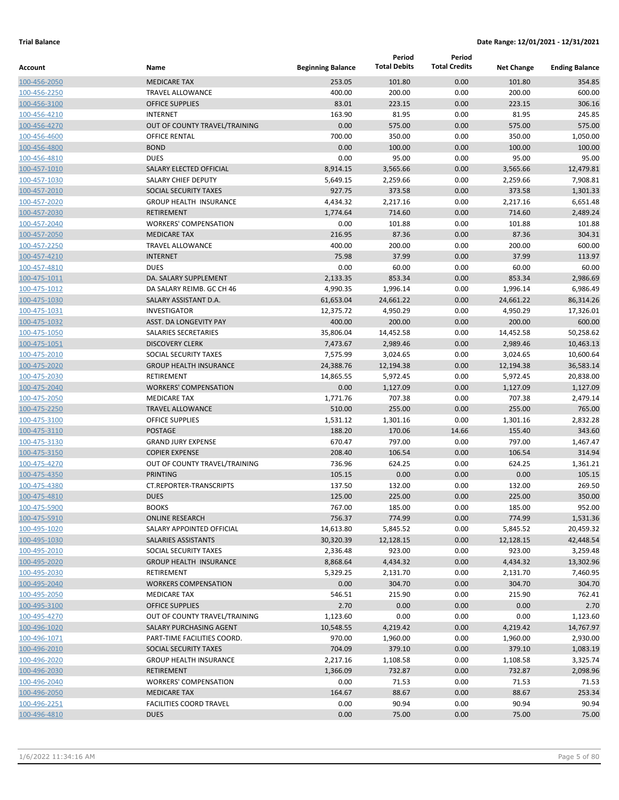|              |                                |                          | Period              | Period               |                   |                       |
|--------------|--------------------------------|--------------------------|---------------------|----------------------|-------------------|-----------------------|
| Account      | Name                           | <b>Beginning Balance</b> | <b>Total Debits</b> | <b>Total Credits</b> | <b>Net Change</b> | <b>Ending Balance</b> |
| 100-456-2050 | <b>MEDICARE TAX</b>            | 253.05                   | 101.80              | 0.00                 | 101.80            | 354.85                |
| 100-456-2250 | <b>TRAVEL ALLOWANCE</b>        | 400.00                   | 200.00              | 0.00                 | 200.00            | 600.00                |
| 100-456-3100 | <b>OFFICE SUPPLIES</b>         | 83.01                    | 223.15              | 0.00                 | 223.15            | 306.16                |
| 100-456-4210 | <b>INTERNET</b>                | 163.90                   | 81.95               | 0.00                 | 81.95             | 245.85                |
| 100-456-4270 | OUT OF COUNTY TRAVEL/TRAINING  | 0.00                     | 575.00              | 0.00                 | 575.00            | 575.00                |
| 100-456-4600 | OFFICE RENTAL                  | 700.00                   | 350.00              | 0.00                 | 350.00            | 1,050.00              |
| 100-456-4800 | <b>BOND</b>                    | 0.00                     | 100.00              | 0.00                 | 100.00            | 100.00                |
| 100-456-4810 | <b>DUES</b>                    | 0.00                     | 95.00               | 0.00                 | 95.00             | 95.00                 |
| 100-457-1010 | SALARY ELECTED OFFICIAL        | 8,914.15                 | 3,565.66            | 0.00                 | 3,565.66          | 12,479.81             |
| 100-457-1030 | SALARY CHIEF DEPUTY            | 5,649.15                 | 2,259.66            | 0.00                 | 2,259.66          | 7,908.81              |
| 100-457-2010 | SOCIAL SECURITY TAXES          | 927.75                   | 373.58              | 0.00                 | 373.58            | 1,301.33              |
| 100-457-2020 | <b>GROUP HEALTH INSURANCE</b>  | 4,434.32                 | 2,217.16            | 0.00                 | 2,217.16          | 6,651.48              |
| 100-457-2030 | <b>RETIREMENT</b>              | 1,774.64                 | 714.60              | 0.00                 | 714.60            | 2,489.24              |
| 100-457-2040 | <b>WORKERS' COMPENSATION</b>   | 0.00                     | 101.88              | 0.00                 | 101.88            | 101.88                |
| 100-457-2050 | <b>MEDICARE TAX</b>            | 216.95                   | 87.36               | 0.00                 | 87.36             | 304.31                |
| 100-457-2250 | <b>TRAVEL ALLOWANCE</b>        | 400.00                   | 200.00              | 0.00                 | 200.00            | 600.00                |
| 100-457-4210 | <b>INTERNET</b>                | 75.98                    | 37.99               | 0.00                 | 37.99             | 113.97                |
| 100-457-4810 | <b>DUES</b>                    | 0.00                     | 60.00               | 0.00                 | 60.00             | 60.00                 |
| 100-475-1011 | DA. SALARY SUPPLEMENT          | 2,133.35                 | 853.34              | 0.00                 | 853.34            | 2,986.69              |
| 100-475-1012 | DA SALARY REIMB. GC CH 46      | 4,990.35                 | 1,996.14            | 0.00                 | 1,996.14          | 6,986.49              |
| 100-475-1030 | SALARY ASSISTANT D.A.          | 61,653.04                | 24,661.22           | 0.00                 | 24,661.22         | 86,314.26             |
| 100-475-1031 | INVESTIGATOR                   | 12,375.72                | 4,950.29            | 0.00                 | 4,950.29          | 17,326.01             |
| 100-475-1032 | ASST. DA LONGEVITY PAY         | 400.00                   | 200.00              | 0.00                 | 200.00            | 600.00                |
| 100-475-1050 | SALARIES SECRETARIES           | 35,806.04                | 14,452.58           | 0.00                 | 14,452.58         | 50,258.62             |
| 100-475-1051 | <b>DISCOVERY CLERK</b>         | 7,473.67                 | 2,989.46            | 0.00                 | 2,989.46          | 10,463.13             |
| 100-475-2010 | SOCIAL SECURITY TAXES          | 7,575.99                 | 3,024.65            | 0.00                 | 3,024.65          | 10,600.64             |
| 100-475-2020 | <b>GROUP HEALTH INSURANCE</b>  | 24,388.76                | 12,194.38           | 0.00                 | 12,194.38         | 36,583.14             |
| 100-475-2030 | RETIREMENT                     | 14,865.55                | 5,972.45            | 0.00                 | 5,972.45          | 20,838.00             |
| 100-475-2040 | <b>WORKERS' COMPENSATION</b>   | 0.00                     | 1,127.09            | 0.00                 | 1,127.09          | 1,127.09              |
| 100-475-2050 | <b>MEDICARE TAX</b>            | 1,771.76                 | 707.38              | 0.00                 | 707.38            | 2,479.14              |
| 100-475-2250 | <b>TRAVEL ALLOWANCE</b>        | 510.00                   | 255.00              | 0.00                 | 255.00            | 765.00                |
| 100-475-3100 | <b>OFFICE SUPPLIES</b>         | 1,531.12                 | 1,301.16            | 0.00                 | 1,301.16          | 2,832.28              |
| 100-475-3110 | <b>POSTAGE</b>                 | 188.20                   | 170.06              | 14.66                | 155.40            | 343.60                |
| 100-475-3130 | <b>GRAND JURY EXPENSE</b>      | 670.47                   | 797.00              | 0.00                 | 797.00            | 1,467.47              |
| 100-475-3150 | <b>COPIER EXPENSE</b>          | 208.40                   | 106.54              | 0.00                 | 106.54            | 314.94                |
| 100-475-4270 | OUT OF COUNTY TRAVEL/TRAINING  | 736.96                   | 624.25              | 0.00                 | 624.25            | 1,361.21              |
| 100-475-4350 | <b>PRINTING</b>                | 105.15                   | 0.00                | 0.00                 | 0.00              | 105.15                |
| 100-475-4380 | CT.REPORTER-TRANSCRIPTS        | 137.50                   | 132.00              | 0.00                 | 132.00            | 269.50                |
| 100-475-4810 | <b>DUES</b>                    | 125.00                   | 225.00              | 0.00                 | 225.00            | 350.00                |
| 100-475-5900 | <b>BOOKS</b>                   | 767.00                   | 185.00              | 0.00                 | 185.00            | 952.00                |
| 100-475-5910 | <b>ONLINE RESEARCH</b>         | 756.37                   | 774.99              | 0.00                 | 774.99            | 1,531.36              |
| 100-495-1020 | SALARY APPOINTED OFFICIAL      | 14,613.80                | 5,845.52            | 0.00                 | 5,845.52          | 20,459.32             |
| 100-495-1030 | <b>SALARIES ASSISTANTS</b>     | 30,320.39                | 12,128.15           | 0.00                 | 12,128.15         | 42,448.54             |
| 100-495-2010 | SOCIAL SECURITY TAXES          | 2,336.48                 | 923.00              | 0.00                 | 923.00            | 3,259.48              |
| 100-495-2020 | <b>GROUP HEALTH INSURANCE</b>  | 8,868.64                 | 4,434.32            | 0.00                 | 4,434.32          | 13,302.96             |
| 100-495-2030 | RETIREMENT                     | 5,329.25                 | 2,131.70            | 0.00                 | 2,131.70          | 7,460.95              |
| 100-495-2040 | <b>WORKERS COMPENSATION</b>    | 0.00                     | 304.70              | 0.00                 | 304.70            | 304.70                |
| 100-495-2050 | <b>MEDICARE TAX</b>            | 546.51                   | 215.90              | 0.00                 | 215.90            | 762.41                |
| 100-495-3100 | <b>OFFICE SUPPLIES</b>         | 2.70                     | 0.00                | 0.00                 | 0.00              | 2.70                  |
| 100-495-4270 | OUT OF COUNTY TRAVEL/TRAINING  | 1,123.60                 | 0.00                | 0.00                 | 0.00              | 1,123.60              |
| 100-496-1020 | SALARY PURCHASING AGENT        | 10,548.55                | 4,219.42            | 0.00                 | 4,219.42          | 14,767.97             |
| 100-496-1071 | PART-TIME FACILITIES COORD.    | 970.00                   | 1,960.00            | 0.00                 | 1,960.00          | 2,930.00              |
| 100-496-2010 | SOCIAL SECURITY TAXES          | 704.09                   | 379.10              | 0.00                 | 379.10            | 1,083.19              |
| 100-496-2020 | <b>GROUP HEALTH INSURANCE</b>  | 2,217.16                 | 1,108.58            | 0.00                 | 1,108.58          | 3,325.74              |
| 100-496-2030 | RETIREMENT                     | 1,366.09                 | 732.87              | 0.00                 | 732.87            | 2,098.96              |
| 100-496-2040 | <b>WORKERS' COMPENSATION</b>   | 0.00                     | 71.53               | 0.00                 | 71.53             | 71.53                 |
| 100-496-2050 | <b>MEDICARE TAX</b>            | 164.67                   | 88.67               | 0.00                 | 88.67             | 253.34                |
| 100-496-2251 | <b>FACILITIES COORD TRAVEL</b> | 0.00                     | 90.94               | 0.00                 | 90.94             | 90.94                 |
| 100-496-4810 | <b>DUES</b>                    | 0.00                     | 75.00               | 0.00                 | 75.00             | 75.00                 |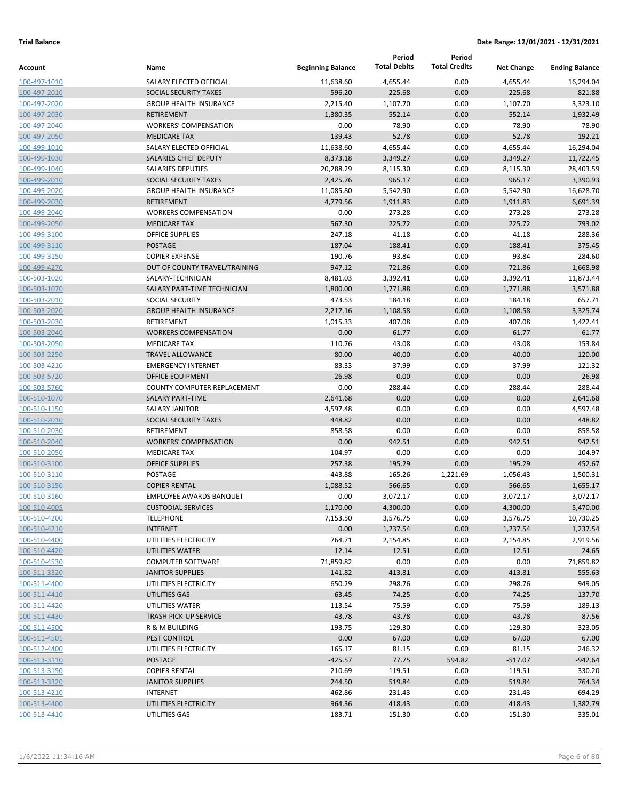|                              |                                          |                          | Period              | Period               |                   |                       |
|------------------------------|------------------------------------------|--------------------------|---------------------|----------------------|-------------------|-----------------------|
| Account                      | Name                                     | <b>Beginning Balance</b> | <b>Total Debits</b> | <b>Total Credits</b> | <b>Net Change</b> | <b>Ending Balance</b> |
| 100-497-1010                 | SALARY ELECTED OFFICIAL                  | 11,638.60                | 4,655.44            | 0.00                 | 4,655.44          | 16,294.04             |
| 100-497-2010                 | SOCIAL SECURITY TAXES                    | 596.20                   | 225.68              | 0.00                 | 225.68            | 821.88                |
| 100-497-2020                 | <b>GROUP HEALTH INSURANCE</b>            | 2,215.40                 | 1,107.70            | 0.00                 | 1,107.70          | 3,323.10              |
| 100-497-2030                 | RETIREMENT                               | 1,380.35                 | 552.14              | 0.00                 | 552.14            | 1,932.49              |
| 100-497-2040                 | <b>WORKERS' COMPENSATION</b>             | 0.00                     | 78.90               | 0.00                 | 78.90             | 78.90                 |
| 100-497-2050                 | <b>MEDICARE TAX</b>                      | 139.43                   | 52.78               | 0.00                 | 52.78             | 192.21                |
| 100-499-1010                 | SALARY ELECTED OFFICIAL                  | 11,638.60                | 4,655.44            | 0.00                 | 4,655.44          | 16,294.04             |
| 100-499-1030                 | <b>SALARIES CHIEF DEPUTY</b>             | 8,373.18                 | 3,349.27            | 0.00                 | 3,349.27          | 11,722.45             |
| 100-499-1040                 | <b>SALARIES DEPUTIES</b>                 | 20,288.29                | 8,115.30            | 0.00                 | 8,115.30          | 28,403.59             |
| 100-499-2010                 | SOCIAL SECURITY TAXES                    | 2,425.76                 | 965.17              | 0.00                 | 965.17            | 3,390.93              |
| 100-499-2020                 | <b>GROUP HEALTH INSURANCE</b>            | 11,085.80                | 5,542.90            | 0.00                 | 5,542.90          | 16,628.70             |
| 100-499-2030                 | <b>RETIREMENT</b>                        | 4,779.56                 | 1,911.83            | 0.00                 | 1,911.83          | 6,691.39              |
| 100-499-2040                 | <b>WORKERS COMPENSATION</b>              | 0.00                     | 273.28              | 0.00                 | 273.28            | 273.28                |
| 100-499-2050                 | <b>MEDICARE TAX</b>                      | 567.30                   | 225.72              | 0.00                 | 225.72            | 793.02                |
| 100-499-3100                 | <b>OFFICE SUPPLIES</b>                   | 247.18                   | 41.18               | 0.00                 | 41.18             | 288.36                |
| 100-499-3110                 | <b>POSTAGE</b>                           | 187.04                   | 188.41              | 0.00                 | 188.41            | 375.45                |
| 100-499-3150                 | <b>COPIER EXPENSE</b>                    | 190.76                   | 93.84               | 0.00                 | 93.84             | 284.60                |
| 100-499-4270                 | OUT OF COUNTY TRAVEL/TRAINING            | 947.12                   | 721.86              | 0.00                 | 721.86            | 1,668.98              |
| 100-503-1020                 | SALARY-TECHNICIAN                        | 8,481.03                 | 3,392.41            | 0.00                 | 3,392.41          | 11,873.44             |
| 100-503-1070                 | SALARY PART-TIME TECHNICIAN              | 1,800.00                 | 1,771.88            | 0.00                 | 1,771.88          | 3,571.88              |
| 100-503-2010                 | <b>SOCIAL SECURITY</b>                   | 473.53                   | 184.18              | 0.00                 | 184.18            | 657.71                |
| 100-503-2020                 | <b>GROUP HEALTH INSURANCE</b>            | 2,217.16                 | 1,108.58            | 0.00                 | 1,108.58          | 3,325.74              |
| 100-503-2030                 | <b>RETIREMENT</b>                        | 1,015.33                 | 407.08              | 0.00                 | 407.08            | 1,422.41              |
| 100-503-2040                 | <b>WORKERS COMPENSATION</b>              | 0.00                     | 61.77               | 0.00                 | 61.77             | 61.77                 |
| 100-503-2050                 | <b>MEDICARE TAX</b>                      | 110.76                   | 43.08               | 0.00                 | 43.08             | 153.84                |
| 100-503-2250                 | <b>TRAVEL ALLOWANCE</b>                  | 80.00                    | 40.00               | 0.00                 | 40.00             | 120.00                |
| 100-503-4210                 | <b>EMERGENCY INTERNET</b>                | 83.33                    | 37.99               | 0.00                 | 37.99             | 121.32                |
| 100-503-5720                 | <b>OFFICE EQUIPMENT</b>                  | 26.98                    | 0.00                | 0.00                 | 0.00              | 26.98                 |
| 100-503-5760                 | COUNTY COMPUTER REPLACEMENT              | 0.00                     | 288.44              | 0.00                 | 288.44            | 288.44                |
| 100-510-1070                 | <b>SALARY PART-TIME</b>                  | 2,641.68                 | 0.00                | 0.00                 | 0.00              | 2,641.68              |
| 100-510-1150                 | <b>SALARY JANITOR</b>                    | 4,597.48                 | 0.00                | 0.00                 | 0.00              | 4,597.48              |
| 100-510-2010                 | SOCIAL SECURITY TAXES                    | 448.82                   | 0.00                | 0.00                 | 0.00              | 448.82                |
| 100-510-2030                 | <b>RETIREMENT</b>                        | 858.58                   | 0.00                | 0.00                 | 0.00              | 858.58                |
| 100-510-2040                 | <b>WORKERS' COMPENSATION</b>             | 0.00                     | 942.51              | 0.00                 | 942.51            | 942.51                |
| 100-510-2050                 | <b>MEDICARE TAX</b>                      | 104.97                   | 0.00                | 0.00                 | 0.00              | 104.97                |
| 100-510-3100                 | <b>OFFICE SUPPLIES</b>                   | 257.38                   | 195.29              | 0.00                 | 195.29            | 452.67                |
| 100-510-3110                 | POSTAGE                                  | $-443.88$                | 165.26              | 1,221.69             | $-1,056.43$       | $-1,500.31$           |
| 100-510-3150                 | <b>COPIER RENTAL</b>                     | 1,088.52                 | 566.65              | 0.00                 | 566.65            | 1,655.17              |
| 100-510-3160                 | <b>EMPLOYEE AWARDS BANQUET</b>           | 0.00                     | 3,072.17            | 0.00                 | 3,072.17          | 3,072.17              |
| 100-510-4005                 | <b>CUSTODIAL SERVICES</b>                | 1,170.00                 | 4,300.00            | 0.00                 | 4,300.00          | 5,470.00              |
| 100-510-4200                 | <b>TELEPHONE</b>                         | 7,153.50                 | 3,576.75            | 0.00                 | 3,576.75          | 10,730.25             |
| 100-510-4210                 | <b>INTERNET</b><br>UTILITIES ELECTRICITY | 0.00<br>764.71           | 1,237.54            | 0.00                 | 1,237.54          | 1,237.54<br>2,919.56  |
| 100-510-4400<br>100-510-4420 | UTILITIES WATER                          | 12.14                    | 2,154.85<br>12.51   | 0.00<br>0.00         | 2,154.85<br>12.51 | 24.65                 |
| 100-510-4530                 | <b>COMPUTER SOFTWARE</b>                 | 71,859.82                | 0.00                | 0.00                 | 0.00              | 71,859.82             |
| 100-511-3320                 | <b>JANITOR SUPPLIES</b>                  | 141.82                   | 413.81              | 0.00                 | 413.81            | 555.63                |
| 100-511-4400                 | UTILITIES ELECTRICITY                    | 650.29                   | 298.76              | 0.00                 | 298.76            | 949.05                |
| 100-511-4410                 | UTILITIES GAS                            | 63.45                    | 74.25               | 0.00                 | 74.25             | 137.70                |
| 100-511-4420                 | UTILITIES WATER                          | 113.54                   | 75.59               | 0.00                 | 75.59             | 189.13                |
| 100-511-4430                 | TRASH PICK-UP SERVICE                    | 43.78                    | 43.78               | 0.00                 | 43.78             | 87.56                 |
| 100-511-4500                 | R & M BUILDING                           | 193.75                   | 129.30              | 0.00                 | 129.30            | 323.05                |
| 100-511-4501                 | PEST CONTROL                             | 0.00                     | 67.00               | 0.00                 | 67.00             | 67.00                 |
| 100-512-4400                 | UTILITIES ELECTRICITY                    | 165.17                   | 81.15               | 0.00                 | 81.15             | 246.32                |
| 100-513-3110                 | POSTAGE                                  | $-425.57$                | 77.75               | 594.82               | $-517.07$         | $-942.64$             |
| 100-513-3150                 | <b>COPIER RENTAL</b>                     | 210.69                   | 119.51              | 0.00                 | 119.51            | 330.20                |
| 100-513-3320                 | <b>JANITOR SUPPLIES</b>                  | 244.50                   | 519.84              | 0.00                 | 519.84            | 764.34                |
| 100-513-4210                 | INTERNET                                 | 462.86                   | 231.43              | 0.00                 | 231.43            | 694.29                |
| 100-513-4400                 | UTILITIES ELECTRICITY                    | 964.36                   | 418.43              | 0.00                 | 418.43            | 1,382.79              |
| 100-513-4410                 | UTILITIES GAS                            | 183.71                   | 151.30              | 0.00                 | 151.30            | 335.01                |
|                              |                                          |                          |                     |                      |                   |                       |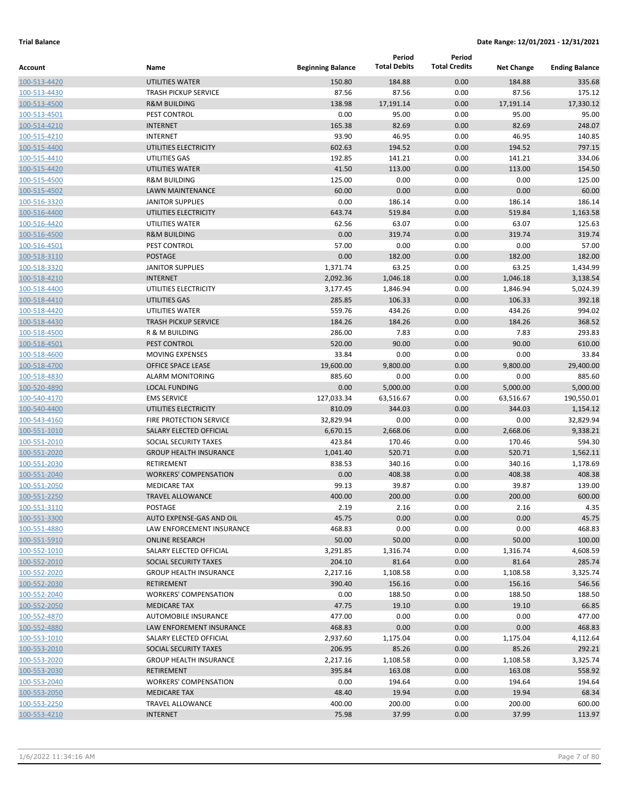|                              |                                                     |                          | Period              | Period               |                   |                       |
|------------------------------|-----------------------------------------------------|--------------------------|---------------------|----------------------|-------------------|-----------------------|
| <b>Account</b>               | Name                                                | <b>Beginning Balance</b> | <b>Total Debits</b> | <b>Total Credits</b> | <b>Net Change</b> | <b>Ending Balance</b> |
| 100-513-4420                 | <b>UTILITIES WATER</b>                              | 150.80                   | 184.88              | 0.00                 | 184.88            | 335.68                |
| 100-513-4430                 | <b>TRASH PICKUP SERVICE</b>                         | 87.56                    | 87.56               | 0.00                 | 87.56             | 175.12                |
| 100-513-4500                 | <b>R&amp;M BUILDING</b>                             | 138.98                   | 17,191.14           | 0.00                 | 17,191.14         | 17,330.12             |
| 100-513-4501                 | PEST CONTROL                                        | 0.00                     | 95.00               | 0.00                 | 95.00             | 95.00                 |
| 100-514-4210                 | <b>INTERNET</b>                                     | 165.38                   | 82.69               | 0.00                 | 82.69             | 248.07                |
| 100-515-4210                 | <b>INTERNET</b>                                     | 93.90                    | 46.95               | 0.00                 | 46.95             | 140.85                |
| 100-515-4400                 | UTILITIES ELECTRICITY                               | 602.63                   | 194.52              | 0.00                 | 194.52            | 797.15                |
| 100-515-4410<br>100-515-4420 | UTILITIES GAS<br>UTILITIES WATER                    | 192.85<br>41.50          | 141.21              | 0.00                 | 141.21            | 334.06                |
| 100-515-4500                 | <b>R&amp;M BUILDING</b>                             | 125.00                   | 113.00<br>0.00      | 0.00<br>0.00         | 113.00<br>0.00    | 154.50<br>125.00      |
| 100-515-4502                 | <b>LAWN MAINTENANCE</b>                             | 60.00                    | 0.00                | 0.00                 | 0.00              | 60.00                 |
| 100-516-3320                 | <b>JANITOR SUPPLIES</b>                             | 0.00                     | 186.14              | 0.00                 | 186.14            | 186.14                |
| 100-516-4400                 | UTILITIES ELECTRICITY                               | 643.74                   | 519.84              | 0.00                 | 519.84            | 1,163.58              |
| 100-516-4420                 | UTILITIES WATER                                     | 62.56                    | 63.07               | 0.00                 | 63.07             | 125.63                |
| 100-516-4500                 | <b>R&amp;M BUILDING</b>                             | 0.00                     | 319.74              | 0.00                 | 319.74            | 319.74                |
| 100-516-4501                 | PEST CONTROL                                        | 57.00                    | 0.00                | 0.00                 | 0.00              | 57.00                 |
| 100-518-3110                 | <b>POSTAGE</b>                                      | 0.00                     | 182.00              | 0.00                 | 182.00            | 182.00                |
| 100-518-3320                 | <b>JANITOR SUPPLIES</b>                             | 1,371.74                 | 63.25               | 0.00                 | 63.25             | 1,434.99              |
| 100-518-4210                 | <b>INTERNET</b>                                     | 2,092.36                 | 1,046.18            | 0.00                 | 1,046.18          | 3,138.54              |
| 100-518-4400                 | UTILITIES ELECTRICITY                               | 3,177.45                 | 1,846.94            | 0.00                 | 1,846.94          | 5,024.39              |
| 100-518-4410                 | UTILITIES GAS                                       | 285.85                   | 106.33              | 0.00                 | 106.33            | 392.18                |
| 100-518-4420                 | UTILITIES WATER                                     | 559.76                   | 434.26              | 0.00                 | 434.26            | 994.02                |
| 100-518-4430                 | <b>TRASH PICKUP SERVICE</b>                         | 184.26                   | 184.26              | 0.00                 | 184.26            | 368.52                |
| 100-518-4500                 | R & M BUILDING                                      | 286.00                   | 7.83                | 0.00                 | 7.83              | 293.83                |
| 100-518-4501                 | PEST CONTROL                                        | 520.00                   | 90.00               | 0.00                 | 90.00             | 610.00                |
| 100-518-4600                 | <b>MOVING EXPENSES</b>                              | 33.84                    | 0.00                | 0.00                 | 0.00              | 33.84                 |
| 100-518-4700                 | OFFICE SPACE LEASE                                  | 19,600.00                | 9,800.00            | 0.00                 | 9,800.00          | 29,400.00             |
| 100-518-4830                 | <b>ALARM MONITORING</b>                             | 885.60                   | 0.00                | 0.00                 | 0.00              | 885.60                |
| 100-520-4890                 | <b>LOCAL FUNDING</b>                                | 0.00                     | 5,000.00            | 0.00                 | 5,000.00          | 5,000.00              |
| 100-540-4170                 | <b>EMS SERVICE</b>                                  | 127,033.34               | 63,516.67           | 0.00                 | 63,516.67         | 190,550.01            |
| 100-540-4400                 | UTILITIES ELECTRICITY                               | 810.09                   | 344.03              | 0.00                 | 344.03            | 1,154.12              |
| 100-543-4160                 | FIRE PROTECTION SERVICE                             | 32,829.94                | 0.00                | 0.00                 | 0.00              | 32,829.94             |
| 100-551-1010                 | SALARY ELECTED OFFICIAL                             | 6,670.15                 | 2,668.06            | 0.00                 | 2,668.06          | 9,338.21              |
| 100-551-2010                 | SOCIAL SECURITY TAXES                               | 423.84                   | 170.46              | 0.00                 | 170.46            | 594.30                |
| 100-551-2020                 | <b>GROUP HEALTH INSURANCE</b>                       | 1,041.40                 | 520.71              | 0.00                 | 520.71            | 1,562.11              |
| 100-551-2030                 | RETIREMENT                                          | 838.53                   | 340.16              | 0.00                 | 340.16            | 1,178.69              |
| 100-551-2040                 | <b>WORKERS' COMPENSATION</b><br><b>MEDICARE TAX</b> | 0.00                     | 408.38              | 0.00                 | 408.38            | 408.38                |
| 100-551-2050<br>100-551-2250 | <b>TRAVEL ALLOWANCE</b>                             | 99.13<br>400.00          | 39.87<br>200.00     | 0.00<br>0.00         | 39.87<br>200.00   | 139.00<br>600.00      |
| 100-551-3110                 | <b>POSTAGE</b>                                      | 2.19                     | 2.16                | 0.00                 | 2.16              | 4.35                  |
| 100-551-3300                 | AUTO EXPENSE-GAS AND OIL                            | 45.75                    | 0.00                | 0.00                 | 0.00              | 45.75                 |
| 100-551-4880                 | LAW ENFORCEMENT INSURANCE                           | 468.83                   | 0.00                | 0.00                 | 0.00              | 468.83                |
| 100-551-5910                 | <b>ONLINE RESEARCH</b>                              | 50.00                    | 50.00               | 0.00                 | 50.00             | 100.00                |
| 100-552-1010                 | SALARY ELECTED OFFICIAL                             | 3,291.85                 | 1,316.74            | 0.00                 | 1,316.74          | 4,608.59              |
| 100-552-2010                 | SOCIAL SECURITY TAXES                               | 204.10                   | 81.64               | 0.00                 | 81.64             | 285.74                |
| 100-552-2020                 | <b>GROUP HEALTH INSURANCE</b>                       | 2,217.16                 | 1,108.58            | 0.00                 | 1,108.58          | 3,325.74              |
| 100-552-2030                 | RETIREMENT                                          | 390.40                   | 156.16              | 0.00                 | 156.16            | 546.56                |
| 100-552-2040                 | <b>WORKERS' COMPENSATION</b>                        | 0.00                     | 188.50              | 0.00                 | 188.50            | 188.50                |
| 100-552-2050                 | <b>MEDICARE TAX</b>                                 | 47.75                    | 19.10               | 0.00                 | 19.10             | 66.85                 |
| 100-552-4870                 | AUTOMOBILE INSURANCE                                | 477.00                   | 0.00                | 0.00                 | 0.00              | 477.00                |
| 100-552-4880                 | LAW ENFOREMENT INSURANCE                            | 468.83                   | 0.00                | 0.00                 | 0.00              | 468.83                |
| 100-553-1010                 | SALARY ELECTED OFFICIAL                             | 2,937.60                 | 1,175.04            | 0.00                 | 1,175.04          | 4,112.64              |
| 100-553-2010                 | SOCIAL SECURITY TAXES                               | 206.95                   | 85.26               | 0.00                 | 85.26             | 292.21                |
| 100-553-2020                 | <b>GROUP HEALTH INSURANCE</b>                       | 2,217.16                 | 1,108.58            | 0.00                 | 1,108.58          | 3,325.74              |
| 100-553-2030                 | RETIREMENT                                          | 395.84                   | 163.08              | 0.00                 | 163.08            | 558.92                |
| 100-553-2040                 | <b>WORKERS' COMPENSATION</b>                        | 0.00                     | 194.64              | 0.00                 | 194.64            | 194.64                |
| 100-553-2050                 | <b>MEDICARE TAX</b>                                 | 48.40                    | 19.94               | 0.00                 | 19.94             | 68.34                 |
| 100-553-2250                 | <b>TRAVEL ALLOWANCE</b>                             | 400.00                   | 200.00              | 0.00                 | 200.00            | 600.00                |
| 100-553-4210                 | <b>INTERNET</b>                                     | 75.98                    | 37.99               | 0.00                 | 37.99             | 113.97                |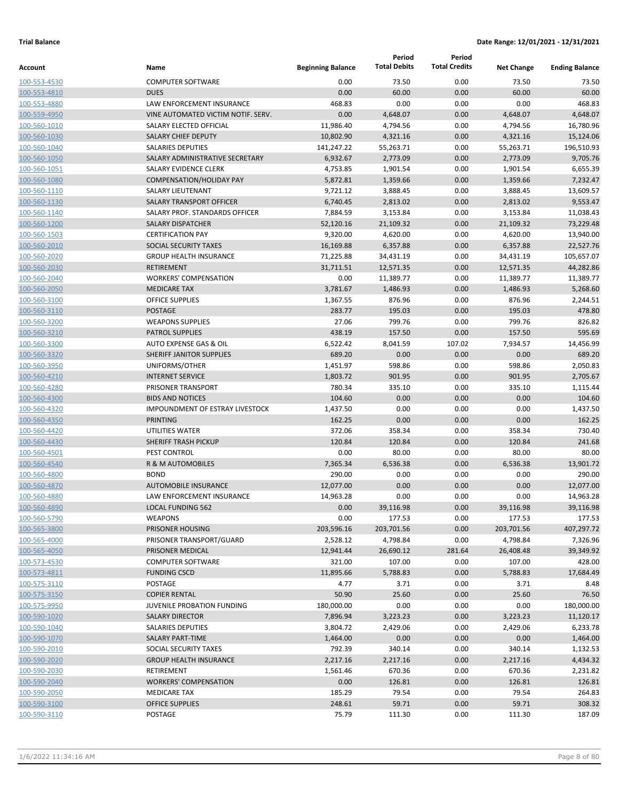|              |                                        |                          | Period              | Period               |                   |                       |
|--------------|----------------------------------------|--------------------------|---------------------|----------------------|-------------------|-----------------------|
| Account      | Name                                   | <b>Beginning Balance</b> | <b>Total Debits</b> | <b>Total Credits</b> | <b>Net Change</b> | <b>Ending Balance</b> |
| 100-553-4530 | <b>COMPUTER SOFTWARE</b>               | 0.00                     | 73.50               | 0.00                 | 73.50             | 73.50                 |
| 100-553-4810 | <b>DUES</b>                            | 0.00                     | 60.00               | 0.00                 | 60.00             | 60.00                 |
| 100-553-4880 | LAW ENFORCEMENT INSURANCE              | 468.83                   | 0.00                | 0.00                 | 0.00              | 468.83                |
| 100-559-4950 | VINE AUTOMATED VICTIM NOTIF. SERV.     | 0.00                     | 4,648.07            | 0.00                 | 4,648.07          | 4,648.07              |
| 100-560-1010 | SALARY ELECTED OFFICIAL                | 11,986.40                | 4,794.56            | 0.00                 | 4,794.56          | 16,780.96             |
| 100-560-1030 | <b>SALARY CHIEF DEPUTY</b>             | 10,802.90                | 4,321.16            | 0.00                 | 4,321.16          | 15,124.06             |
| 100-560-1040 | <b>SALARIES DEPUTIES</b>               | 141,247.22               | 55,263.71           | 0.00                 | 55,263.71         | 196,510.93            |
| 100-560-1050 | SALARY ADMINISTRATIVE SECRETARY        | 6,932.67                 | 2,773.09            | 0.00                 | 2,773.09          | 9,705.76              |
| 100-560-1051 | <b>SALARY EVIDENCE CLERK</b>           | 4,753.85                 | 1,901.54            | 0.00                 | 1,901.54          | 6,655.39              |
| 100-560-1080 | <b>COMPENSATION/HOLIDAY PAY</b>        | 5,872.81                 | 1,359.66            | 0.00                 | 1,359.66          | 7,232.47              |
| 100-560-1110 | <b>SALARY LIEUTENANT</b>               | 9,721.12                 | 3,888.45            | 0.00                 | 3,888.45          | 13,609.57             |
| 100-560-1130 | SALARY TRANSPORT OFFICER               | 6,740.45                 | 2,813.02            | 0.00                 | 2,813.02          | 9,553.47              |
| 100-560-1140 | SALARY PROF. STANDARDS OFFICER         | 7,884.59                 | 3,153.84            | 0.00                 | 3,153.84          | 11,038.43             |
| 100-560-1200 | <b>SALARY DISPATCHER</b>               | 52,120.16                | 21,109.32           | 0.00                 | 21,109.32         | 73,229.48             |
| 100-560-1503 | <b>CERTIFICATION PAY</b>               | 9,320.00                 | 4,620.00            | 0.00                 | 4,620.00          | 13,940.00             |
| 100-560-2010 | <b>SOCIAL SECURITY TAXES</b>           | 16,169.88                | 6,357.88            | 0.00                 | 6,357.88          | 22,527.76             |
| 100-560-2020 | <b>GROUP HEALTH INSURANCE</b>          | 71,225.88                | 34,431.19           | 0.00                 | 34,431.19         | 105,657.07            |
| 100-560-2030 | <b>RETIREMENT</b>                      | 31,711.51                | 12,571.35           | 0.00                 | 12,571.35         | 44,282.86             |
| 100-560-2040 | <b>WORKERS' COMPENSATION</b>           | 0.00                     | 11,389.77           | 0.00                 | 11,389.77         | 11,389.77             |
| 100-560-2050 | <b>MEDICARE TAX</b>                    | 3,781.67                 | 1,486.93            | 0.00                 | 1,486.93          | 5,268.60              |
| 100-560-3100 | <b>OFFICE SUPPLIES</b>                 | 1,367.55                 | 876.96              | 0.00                 | 876.96            | 2,244.51              |
| 100-560-3110 | <b>POSTAGE</b>                         | 283.77                   | 195.03              | 0.00                 | 195.03            | 478.80                |
| 100-560-3200 | <b>WEAPONS SUPPLIES</b>                | 27.06                    | 799.76              | 0.00                 | 799.76            | 826.82                |
| 100-560-3210 | <b>PATROL SUPPLIES</b>                 | 438.19                   | 157.50              | 0.00                 | 157.50            | 595.69                |
| 100-560-3300 | AUTO EXPENSE GAS & OIL                 | 6,522.42                 | 8,041.59            | 107.02               | 7,934.57          | 14,456.99             |
| 100-560-3320 | SHERIFF JANITOR SUPPLIES               | 689.20                   | 0.00                | 0.00                 | 0.00              | 689.20                |
| 100-560-3950 | UNIFORMS/OTHER                         | 1,451.97                 | 598.86              | 0.00                 | 598.86            | 2,050.83              |
| 100-560-4210 | <b>INTERNET SERVICE</b>                | 1,803.72                 | 901.95              | 0.00                 | 901.95            | 2,705.67              |
| 100-560-4280 | PRISONER TRANSPORT                     | 780.34                   | 335.10              | 0.00                 | 335.10            | 1,115.44              |
| 100-560-4300 | <b>BIDS AND NOTICES</b>                | 104.60                   | 0.00                | 0.00                 | 0.00              | 104.60                |
| 100-560-4320 | <b>IMPOUNDMENT OF ESTRAY LIVESTOCK</b> | 1,437.50                 | 0.00                | 0.00                 | 0.00              | 1,437.50              |
| 100-560-4350 | <b>PRINTING</b>                        | 162.25                   | 0.00                | 0.00                 | 0.00              | 162.25                |
| 100-560-4420 | UTILITIES WATER                        | 372.06                   | 358.34              | 0.00                 | 358.34            | 730.40                |
| 100-560-4430 | <b>SHERIFF TRASH PICKUP</b>            | 120.84                   | 120.84              | 0.00                 | 120.84            | 241.68                |
| 100-560-4501 | PEST CONTROL                           | 0.00                     | 80.00               | 0.00                 | 80.00             | 80.00                 |
| 100-560-4540 | <b>R &amp; M AUTOMOBILES</b>           | 7,365.34                 | 6,536.38            | 0.00                 | 6,536.38          | 13,901.72             |
| 100-560-4800 | <b>BOND</b>                            | 290.00                   | 0.00                | 0.00                 | 0.00              | 290.00                |
| 100-560-4870 | <b>AUTOMOBILE INSURANCE</b>            | 12,077.00                | 0.00                | 0.00                 | 0.00              | 12,077.00             |
| 100-560-4880 | <b>LAW ENFORCEMENT INSURANCE</b>       | 14,963.28                | 0.00                | 0.00                 | 0.00              | 14,963.28             |
| 100-560-4890 | <b>LOCAL FUNDING 562</b>               | 0.00                     | 39,116.98           | 0.00                 | 39,116.98         | 39,116.98             |
| 100-560-5790 | <b>WEAPONS</b>                         | 0.00                     | 177.53              | 0.00                 | 177.53            | 177.53                |
| 100-565-3800 | PRISONER HOUSING                       | 203,596.16               | 203,701.56          | 0.00                 | 203,701.56        | 407,297.72            |
| 100-565-4000 | PRISONER TRANSPORT/GUARD               | 2,528.12                 | 4,798.84            | 0.00                 | 4,798.84          | 7,326.96              |
| 100-565-4050 | PRISONER MEDICAL                       | 12,941.44                | 26,690.12           | 281.64               | 26,408.48         | 39,349.92             |
| 100-573-4530 | <b>COMPUTER SOFTWARE</b>               | 321.00                   | 107.00              | 0.00                 | 107.00            | 428.00                |
| 100-573-4811 | <b>FUNDING CSCD</b>                    | 11,895.66                | 5,788.83            | 0.00                 | 5,788.83          | 17,684.49             |
| 100-575-3110 | <b>POSTAGE</b>                         | 4.77                     | 3.71                | 0.00                 | 3.71              | 8.48                  |
| 100-575-3150 | <b>COPIER RENTAL</b>                   | 50.90                    | 25.60               | 0.00                 | 25.60             | 76.50                 |
| 100-575-9950 | JUVENILE PROBATION FUNDING             | 180,000.00               | 0.00                | 0.00                 | 0.00              | 180,000.00            |
| 100-590-1020 | <b>SALARY DIRECTOR</b>                 | 7,896.94                 | 3,223.23            | 0.00                 | 3,223.23          | 11,120.17             |
| 100-590-1040 | SALARIES DEPUTIES                      | 3,804.72                 | 2,429.06            | 0.00                 | 2,429.06          | 6,233.78              |
| 100-590-1070 | SALARY PART-TIME                       | 1,464.00                 | 0.00                | 0.00                 | 0.00              | 1,464.00              |
| 100-590-2010 | SOCIAL SECURITY TAXES                  | 792.39                   | 340.14              | 0.00                 | 340.14            | 1,132.53              |
| 100-590-2020 | <b>GROUP HEALTH INSURANCE</b>          | 2,217.16                 | 2,217.16            | 0.00                 | 2,217.16          | 4,434.32              |
| 100-590-2030 | RETIREMENT                             | 1,561.46                 | 670.36              | 0.00                 | 670.36            | 2,231.82              |
| 100-590-2040 | <b>WORKERS' COMPENSATION</b>           | 0.00                     | 126.81              | 0.00                 | 126.81            | 126.81                |
| 100-590-2050 | <b>MEDICARE TAX</b>                    | 185.29                   | 79.54               | 0.00                 | 79.54             | 264.83                |
| 100-590-3100 | <b>OFFICE SUPPLIES</b>                 | 248.61                   | 59.71               | 0.00                 | 59.71             | 308.32<br>187.09      |
| 100-590-3110 | POSTAGE                                | 75.79                    | 111.30              | 0.00                 | 111.30            |                       |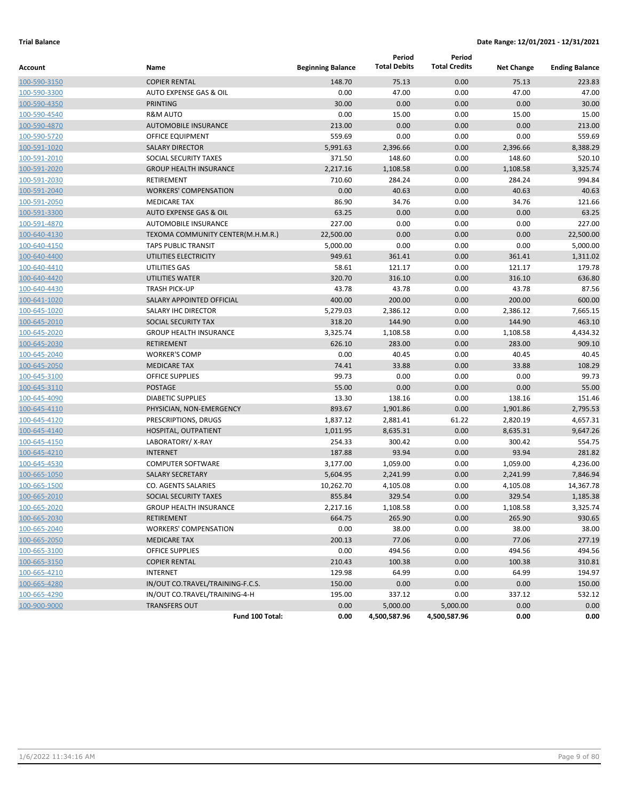|              |                                   |                          | Period              | Period               |                   |                       |
|--------------|-----------------------------------|--------------------------|---------------------|----------------------|-------------------|-----------------------|
| Account      | Name                              | <b>Beginning Balance</b> | <b>Total Debits</b> | <b>Total Credits</b> | <b>Net Change</b> | <b>Ending Balance</b> |
| 100-590-3150 | <b>COPIER RENTAL</b>              | 148.70                   | 75.13               | 0.00                 | 75.13             | 223.83                |
| 100-590-3300 | AUTO EXPENSE GAS & OIL            | 0.00                     | 47.00               | 0.00                 | 47.00             | 47.00                 |
| 100-590-4350 | <b>PRINTING</b>                   | 30.00                    | 0.00                | 0.00                 | 0.00              | 30.00                 |
| 100-590-4540 | <b>R&amp;M AUTO</b>               | 0.00                     | 15.00               | 0.00                 | 15.00             | 15.00                 |
| 100-590-4870 | <b>AUTOMOBILE INSURANCE</b>       | 213.00                   | 0.00                | 0.00                 | 0.00              | 213.00                |
| 100-590-5720 | OFFICE EQUIPMENT                  | 559.69                   | 0.00                | 0.00                 | 0.00              | 559.69                |
| 100-591-1020 | <b>SALARY DIRECTOR</b>            | 5,991.63                 | 2,396.66            | 0.00                 | 2,396.66          | 8,388.29              |
| 100-591-2010 | SOCIAL SECURITY TAXES             | 371.50                   | 148.60              | 0.00                 | 148.60            | 520.10                |
| 100-591-2020 | <b>GROUP HEALTH INSURANCE</b>     | 2,217.16                 | 1,108.58            | 0.00                 | 1,108.58          | 3,325.74              |
| 100-591-2030 | RETIREMENT                        | 710.60                   | 284.24              | 0.00                 | 284.24            | 994.84                |
| 100-591-2040 | <b>WORKERS' COMPENSATION</b>      | 0.00                     | 40.63               | 0.00                 | 40.63             | 40.63                 |
| 100-591-2050 | <b>MEDICARE TAX</b>               | 86.90                    | 34.76               | 0.00                 | 34.76             | 121.66                |
| 100-591-3300 | <b>AUTO EXPENSE GAS &amp; OIL</b> | 63.25                    | 0.00                | 0.00                 | 0.00              | 63.25                 |
| 100-591-4870 | AUTOMOBILE INSURANCE              | 227.00                   | 0.00                | 0.00                 | 0.00              | 227.00                |
| 100-640-4130 | TEXOMA COMMUNITY CENTER(M.H.M.R.) | 22,500.00                | 0.00                | 0.00                 | 0.00              | 22,500.00             |
| 100-640-4150 | <b>TAPS PUBLIC TRANSIT</b>        | 5,000.00                 | 0.00                | 0.00                 | 0.00              | 5,000.00              |
| 100-640-4400 | UTILITIES ELECTRICITY             | 949.61                   | 361.41              | 0.00                 | 361.41            | 1,311.02              |
| 100-640-4410 | UTILITIES GAS                     | 58.61                    | 121.17              | 0.00                 | 121.17            | 179.78                |
| 100-640-4420 | UTILITIES WATER                   | 320.70                   | 316.10              | 0.00                 | 316.10            | 636.80                |
| 100-640-4430 | <b>TRASH PICK-UP</b>              | 43.78                    | 43.78               | 0.00                 | 43.78             | 87.56                 |
| 100-641-1020 | SALARY APPOINTED OFFICIAL         | 400.00                   | 200.00              | 0.00                 | 200.00            | 600.00                |
| 100-645-1020 | SALARY IHC DIRECTOR               | 5,279.03                 | 2,386.12            | 0.00                 | 2,386.12          | 7,665.15              |
| 100-645-2010 | SOCIAL SECURITY TAX               | 318.20                   | 144.90              | 0.00                 | 144.90            | 463.10                |
| 100-645-2020 | <b>GROUP HEALTH INSURANCE</b>     | 3,325.74                 | 1,108.58            | 0.00                 | 1,108.58          | 4,434.32              |
| 100-645-2030 | RETIREMENT                        | 626.10                   | 283.00              | 0.00                 | 283.00            | 909.10                |
| 100-645-2040 | <b>WORKER'S COMP</b>              | 0.00                     | 40.45               | 0.00                 | 40.45             | 40.45                 |
| 100-645-2050 | <b>MEDICARE TAX</b>               | 74.41                    | 33.88               | 0.00                 | 33.88             | 108.29                |
| 100-645-3100 | <b>OFFICE SUPPLIES</b>            | 99.73                    | 0.00                | 0.00                 | 0.00              | 99.73                 |
| 100-645-3110 | <b>POSTAGE</b>                    | 55.00                    | 0.00                | 0.00                 | 0.00              | 55.00                 |
| 100-645-4090 | <b>DIABETIC SUPPLIES</b>          | 13.30                    | 138.16              | 0.00                 | 138.16            | 151.46                |
| 100-645-4110 | PHYSICIAN, NON-EMERGENCY          | 893.67                   | 1,901.86            | 0.00                 | 1,901.86          | 2,795.53              |
| 100-645-4120 | PRESCRIPTIONS, DRUGS              | 1,837.12                 | 2,881.41            | 61.22                | 2,820.19          | 4,657.31              |
| 100-645-4140 | HOSPITAL, OUTPATIENT              | 1,011.95                 | 8,635.31            | 0.00                 | 8,635.31          | 9,647.26              |
| 100-645-4150 | LABORATORY/X-RAY                  | 254.33                   | 300.42              | 0.00                 | 300.42            | 554.75                |
| 100-645-4210 | <b>INTERNET</b>                   | 187.88                   | 93.94               | 0.00                 | 93.94             | 281.82                |
| 100-645-4530 | <b>COMPUTER SOFTWARE</b>          | 3,177.00                 | 1,059.00            | 0.00                 | 1,059.00          | 4,236.00              |
| 100-665-1050 | <b>SALARY SECRETARY</b>           | 5,604.95                 | 2,241.99            | 0.00                 | 2,241.99          | 7,846.94              |
| 100-665-1500 | <b>CO. AGENTS SALARIES</b>        | 10,262.70                | 4,105.08            | 0.00                 | 4,105.08          | 14,367.78             |
| 100-665-2010 | SOCIAL SECURITY TAXES             | 855.84                   | 329.54              | 0.00                 | 329.54            | 1,185.38              |
| 100-665-2020 | <b>GROUP HEALTH INSURANCE</b>     | 2,217.16                 | 1,108.58            | 0.00                 | 1,108.58          | 3,325.74              |
| 100-665-2030 | RETIREMENT                        | 664.75                   | 265.90              | 0.00                 | 265.90            | 930.65                |
| 100-665-2040 | <b>WORKERS' COMPENSATION</b>      | 0.00                     | 38.00               | 0.00                 | 38.00             | 38.00                 |
| 100-665-2050 | <b>MEDICARE TAX</b>               | 200.13                   | 77.06               | 0.00                 | 77.06             | 277.19                |
| 100-665-3100 | OFFICE SUPPLIES                   | 0.00                     | 494.56              | 0.00                 | 494.56            | 494.56                |
| 100-665-3150 | <b>COPIER RENTAL</b>              | 210.43                   | 100.38              | 0.00                 | 100.38            | 310.81                |
| 100-665-4210 | <b>INTERNET</b>                   | 129.98                   | 64.99               | 0.00                 | 64.99             | 194.97                |
| 100-665-4280 | IN/OUT CO.TRAVEL/TRAINING-F.C.S.  | 150.00                   | 0.00                | 0.00                 | 0.00              | 150.00                |
| 100-665-4290 | IN/OUT CO.TRAVEL/TRAINING-4-H     | 195.00                   | 337.12              | 0.00                 | 337.12            | 532.12                |
| 100-900-9000 | <b>TRANSFERS OUT</b>              | 0.00                     | 5,000.00            | 5,000.00             | 0.00              | 0.00                  |
|              | Fund 100 Total:                   | 0.00                     | 4,500,587.96        | 4,500,587.96         | 0.00              | 0.00                  |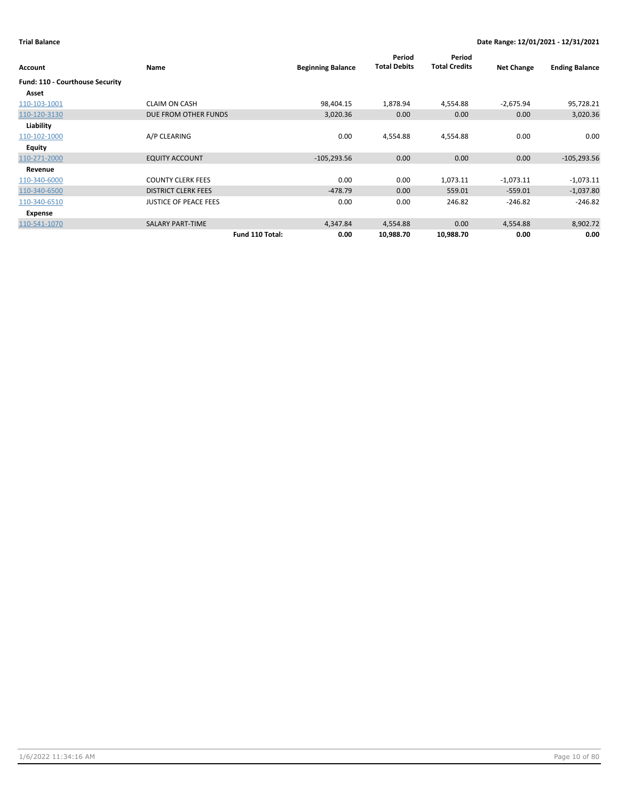| Account                         | Name                         | <b>Beginning Balance</b> | Period<br><b>Total Debits</b> | Period<br><b>Total Credits</b> | <b>Net Change</b> | <b>Ending Balance</b> |
|---------------------------------|------------------------------|--------------------------|-------------------------------|--------------------------------|-------------------|-----------------------|
| Fund: 110 - Courthouse Security |                              |                          |                               |                                |                   |                       |
| Asset                           |                              |                          |                               |                                |                   |                       |
| 110-103-1001                    | <b>CLAIM ON CASH</b>         | 98,404.15                | 1,878.94                      | 4,554.88                       | $-2,675.94$       | 95,728.21             |
| 110-120-3130                    | DUE FROM OTHER FUNDS         | 3,020.36                 | 0.00                          | 0.00                           | 0.00              | 3,020.36              |
| Liability                       |                              |                          |                               |                                |                   |                       |
| 110-102-1000                    | A/P CLEARING                 | 0.00                     | 4,554.88                      | 4,554.88                       | 0.00              | 0.00                  |
| <b>Equity</b>                   |                              |                          |                               |                                |                   |                       |
| 110-271-2000                    | <b>EQUITY ACCOUNT</b>        | $-105,293.56$            | 0.00                          | 0.00                           | 0.00              | $-105,293.56$         |
| Revenue                         |                              |                          |                               |                                |                   |                       |
| 110-340-6000                    | <b>COUNTY CLERK FEES</b>     | 0.00                     | 0.00                          | 1,073.11                       | $-1,073.11$       | $-1,073.11$           |
| 110-340-6500                    | <b>DISTRICT CLERK FEES</b>   | $-478.79$                | 0.00                          | 559.01                         | $-559.01$         | $-1,037.80$           |
| 110-340-6510                    | <b>JUSTICE OF PEACE FEES</b> | 0.00                     | 0.00                          | 246.82                         | $-246.82$         | $-246.82$             |
| Expense                         |                              |                          |                               |                                |                   |                       |
| 110-541-1070                    | <b>SALARY PART-TIME</b>      | 4,347.84                 | 4,554.88                      | 0.00                           | 4,554.88          | 8,902.72              |
|                                 | Fund 110 Total:              | 0.00                     | 10,988.70                     | 10,988.70                      | 0.00              | 0.00                  |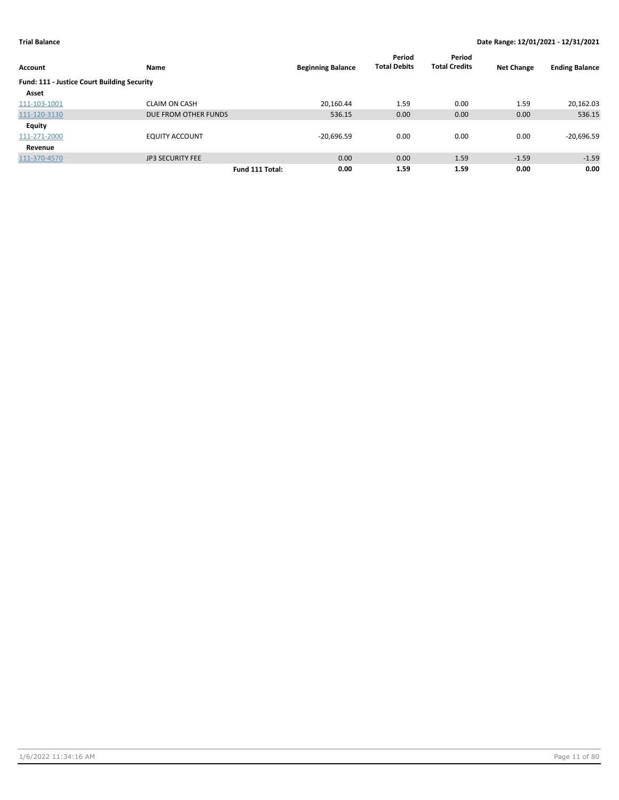|                                             |                         |                 |                          | Period              | Period               |                   |                       |
|---------------------------------------------|-------------------------|-----------------|--------------------------|---------------------|----------------------|-------------------|-----------------------|
| <b>Account</b>                              | Name                    |                 | <b>Beginning Balance</b> | <b>Total Debits</b> | <b>Total Credits</b> | <b>Net Change</b> | <b>Ending Balance</b> |
| Fund: 111 - Justice Court Building Security |                         |                 |                          |                     |                      |                   |                       |
| Asset                                       |                         |                 |                          |                     |                      |                   |                       |
| 111-103-1001                                | <b>CLAIM ON CASH</b>    |                 | 20,160.44                | 1.59                | 0.00                 | 1.59              | 20,162.03             |
| 111-120-3130                                | DUE FROM OTHER FUNDS    |                 | 536.15                   | 0.00                | 0.00                 | 0.00              | 536.15                |
| Equity                                      |                         |                 |                          |                     |                      |                   |                       |
| 111-271-2000                                | <b>EQUITY ACCOUNT</b>   |                 | $-20,696.59$             | 0.00                | 0.00                 | 0.00              | $-20,696.59$          |
| Revenue                                     |                         |                 |                          |                     |                      |                   |                       |
| 111-370-4570                                | <b>JP3 SECURITY FEE</b> |                 | 0.00                     | 0.00                | 1.59                 | $-1.59$           | $-1.59$               |
|                                             |                         | Fund 111 Total: | 0.00                     | 1.59                | 1.59                 | 0.00              | 0.00                  |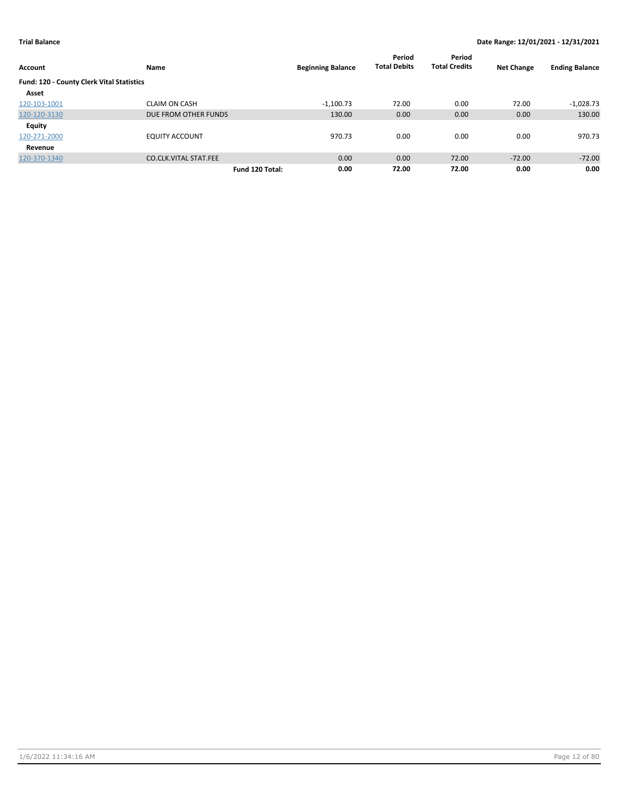| Account                                   | Name                         | <b>Beginning Balance</b> | Period<br><b>Total Debits</b> | Period<br><b>Total Credits</b> | <b>Net Change</b> | <b>Ending Balance</b> |
|-------------------------------------------|------------------------------|--------------------------|-------------------------------|--------------------------------|-------------------|-----------------------|
| Fund: 120 - County Clerk Vital Statistics |                              |                          |                               |                                |                   |                       |
| Asset                                     |                              |                          |                               |                                |                   |                       |
| 120-103-1001                              | <b>CLAIM ON CASH</b>         | $-1,100.73$              | 72.00                         | 0.00                           | 72.00             | $-1,028.73$           |
| 120-120-3130                              | DUE FROM OTHER FUNDS         | 130.00                   | 0.00                          | 0.00                           | 0.00              | 130.00                |
| <b>Equity</b>                             |                              |                          |                               |                                |                   |                       |
| 120-271-2000                              | <b>EQUITY ACCOUNT</b>        | 970.73                   | 0.00                          | 0.00                           | 0.00              | 970.73                |
| Revenue                                   |                              |                          |                               |                                |                   |                       |
| 120-370-1340                              | <b>CO.CLK.VITAL STAT.FEE</b> | 0.00                     | 0.00                          | 72.00                          | $-72.00$          | $-72.00$              |
|                                           |                              | 0.00<br>Fund 120 Total:  | 72.00                         | 72.00                          | 0.00              | 0.00                  |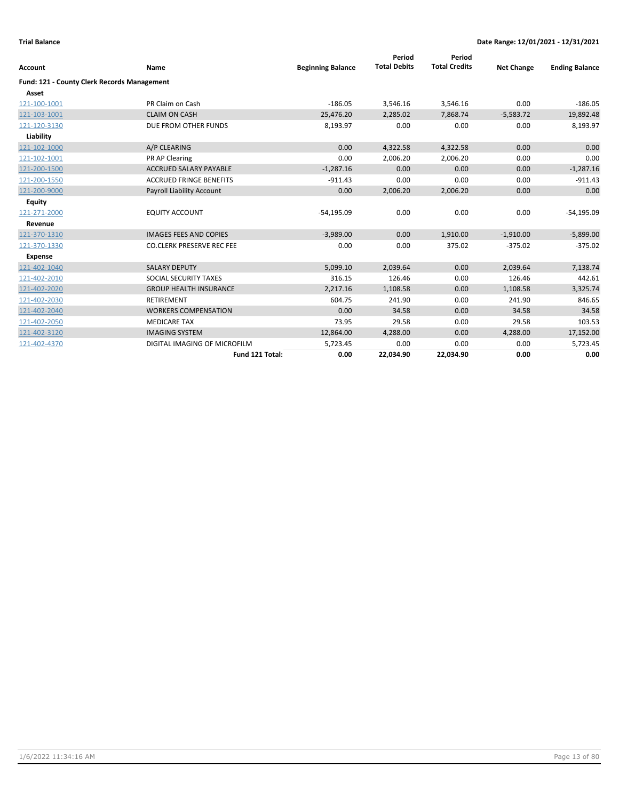| <b>Account</b>                                     | Name                             | <b>Beginning Balance</b> | Period<br><b>Total Debits</b> | Period<br><b>Total Credits</b> | <b>Net Change</b> | <b>Ending Balance</b> |
|----------------------------------------------------|----------------------------------|--------------------------|-------------------------------|--------------------------------|-------------------|-----------------------|
|                                                    |                                  |                          |                               |                                |                   |                       |
| <b>Fund: 121 - County Clerk Records Management</b> |                                  |                          |                               |                                |                   |                       |
| Asset                                              |                                  |                          |                               |                                |                   |                       |
| 121-100-1001                                       | PR Claim on Cash                 | $-186.05$                | 3,546.16                      | 3,546.16                       | 0.00              | $-186.05$             |
| 121-103-1001                                       | <b>CLAIM ON CASH</b>             | 25,476.20                | 2,285.02                      | 7,868.74                       | $-5,583.72$       | 19,892.48             |
| 121-120-3130                                       | DUE FROM OTHER FUNDS             | 8,193.97                 | 0.00                          | 0.00                           | 0.00              | 8,193.97              |
| Liability                                          |                                  |                          |                               |                                |                   |                       |
| 121-102-1000                                       | A/P CLEARING                     | 0.00                     | 4,322.58                      | 4,322.58                       | 0.00              | 0.00                  |
| 121-102-1001                                       | PR AP Clearing                   | 0.00                     | 2,006.20                      | 2,006.20                       | 0.00              | 0.00                  |
| 121-200-1500                                       | <b>ACCRUED SALARY PAYABLE</b>    | $-1,287.16$              | 0.00                          | 0.00                           | 0.00              | $-1,287.16$           |
| 121-200-1550                                       | <b>ACCRUED FRINGE BENEFITS</b>   | $-911.43$                | 0.00                          | 0.00                           | 0.00              | $-911.43$             |
| 121-200-9000                                       | <b>Payroll Liability Account</b> | 0.00                     | 2,006.20                      | 2,006.20                       | 0.00              | 0.00                  |
| <b>Equity</b>                                      |                                  |                          |                               |                                |                   |                       |
| 121-271-2000                                       | <b>EQUITY ACCOUNT</b>            | $-54.195.09$             | 0.00                          | 0.00                           | 0.00              | $-54,195.09$          |
| Revenue                                            |                                  |                          |                               |                                |                   |                       |
| 121-370-1310                                       | <b>IMAGES FEES AND COPIES</b>    | $-3,989.00$              | 0.00                          | 1,910.00                       | $-1,910.00$       | $-5,899.00$           |
| 121-370-1330                                       | <b>CO.CLERK PRESERVE REC FEE</b> | 0.00                     | 0.00                          | 375.02                         | $-375.02$         | $-375.02$             |
| <b>Expense</b>                                     |                                  |                          |                               |                                |                   |                       |
| 121-402-1040                                       | <b>SALARY DEPUTY</b>             | 5,099.10                 | 2,039.64                      | 0.00                           | 2.039.64          | 7,138.74              |
| 121-402-2010                                       | SOCIAL SECURITY TAXES            | 316.15                   | 126.46                        | 0.00                           | 126.46            | 442.61                |
| 121-402-2020                                       | <b>GROUP HEALTH INSURANCE</b>    | 2,217.16                 | 1,108.58                      | 0.00                           | 1,108.58          | 3,325.74              |
| 121-402-2030                                       | <b>RETIREMENT</b>                | 604.75                   | 241.90                        | 0.00                           | 241.90            | 846.65                |
| 121-402-2040                                       | <b>WORKERS COMPENSATION</b>      | 0.00                     | 34.58                         | 0.00                           | 34.58             | 34.58                 |
| 121-402-2050                                       | <b>MEDICARE TAX</b>              | 73.95                    | 29.58                         | 0.00                           | 29.58             | 103.53                |
| 121-402-3120                                       | <b>IMAGING SYSTEM</b>            | 12,864.00                | 4,288.00                      | 0.00                           | 4,288.00          | 17,152.00             |
| 121-402-4370                                       | DIGITAL IMAGING OF MICROFILM     | 5,723.45                 | 0.00                          | 0.00                           | 0.00              | 5,723.45              |
|                                                    | Fund 121 Total:                  | 0.00                     | 22,034.90                     | 22,034.90                      | 0.00              | 0.00                  |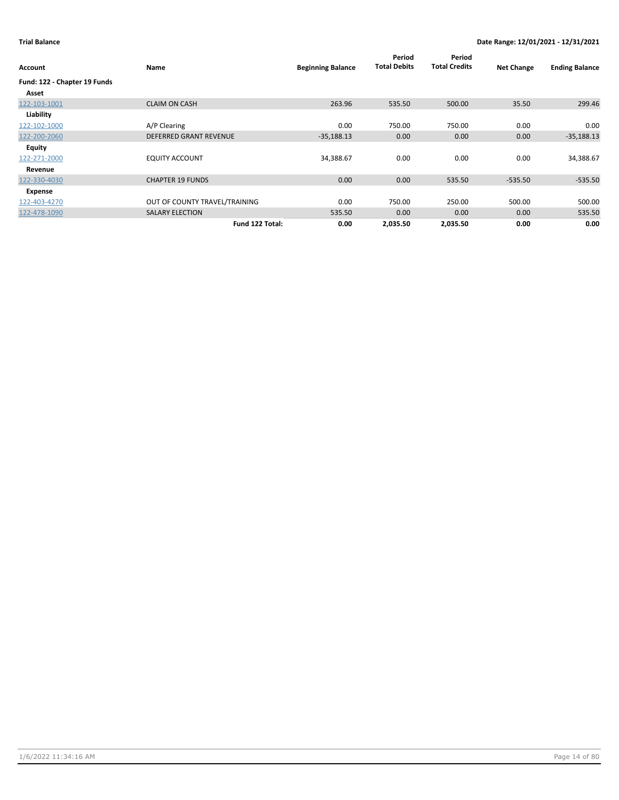| Account                      | Name                          | <b>Beginning Balance</b> | Period<br><b>Total Debits</b> | Period<br><b>Total Credits</b> | <b>Net Change</b> | <b>Ending Balance</b> |
|------------------------------|-------------------------------|--------------------------|-------------------------------|--------------------------------|-------------------|-----------------------|
| Fund: 122 - Chapter 19 Funds |                               |                          |                               |                                |                   |                       |
| Asset                        |                               |                          |                               |                                |                   |                       |
| 122-103-1001                 | <b>CLAIM ON CASH</b>          | 263.96                   | 535.50                        | 500.00                         | 35.50             | 299.46                |
| Liability                    |                               |                          |                               |                                |                   |                       |
| 122-102-1000                 | A/P Clearing                  | 0.00                     | 750.00                        | 750.00                         | 0.00              | 0.00                  |
| 122-200-2060                 | <b>DEFERRED GRANT REVENUE</b> | $-35,188.13$             | 0.00                          | 0.00                           | 0.00              | $-35,188.13$          |
| Equity                       |                               |                          |                               |                                |                   |                       |
| 122-271-2000                 | <b>EQUITY ACCOUNT</b>         | 34,388.67                | 0.00                          | 0.00                           | 0.00              | 34,388.67             |
| Revenue                      |                               |                          |                               |                                |                   |                       |
| 122-330-4030                 | <b>CHAPTER 19 FUNDS</b>       | 0.00                     | 0.00                          | 535.50                         | $-535.50$         | $-535.50$             |
| Expense                      |                               |                          |                               |                                |                   |                       |
| 122-403-4270                 | OUT OF COUNTY TRAVEL/TRAINING | 0.00                     | 750.00                        | 250.00                         | 500.00            | 500.00                |
| 122-478-1090                 | <b>SALARY ELECTION</b>        | 535.50                   | 0.00                          | 0.00                           | 0.00              | 535.50                |
|                              | Fund 122 Total:               | 0.00                     | 2,035.50                      | 2,035.50                       | 0.00              | 0.00                  |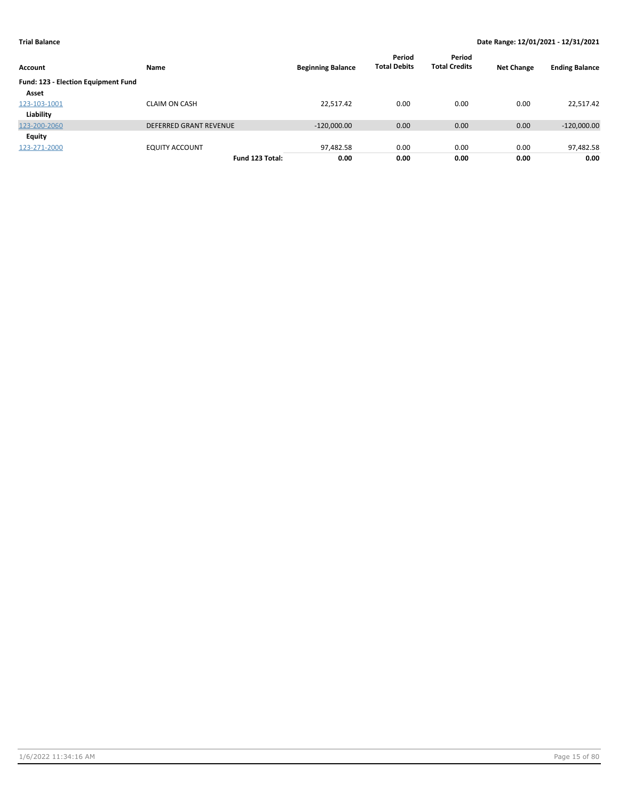| Account                             | Name                          | <b>Beginning Balance</b> | Period<br><b>Total Debits</b> | Period<br><b>Total Credits</b> | <b>Net Change</b> | <b>Ending Balance</b> |
|-------------------------------------|-------------------------------|--------------------------|-------------------------------|--------------------------------|-------------------|-----------------------|
| Fund: 123 - Election Equipment Fund |                               |                          |                               |                                |                   |                       |
| Asset                               |                               |                          |                               |                                |                   |                       |
| 123-103-1001                        | <b>CLAIM ON CASH</b>          | 22,517.42                | 0.00                          | 0.00                           | 0.00              | 22,517.42             |
| Liability                           |                               |                          |                               |                                |                   |                       |
| 123-200-2060                        | <b>DEFERRED GRANT REVENUE</b> | $-120,000.00$            | 0.00                          | 0.00                           | 0.00              | $-120,000.00$         |
| Equity                              |                               |                          |                               |                                |                   |                       |
| 123-271-2000                        | <b>EQUITY ACCOUNT</b>         | 97,482.58                | 0.00                          | 0.00                           | 0.00              | 97,482.58             |
|                                     | Fund 123 Total:               | 0.00                     | 0.00                          | 0.00                           | 0.00              | 0.00                  |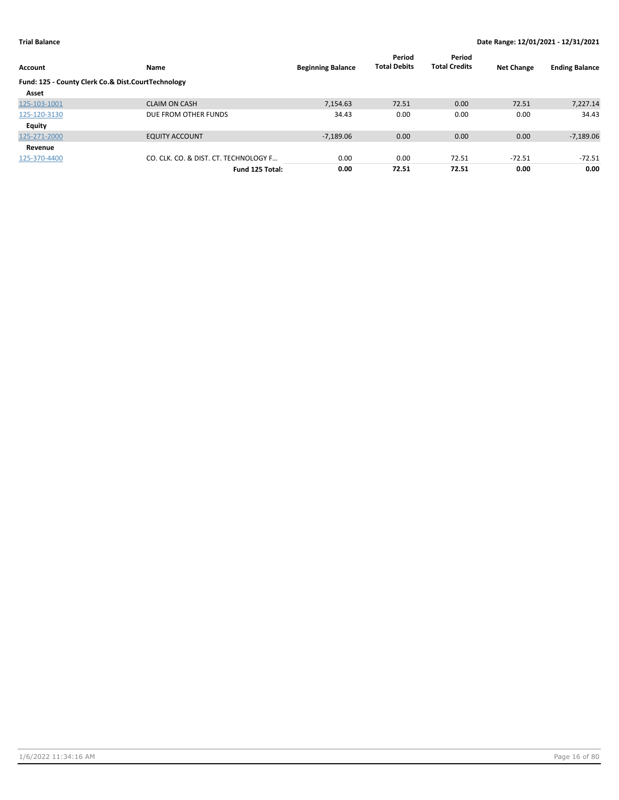| Account                                            | Name                                  | <b>Beginning Balance</b> | Period<br><b>Total Debits</b> | Period<br><b>Total Credits</b> | <b>Net Change</b> | <b>Ending Balance</b> |
|----------------------------------------------------|---------------------------------------|--------------------------|-------------------------------|--------------------------------|-------------------|-----------------------|
| Fund: 125 - County Clerk Co.& Dist.CourtTechnology |                                       |                          |                               |                                |                   |                       |
| Asset                                              |                                       |                          |                               |                                |                   |                       |
| 125-103-1001                                       | <b>CLAIM ON CASH</b>                  | 7.154.63                 | 72.51                         | 0.00                           | 72.51             | 7,227.14              |
| 125-120-3130                                       | DUE FROM OTHER FUNDS                  | 34.43                    | 0.00                          | 0.00                           | 0.00              | 34.43                 |
| Equity                                             |                                       |                          |                               |                                |                   |                       |
| 125-271-2000                                       | <b>EQUITY ACCOUNT</b>                 | $-7,189.06$              | 0.00                          | 0.00                           | 0.00              | $-7,189.06$           |
| Revenue                                            |                                       |                          |                               |                                |                   |                       |
| 125-370-4400                                       | CO. CLK. CO. & DIST. CT. TECHNOLOGY F | 0.00                     | 0.00                          | 72.51                          | $-72.51$          | $-72.51$              |
|                                                    | Fund 125 Total:                       | 0.00                     | 72.51                         | 72.51                          | 0.00              | 0.00                  |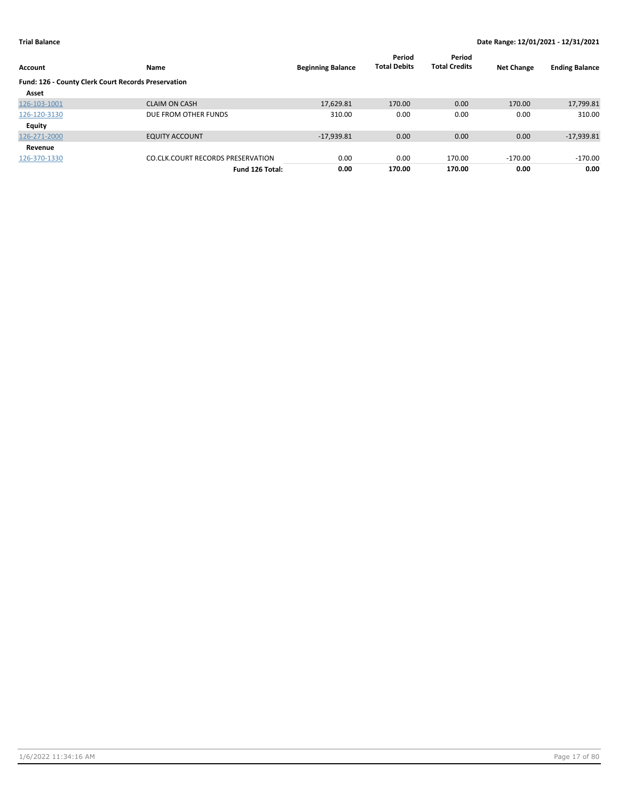| Account                                             | <b>Name</b>                              | <b>Beginning Balance</b> | Period<br><b>Total Debits</b> | Period<br><b>Total Credits</b> | <b>Net Change</b> | <b>Ending Balance</b> |
|-----------------------------------------------------|------------------------------------------|--------------------------|-------------------------------|--------------------------------|-------------------|-----------------------|
| Fund: 126 - County Clerk Court Records Preservation |                                          |                          |                               |                                |                   |                       |
| Asset                                               |                                          |                          |                               |                                |                   |                       |
| 126-103-1001                                        | <b>CLAIM ON CASH</b>                     | 17,629.81                | 170.00                        | 0.00                           | 170.00            | 17,799.81             |
| 126-120-3130                                        | DUE FROM OTHER FUNDS                     | 310.00                   | 0.00                          | 0.00                           | 0.00              | 310.00                |
| <b>Equity</b>                                       |                                          |                          |                               |                                |                   |                       |
| 126-271-2000                                        | <b>EQUITY ACCOUNT</b>                    | $-17,939.81$             | 0.00                          | 0.00                           | 0.00              | $-17,939.81$          |
| Revenue                                             |                                          |                          |                               |                                |                   |                       |
| 126-370-1330                                        | <b>CO.CLK.COURT RECORDS PRESERVATION</b> | 0.00                     | 0.00                          | 170.00                         | $-170.00$         | $-170.00$             |
|                                                     | Fund 126 Total:                          | 0.00                     | 170.00                        | 170.00                         | 0.00              | 0.00                  |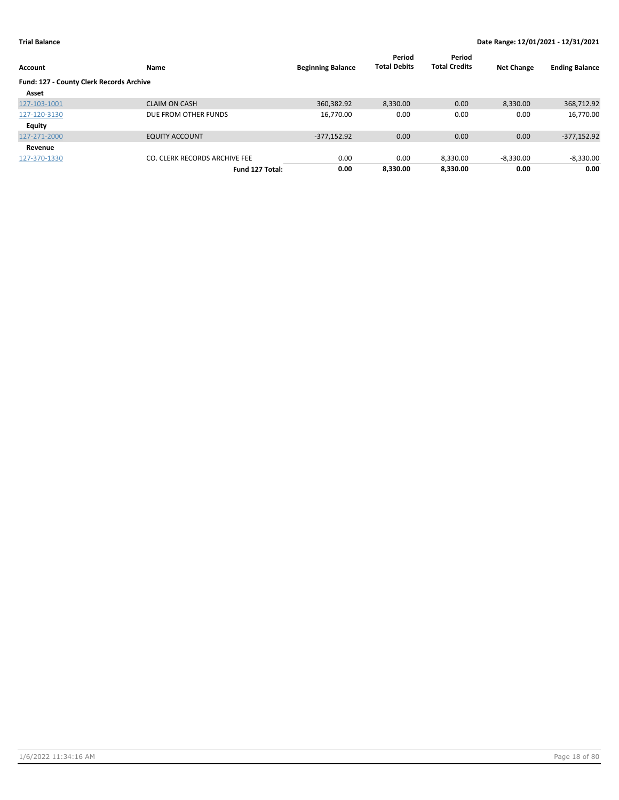| Account                                  | Name                          | <b>Beginning Balance</b> | Period<br><b>Total Debits</b> | Period<br><b>Total Credits</b> | <b>Net Change</b> | <b>Ending Balance</b> |
|------------------------------------------|-------------------------------|--------------------------|-------------------------------|--------------------------------|-------------------|-----------------------|
| Fund: 127 - County Clerk Records Archive |                               |                          |                               |                                |                   |                       |
| Asset                                    |                               |                          |                               |                                |                   |                       |
| 127-103-1001                             | <b>CLAIM ON CASH</b>          | 360,382.92               | 8,330.00                      | 0.00                           | 8,330.00          | 368,712.92            |
| 127-120-3130                             | DUE FROM OTHER FUNDS          | 16,770.00                | 0.00                          | 0.00                           | 0.00              | 16,770.00             |
| Equity                                   |                               |                          |                               |                                |                   |                       |
| 127-271-2000                             | <b>EQUITY ACCOUNT</b>         | $-377,152.92$            | 0.00                          | 0.00                           | 0.00              | $-377,152.92$         |
| Revenue                                  |                               |                          |                               |                                |                   |                       |
| 127-370-1330                             | CO. CLERK RECORDS ARCHIVE FEE | 0.00                     | 0.00                          | 8,330.00                       | $-8,330.00$       | $-8,330.00$           |
|                                          | Fund 127 Total:               | 0.00                     | 8.330.00                      | 8.330.00                       | 0.00              | 0.00                  |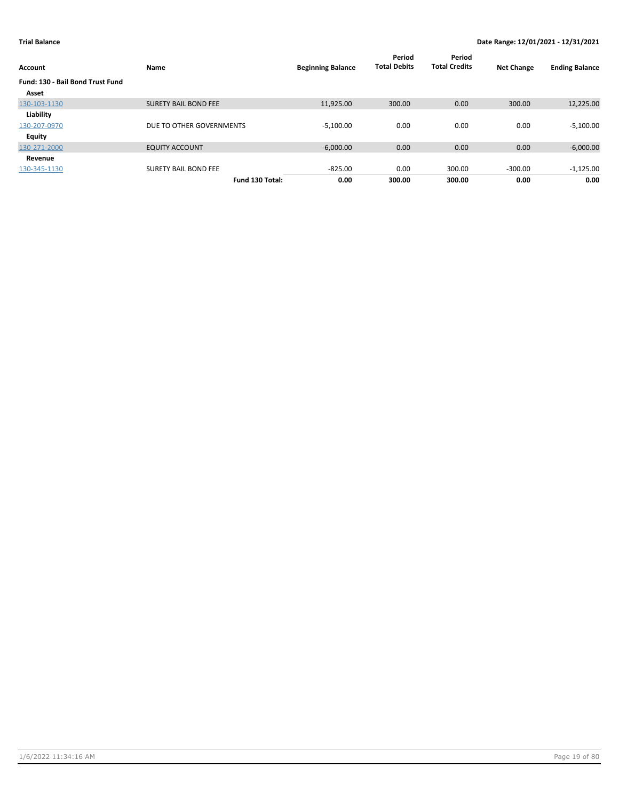| Account                          | Name                        | <b>Beginning Balance</b> | Period<br><b>Total Debits</b> | Period<br><b>Total Credits</b> | <b>Net Change</b> | <b>Ending Balance</b> |
|----------------------------------|-----------------------------|--------------------------|-------------------------------|--------------------------------|-------------------|-----------------------|
| Fund: 130 - Bail Bond Trust Fund |                             |                          |                               |                                |                   |                       |
| Asset                            |                             |                          |                               |                                |                   |                       |
| 130-103-1130                     | <b>SURETY BAIL BOND FEE</b> | 11,925.00                | 300.00                        | 0.00                           | 300.00            | 12,225.00             |
| Liability                        |                             |                          |                               |                                |                   |                       |
| 130-207-0970                     | DUE TO OTHER GOVERNMENTS    | $-5,100.00$              | 0.00                          | 0.00                           | 0.00              | $-5,100.00$           |
| <b>Equity</b>                    |                             |                          |                               |                                |                   |                       |
| 130-271-2000                     | <b>EQUITY ACCOUNT</b>       | $-6,000.00$              | 0.00                          | 0.00                           | 0.00              | $-6,000.00$           |
| Revenue                          |                             |                          |                               |                                |                   |                       |
| 130-345-1130                     | <b>SURETY BAIL BOND FEE</b> | $-825.00$                | 0.00                          | 300.00                         | $-300.00$         | $-1,125.00$           |
|                                  | Fund 130 Total:             | 0.00                     | 300.00                        | 300.00                         | 0.00              | 0.00                  |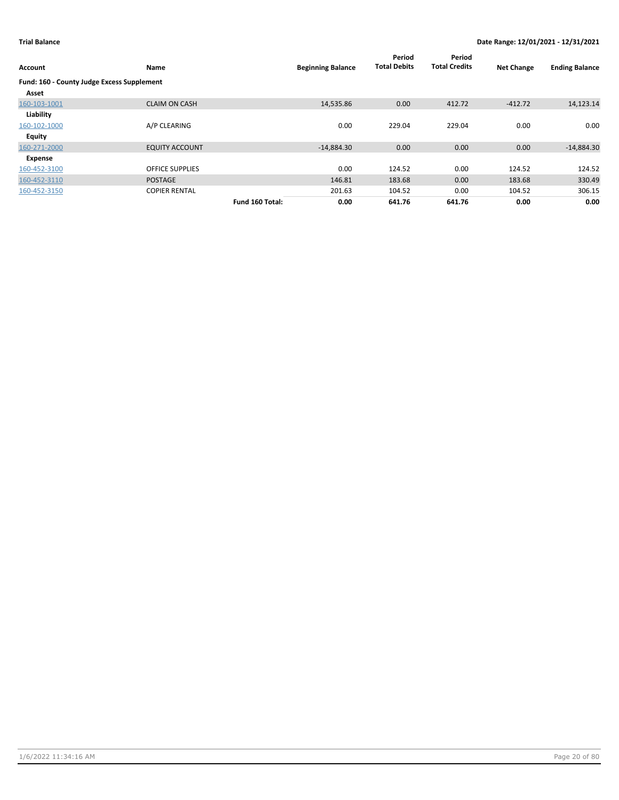| Account                                    | Name                   |                 | <b>Beginning Balance</b> | Period<br><b>Total Debits</b> | Period<br><b>Total Credits</b> | <b>Net Change</b> | <b>Ending Balance</b> |
|--------------------------------------------|------------------------|-----------------|--------------------------|-------------------------------|--------------------------------|-------------------|-----------------------|
| Fund: 160 - County Judge Excess Supplement |                        |                 |                          |                               |                                |                   |                       |
| Asset                                      |                        |                 |                          |                               |                                |                   |                       |
| 160-103-1001                               | <b>CLAIM ON CASH</b>   |                 | 14,535.86                | 0.00                          | 412.72                         | $-412.72$         | 14,123.14             |
| Liability                                  |                        |                 |                          |                               |                                |                   |                       |
| 160-102-1000                               | A/P CLEARING           |                 | 0.00                     | 229.04                        | 229.04                         | 0.00              | 0.00                  |
| Equity                                     |                        |                 |                          |                               |                                |                   |                       |
| 160-271-2000                               | <b>EQUITY ACCOUNT</b>  |                 | $-14,884.30$             | 0.00                          | 0.00                           | 0.00              | $-14,884.30$          |
| Expense                                    |                        |                 |                          |                               |                                |                   |                       |
| 160-452-3100                               | <b>OFFICE SUPPLIES</b> |                 | 0.00                     | 124.52                        | 0.00                           | 124.52            | 124.52                |
| 160-452-3110                               | <b>POSTAGE</b>         |                 | 146.81                   | 183.68                        | 0.00                           | 183.68            | 330.49                |
| 160-452-3150                               | <b>COPIER RENTAL</b>   |                 | 201.63                   | 104.52                        | 0.00                           | 104.52            | 306.15                |
|                                            |                        | Fund 160 Total: | 0.00                     | 641.76                        | 641.76                         | 0.00              | 0.00                  |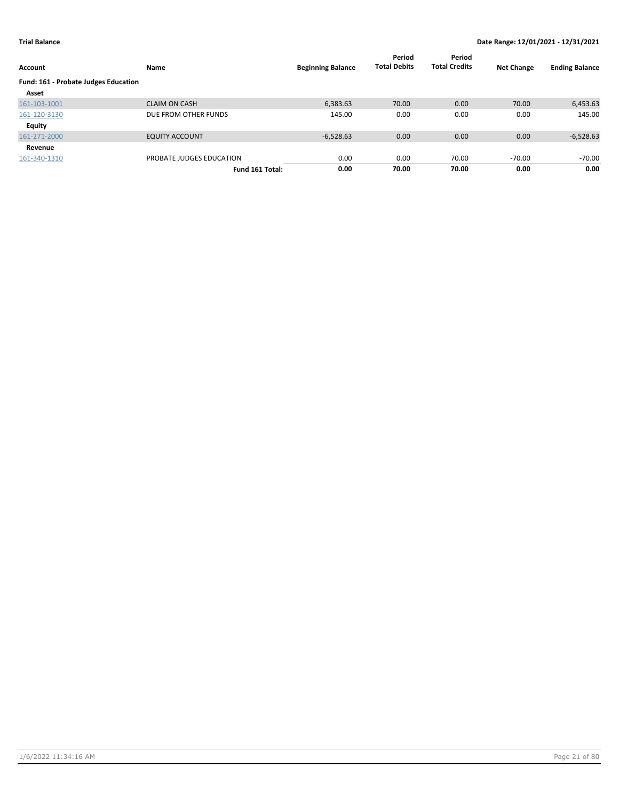| Account                              | Name                     | <b>Beginning Balance</b> | Period<br><b>Total Debits</b> | Period<br><b>Total Credits</b> | <b>Net Change</b> | <b>Ending Balance</b> |
|--------------------------------------|--------------------------|--------------------------|-------------------------------|--------------------------------|-------------------|-----------------------|
| Fund: 161 - Probate Judges Education |                          |                          |                               |                                |                   |                       |
| Asset                                |                          |                          |                               |                                |                   |                       |
| 161-103-1001                         | <b>CLAIM ON CASH</b>     | 6,383.63                 | 70.00                         | 0.00                           | 70.00             | 6,453.63              |
| 161-120-3130                         | DUE FROM OTHER FUNDS     | 145.00                   | 0.00                          | 0.00                           | 0.00              | 145.00                |
| Equity                               |                          |                          |                               |                                |                   |                       |
| 161-271-2000                         | <b>EQUITY ACCOUNT</b>    | $-6,528.63$              | 0.00                          | 0.00                           | 0.00              | $-6,528.63$           |
| Revenue                              |                          |                          |                               |                                |                   |                       |
| 161-340-1310                         | PROBATE JUDGES EDUCATION | 0.00                     | 0.00                          | 70.00                          | $-70.00$          | -70.00                |
|                                      | Fund 161 Total:          | 0.00                     | 70.00                         | 70.00                          | 0.00              | 0.00                  |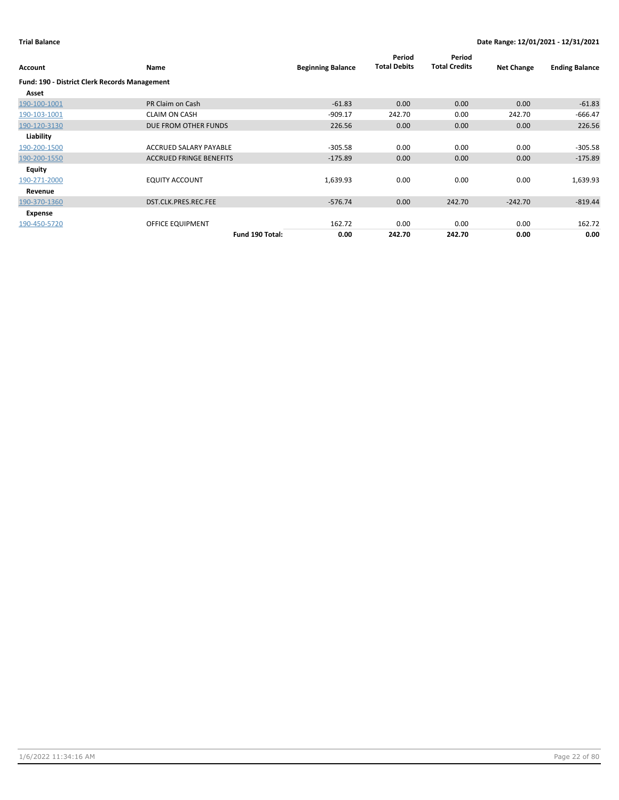| <b>Account</b>                                       | <b>Name</b>                    | <b>Beginning Balance</b> | Period<br><b>Total Debits</b> | Period<br><b>Total Credits</b> | <b>Net Change</b> | <b>Ending Balance</b> |
|------------------------------------------------------|--------------------------------|--------------------------|-------------------------------|--------------------------------|-------------------|-----------------------|
| <b>Fund: 190 - District Clerk Records Management</b> |                                |                          |                               |                                |                   |                       |
| Asset                                                |                                |                          |                               |                                |                   |                       |
| 190-100-1001                                         | PR Claim on Cash               | $-61.83$                 | 0.00                          | 0.00                           | 0.00              | $-61.83$              |
| 190-103-1001                                         | <b>CLAIM ON CASH</b>           | $-909.17$                | 242.70                        | 0.00                           | 242.70            | $-666.47$             |
| 190-120-3130                                         | DUE FROM OTHER FUNDS           | 226.56                   | 0.00                          | 0.00                           | 0.00              | 226.56                |
| Liability                                            |                                |                          |                               |                                |                   |                       |
| 190-200-1500                                         | ACCRUED SALARY PAYABLE         | $-305.58$                | 0.00                          | 0.00                           | 0.00              | -305.58               |
| 190-200-1550                                         | <b>ACCRUED FRINGE BENEFITS</b> | $-175.89$                | 0.00                          | 0.00                           | 0.00              | $-175.89$             |
| Equity                                               |                                |                          |                               |                                |                   |                       |
| 190-271-2000                                         | <b>EQUITY ACCOUNT</b>          | 1,639.93                 | 0.00                          | 0.00                           | 0.00              | 1,639.93              |
| Revenue                                              |                                |                          |                               |                                |                   |                       |
| 190-370-1360                                         | DST.CLK.PRES.REC.FEE           | $-576.74$                | 0.00                          | 242.70                         | $-242.70$         | $-819.44$             |
| Expense                                              |                                |                          |                               |                                |                   |                       |
| 190-450-5720                                         | OFFICE EQUIPMENT               | 162.72                   | 0.00                          | 0.00                           | 0.00              | 162.72                |
|                                                      | Fund 190 Total:                | 0.00                     | 242.70                        | 242.70                         | 0.00              | 0.00                  |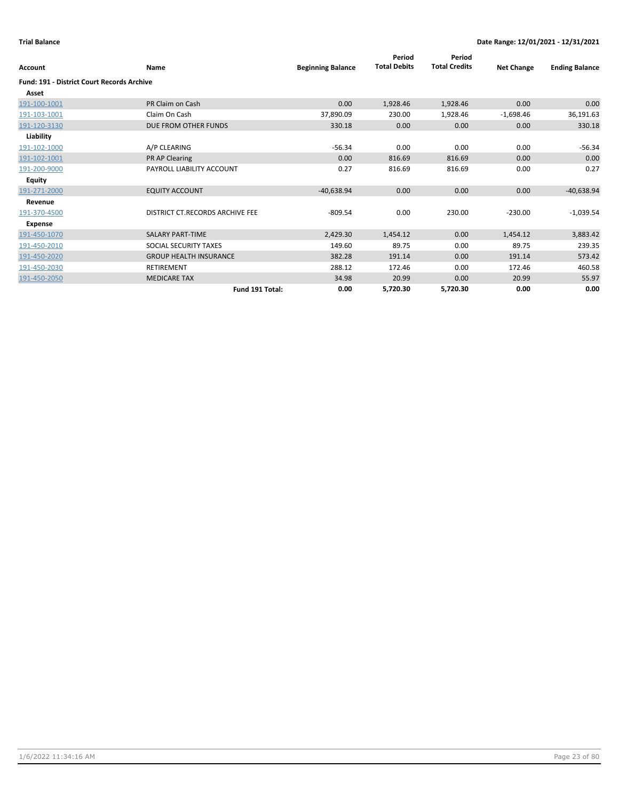| Account                                           | Name                            | <b>Beginning Balance</b> | Period<br><b>Total Debits</b> | Period<br><b>Total Credits</b> | <b>Net Change</b> | <b>Ending Balance</b> |
|---------------------------------------------------|---------------------------------|--------------------------|-------------------------------|--------------------------------|-------------------|-----------------------|
| <b>Fund: 191 - District Court Records Archive</b> |                                 |                          |                               |                                |                   |                       |
| Asset                                             |                                 |                          |                               |                                |                   |                       |
| 191-100-1001                                      | PR Claim on Cash                | 0.00                     | 1,928.46                      | 1,928.46                       | 0.00              | 0.00                  |
| 191-103-1001                                      | Claim On Cash                   | 37,890.09                | 230.00                        | 1,928.46                       | $-1,698.46$       | 36,191.63             |
| 191-120-3130                                      | DUE FROM OTHER FUNDS            | 330.18                   | 0.00                          | 0.00                           | 0.00              | 330.18                |
| Liability                                         |                                 |                          |                               |                                |                   |                       |
| 191-102-1000                                      | A/P CLEARING                    | $-56.34$                 | 0.00                          | 0.00                           | 0.00              | $-56.34$              |
| 191-102-1001                                      | PR AP Clearing                  | 0.00                     | 816.69                        | 816.69                         | 0.00              | 0.00                  |
| 191-200-9000                                      | PAYROLL LIABILITY ACCOUNT       | 0.27                     | 816.69                        | 816.69                         | 0.00              | 0.27                  |
| Equity                                            |                                 |                          |                               |                                |                   |                       |
| 191-271-2000                                      | <b>EQUITY ACCOUNT</b>           | $-40,638.94$             | 0.00                          | 0.00                           | 0.00              | $-40,638.94$          |
| Revenue                                           |                                 |                          |                               |                                |                   |                       |
| 191-370-4500                                      | DISTRICT CT.RECORDS ARCHIVE FEE | $-809.54$                | 0.00                          | 230.00                         | $-230.00$         | $-1,039.54$           |
| Expense                                           |                                 |                          |                               |                                |                   |                       |
| 191-450-1070                                      | <b>SALARY PART-TIME</b>         | 2,429.30                 | 1,454.12                      | 0.00                           | 1,454.12          | 3,883.42              |
| 191-450-2010                                      | SOCIAL SECURITY TAXES           | 149.60                   | 89.75                         | 0.00                           | 89.75             | 239.35                |
| 191-450-2020                                      | <b>GROUP HEALTH INSURANCE</b>   | 382.28                   | 191.14                        | 0.00                           | 191.14            | 573.42                |
| 191-450-2030                                      | <b>RETIREMENT</b>               | 288.12                   | 172.46                        | 0.00                           | 172.46            | 460.58                |
| 191-450-2050                                      | <b>MEDICARE TAX</b>             | 34.98                    | 20.99                         | 0.00                           | 20.99             | 55.97                 |
|                                                   | Fund 191 Total:                 | 0.00                     | 5,720.30                      | 5,720.30                       | 0.00              | 0.00                  |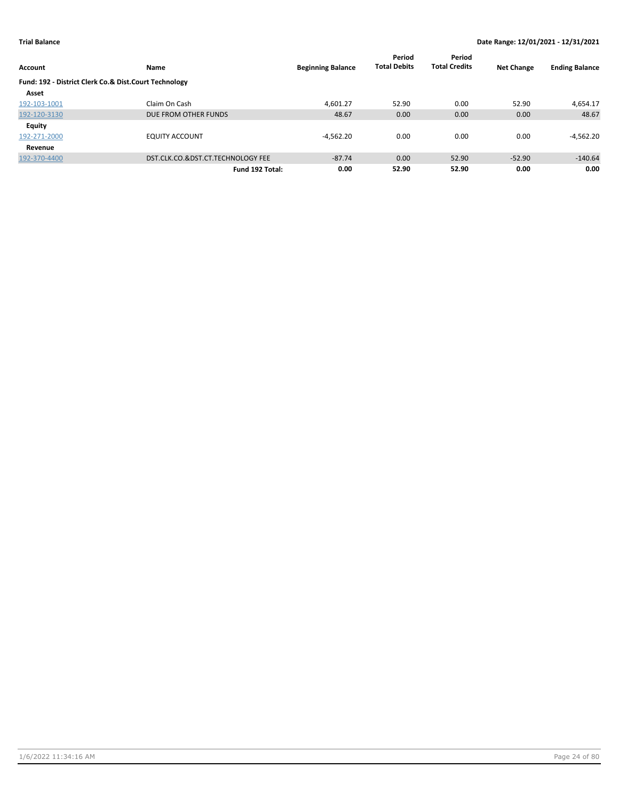|                                                       |                                   |                          | Period              | Period               |                   |                       |
|-------------------------------------------------------|-----------------------------------|--------------------------|---------------------|----------------------|-------------------|-----------------------|
| Account                                               | Name                              | <b>Beginning Balance</b> | <b>Total Debits</b> | <b>Total Credits</b> | <b>Net Change</b> | <b>Ending Balance</b> |
| Fund: 192 - District Clerk Co.& Dist.Court Technology |                                   |                          |                     |                      |                   |                       |
| Asset                                                 |                                   |                          |                     |                      |                   |                       |
| 192-103-1001                                          | Claim On Cash                     | 4.601.27                 | 52.90               | 0.00                 | 52.90             | 4,654.17              |
| 192-120-3130                                          | DUE FROM OTHER FUNDS              | 48.67                    | 0.00                | 0.00                 | 0.00              | 48.67                 |
| <b>Equity</b>                                         |                                   |                          |                     |                      |                   |                       |
| 192-271-2000                                          | <b>EQUITY ACCOUNT</b>             | $-4,562.20$              | 0.00                | 0.00                 | 0.00              | $-4,562.20$           |
| Revenue                                               |                                   |                          |                     |                      |                   |                       |
| 192-370-4400                                          | DST.CLK.CO.&DST.CT.TECHNOLOGY FEE | $-87.74$                 | 0.00                | 52.90                | $-52.90$          | $-140.64$             |
|                                                       | Fund 192 Total:                   | 0.00                     | 52.90               | 52.90                | 0.00              | 0.00                  |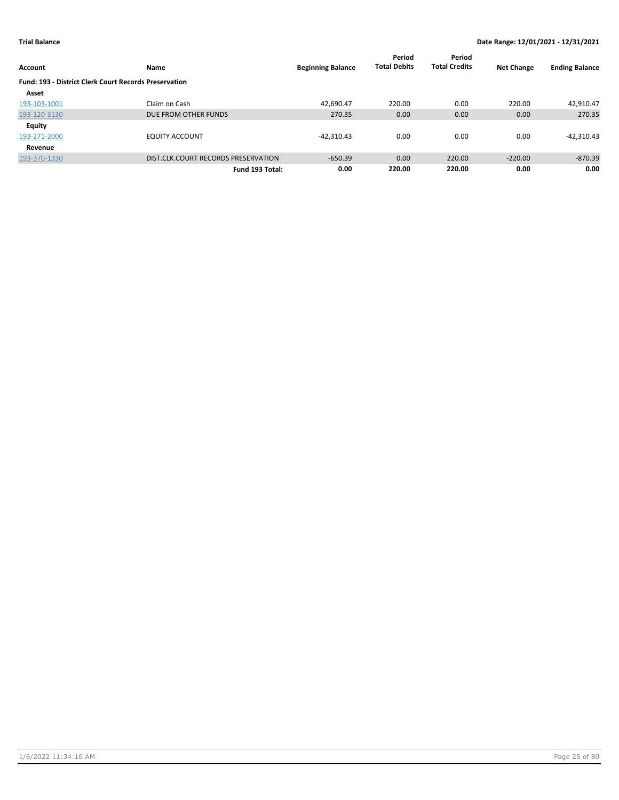|                                                              |                                     |                          | Period              | Period               |                   |                       |
|--------------------------------------------------------------|-------------------------------------|--------------------------|---------------------|----------------------|-------------------|-----------------------|
| Account                                                      | Name                                | <b>Beginning Balance</b> | <b>Total Debits</b> | <b>Total Credits</b> | <b>Net Change</b> | <b>Ending Balance</b> |
| <b>Fund: 193 - District Clerk Court Records Preservation</b> |                                     |                          |                     |                      |                   |                       |
| Asset                                                        |                                     |                          |                     |                      |                   |                       |
| 193-103-1001                                                 | Claim on Cash                       | 42.690.47                | 220.00              | 0.00                 | 220.00            | 42,910.47             |
| 193-120-3130                                                 | DUE FROM OTHER FUNDS                | 270.35                   | 0.00                | 0.00                 | 0.00              | 270.35                |
| <b>Equity</b>                                                |                                     |                          |                     |                      |                   |                       |
| 193-271-2000                                                 | <b>EQUITY ACCOUNT</b>               | $-42,310.43$             | 0.00                | 0.00                 | 0.00              | $-42,310.43$          |
| Revenue                                                      |                                     |                          |                     |                      |                   |                       |
| 193-370-1330                                                 | DIST.CLK.COURT RECORDS PRESERVATION | $-650.39$                | 0.00                | 220.00               | $-220.00$         | $-870.39$             |
|                                                              | Fund 193 Total:                     | 0.00                     | 220.00              | 220.00               | 0.00              | 0.00                  |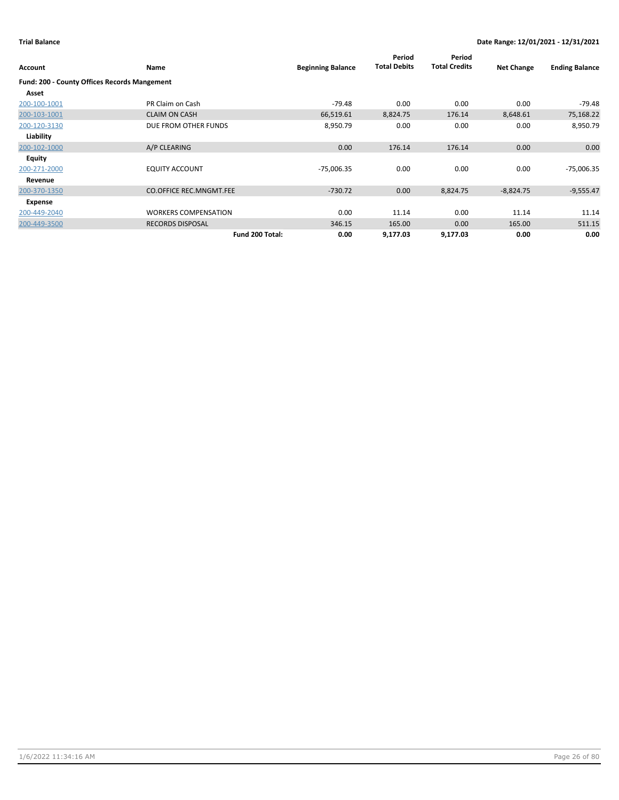|                                                     |                                |                          | Period              | Period               |                   |                       |
|-----------------------------------------------------|--------------------------------|--------------------------|---------------------|----------------------|-------------------|-----------------------|
| Account                                             | <b>Name</b>                    | <b>Beginning Balance</b> | <b>Total Debits</b> | <b>Total Credits</b> | <b>Net Change</b> | <b>Ending Balance</b> |
| <b>Fund: 200 - County Offices Records Mangement</b> |                                |                          |                     |                      |                   |                       |
| Asset                                               |                                |                          |                     |                      |                   |                       |
| 200-100-1001                                        | PR Claim on Cash               | $-79.48$                 | 0.00                | 0.00                 | 0.00              | $-79.48$              |
| 200-103-1001                                        | <b>CLAIM ON CASH</b>           | 66,519.61                | 8,824.75            | 176.14               | 8,648.61          | 75,168.22             |
| 200-120-3130                                        | DUE FROM OTHER FUNDS           | 8,950.79                 | 0.00                | 0.00                 | 0.00              | 8,950.79              |
| Liability                                           |                                |                          |                     |                      |                   |                       |
| 200-102-1000                                        | A/P CLEARING                   | 0.00                     | 176.14              | 176.14               | 0.00              | 0.00                  |
| <b>Equity</b>                                       |                                |                          |                     |                      |                   |                       |
| 200-271-2000                                        | <b>EQUITY ACCOUNT</b>          | $-75,006.35$             | 0.00                | 0.00                 | 0.00              | $-75,006.35$          |
| Revenue                                             |                                |                          |                     |                      |                   |                       |
| 200-370-1350                                        | <b>CO.OFFICE REC.MNGMT.FEE</b> | $-730.72$                | 0.00                | 8,824.75             | $-8,824.75$       | $-9,555.47$           |
| Expense                                             |                                |                          |                     |                      |                   |                       |
| 200-449-2040                                        | <b>WORKERS COMPENSATION</b>    | 0.00                     | 11.14               | 0.00                 | 11.14             | 11.14                 |
| 200-449-3500                                        | <b>RECORDS DISPOSAL</b>        | 346.15                   | 165.00              | 0.00                 | 165.00            | 511.15                |
|                                                     | Fund 200 Total:                | 0.00                     | 9,177.03            | 9,177.03             | 0.00              | 0.00                  |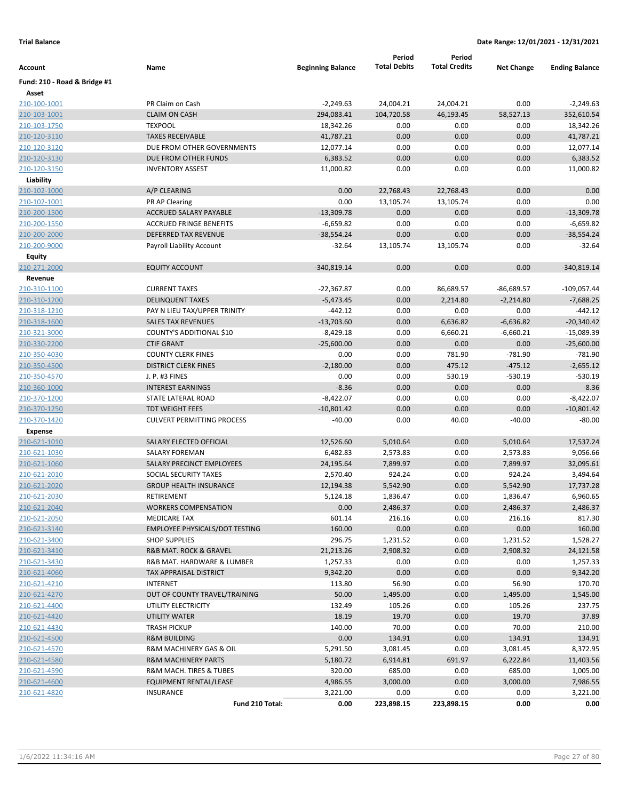|                              |                                       |                          | Period              | Period               |                   |                       |
|------------------------------|---------------------------------------|--------------------------|---------------------|----------------------|-------------------|-----------------------|
| Account                      | Name                                  | <b>Beginning Balance</b> | <b>Total Debits</b> | <b>Total Credits</b> | <b>Net Change</b> | <b>Ending Balance</b> |
| Fund: 210 - Road & Bridge #1 |                                       |                          |                     |                      |                   |                       |
| Asset                        |                                       |                          |                     |                      |                   |                       |
| 210-100-1001                 | PR Claim on Cash                      | $-2,249.63$              | 24,004.21           | 24,004.21            | 0.00              | $-2,249.63$           |
| 210-103-1001                 | <b>CLAIM ON CASH</b>                  | 294,083.41               | 104,720.58          | 46,193.45            | 58,527.13         | 352,610.54            |
| 210-103-1750                 | <b>TEXPOOL</b>                        | 18,342.26                | 0.00                | 0.00                 | 0.00              | 18,342.26             |
| 210-120-3110                 | <b>TAXES RECEIVABLE</b>               | 41,787.21                | 0.00                | 0.00                 | 0.00              | 41,787.21             |
| 210-120-3120                 | DUE FROM OTHER GOVERNMENTS            | 12,077.14                | 0.00                | 0.00                 | 0.00              | 12,077.14             |
| 210-120-3130                 | DUE FROM OTHER FUNDS                  | 6,383.52                 | 0.00                | 0.00                 | 0.00              | 6,383.52              |
| 210-120-3150                 | <b>INVENTORY ASSEST</b>               | 11,000.82                | 0.00                | 0.00                 | 0.00              | 11,000.82             |
| Liability                    |                                       |                          |                     |                      |                   |                       |
| 210-102-1000                 | A/P CLEARING                          | 0.00                     | 22,768.43           | 22,768.43            | 0.00              | 0.00                  |
| 210-102-1001                 | PR AP Clearing                        | 0.00                     | 13,105.74           | 13,105.74            | 0.00              | 0.00                  |
| 210-200-1500                 | ACCRUED SALARY PAYABLE                | $-13,309.78$             | 0.00                | 0.00                 | 0.00              | $-13,309.78$          |
| 210-200-1550                 | <b>ACCRUED FRINGE BENEFITS</b>        | $-6,659.82$              | 0.00                | 0.00                 | 0.00              | $-6,659.82$           |
| 210-200-2000                 | DEFERRED TAX REVENUE                  | $-38,554.24$             | 0.00                | 0.00                 | 0.00              | $-38,554.24$          |
| 210-200-9000                 | Payroll Liability Account             | $-32.64$                 | 13,105.74           | 13,105.74            | 0.00              | $-32.64$              |
| Equity                       |                                       |                          |                     |                      |                   |                       |
| 210-271-2000                 | <b>EQUITY ACCOUNT</b>                 | $-340,819.14$            | 0.00                | 0.00                 | 0.00              | $-340,819.14$         |
| Revenue                      |                                       |                          |                     |                      |                   |                       |
| 210-310-1100                 | <b>CURRENT TAXES</b>                  | $-22,367.87$             | 0.00                | 86,689.57            | $-86,689.57$      | $-109,057.44$         |
| 210-310-1200                 | <b>DELINQUENT TAXES</b>               | $-5,473.45$              | 0.00                | 2,214.80             | $-2,214.80$       | $-7,688.25$           |
| 210-318-1210                 | PAY N LIEU TAX/UPPER TRINITY          | $-442.12$                | 0.00                | 0.00                 | 0.00              | $-442.12$             |
| 210-318-1600                 | <b>SALES TAX REVENUES</b>             | $-13,703.60$             | 0.00                | 6,636.82             | $-6,636.82$       | $-20,340.42$          |
| 210-321-3000                 | COUNTY'S ADDITIONAL \$10              | $-8,429.18$              | 0.00                | 6,660.21             | $-6,660.21$       | $-15,089.39$          |
| 210-330-2200                 | <b>CTIF GRANT</b>                     | $-25,600.00$             | 0.00                | 0.00                 | 0.00              | $-25,600.00$          |
| 210-350-4030                 | <b>COUNTY CLERK FINES</b>             | 0.00                     | 0.00                | 781.90               | $-781.90$         | $-781.90$             |
| 210-350-4500                 | <b>DISTRICT CLERK FINES</b>           | $-2,180.00$              | 0.00                | 475.12               | $-475.12$         | $-2,655.12$           |
| 210-350-4570                 | J. P. #3 FINES                        | 0.00                     | 0.00                | 530.19               | $-530.19$         | $-530.19$             |
| 210-360-1000                 | <b>INTEREST EARNINGS</b>              | $-8.36$                  | 0.00                | 0.00                 | 0.00              | $-8.36$               |
| 210-370-1200                 | STATE LATERAL ROAD                    | $-8,422.07$              | 0.00                | 0.00                 | 0.00              | $-8,422.07$           |
| 210-370-1250                 | <b>TDT WEIGHT FEES</b>                | $-10,801.42$             | 0.00                | 0.00                 | 0.00              | $-10,801.42$          |
| 210-370-1420                 | <b>CULVERT PERMITTING PROCESS</b>     | $-40.00$                 | 0.00                | 40.00                | $-40.00$          | $-80.00$              |
| <b>Expense</b>               |                                       |                          |                     |                      |                   |                       |
| 210-621-1010                 | SALARY ELECTED OFFICIAL               | 12,526.60                | 5,010.64            | 0.00                 | 5,010.64          | 17,537.24             |
| 210-621-1030                 | SALARY FOREMAN                        | 6,482.83                 | 2,573.83            | 0.00                 | 2,573.83          | 9,056.66              |
| 210-621-1060                 | SALARY PRECINCT EMPLOYEES             | 24,195.64                | 7,899.97            | 0.00                 | 7,899.97          | 32,095.61             |
| 210-621-2010                 | SOCIAL SECURITY TAXES                 | 2,570.40                 | 924.24              | 0.00                 | 924.24            | 3,494.64              |
| 210-621-2020                 | <b>GROUP HEALTH INSURANCE</b>         | 12,194.38                | 5,542.90            | 0.00                 | 5,542.90          | 17,737.28             |
| 210-621-2030                 | RETIREMENT                            | 5,124.18                 | 1,836.47            | 0.00                 | 1,836.47          | 6,960.65              |
| 210-621-2040                 | <b>WORKERS COMPENSATION</b>           | 0.00                     | 2,486.37            | 0.00                 | 2,486.37          | 2,486.37              |
| 210-621-2050                 | <b>MEDICARE TAX</b>                   | 601.14                   | 216.16              | 0.00                 | 216.16            | 817.30                |
| 210-621-3140                 | <b>EMPLOYEE PHYSICALS/DOT TESTING</b> | 160.00                   | 0.00                | 0.00                 | 0.00              | 160.00                |
| 210-621-3400                 | <b>SHOP SUPPLIES</b>                  | 296.75                   | 1,231.52            | 0.00                 | 1,231.52          | 1,528.27              |
| 210-621-3410                 | R&B MAT. ROCK & GRAVEL                | 21,213.26                | 2,908.32            | 0.00                 | 2,908.32          | 24,121.58             |
| 210-621-3430                 | R&B MAT. HARDWARE & LUMBER            | 1,257.33                 | 0.00                | 0.00                 | 0.00              | 1,257.33              |
| 210-621-4060                 | TAX APPRAISAL DISTRICT                | 9,342.20                 | 0.00                | 0.00                 | 0.00              | 9,342.20              |
| 210-621-4210                 | <b>INTERNET</b>                       | 113.80                   | 56.90               | 0.00                 | 56.90             | 170.70                |
| 210-621-4270                 | OUT OF COUNTY TRAVEL/TRAINING         | 50.00                    | 1,495.00            | 0.00                 | 1,495.00          | 1,545.00              |
| 210-621-4400                 | UTILITY ELECTRICITY                   | 132.49                   | 105.26              | 0.00                 | 105.26            | 237.75                |
| 210-621-4420                 | UTILITY WATER                         | 18.19                    | 19.70               | 0.00                 | 19.70             | 37.89                 |
| 210-621-4430                 | <b>TRASH PICKUP</b>                   | 140.00                   | 70.00               | 0.00                 | 70.00             | 210.00                |
| 210-621-4500                 | <b>R&amp;M BUILDING</b>               | 0.00                     | 134.91              | 0.00                 | 134.91            | 134.91                |
| 210-621-4570                 | R&M MACHINERY GAS & OIL               | 5,291.50                 | 3,081.45            | 0.00                 | 3,081.45          | 8,372.95              |
| 210-621-4580                 | <b>R&amp;M MACHINERY PARTS</b>        | 5,180.72                 | 6,914.81            | 691.97               | 6,222.84          | 11,403.56             |
| 210-621-4590                 | R&M MACH. TIRES & TUBES               | 320.00                   | 685.00              | 0.00                 | 685.00            | 1,005.00              |
| 210-621-4600                 | EQUIPMENT RENTAL/LEASE                | 4,986.55                 | 3,000.00            | 0.00                 | 3,000.00          | 7,986.55              |
| 210-621-4820                 | <b>INSURANCE</b>                      | 3,221.00                 | 0.00                | 0.00                 | 0.00              | 3,221.00              |
|                              | Fund 210 Total:                       | 0.00                     | 223,898.15          | 223,898.15           | 0.00              | 0.00                  |
|                              |                                       |                          |                     |                      |                   |                       |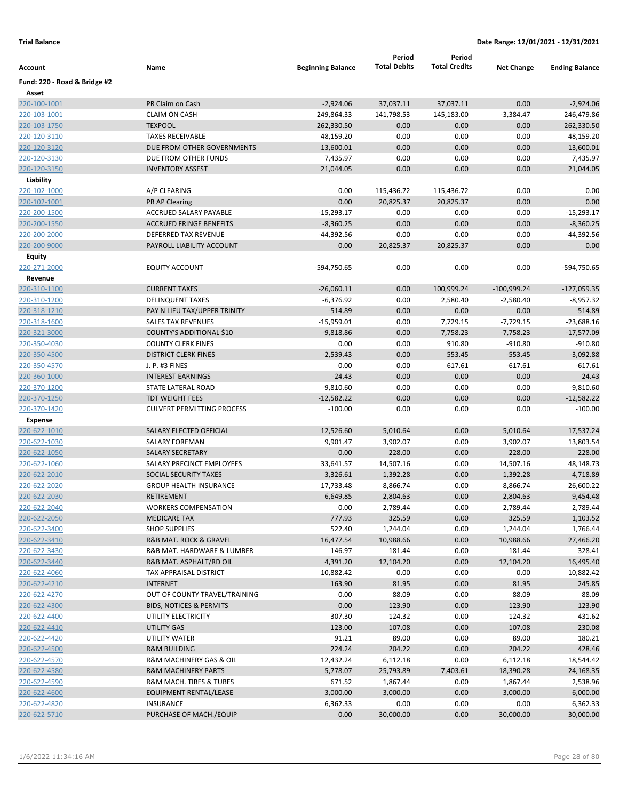|                              |                                                  |                          | Period               | Period               |                      |                        |
|------------------------------|--------------------------------------------------|--------------------------|----------------------|----------------------|----------------------|------------------------|
| Account                      | Name                                             | <b>Beginning Balance</b> | <b>Total Debits</b>  | <b>Total Credits</b> | <b>Net Change</b>    | <b>Ending Balance</b>  |
| Fund: 220 - Road & Bridge #2 |                                                  |                          |                      |                      |                      |                        |
| Asset                        |                                                  |                          |                      |                      |                      |                        |
| 220-100-1001                 | PR Claim on Cash                                 | $-2,924.06$              | 37,037.11            | 37,037.11            | 0.00                 | $-2,924.06$            |
| 220-103-1001                 | <b>CLAIM ON CASH</b>                             | 249,864.33               | 141,798.53           | 145,183.00           | $-3,384.47$          | 246,479.86             |
| 220-103-1750                 | <b>TEXPOOL</b>                                   | 262,330.50               | 0.00                 | 0.00                 | 0.00                 | 262,330.50             |
| 220-120-3110                 | <b>TAXES RECEIVABLE</b>                          | 48,159.20                | 0.00                 | 0.00                 | 0.00                 | 48,159.20              |
| 220-120-3120                 | DUE FROM OTHER GOVERNMENTS                       | 13,600.01                | 0.00                 | 0.00                 | 0.00                 | 13,600.01              |
| 220-120-3130                 | DUE FROM OTHER FUNDS                             | 7,435.97                 | 0.00                 | 0.00                 | 0.00                 | 7,435.97               |
| 220-120-3150                 | <b>INVENTORY ASSEST</b>                          | 21,044.05                | 0.00                 | 0.00                 | 0.00                 | 21,044.05              |
| Liability                    |                                                  |                          |                      |                      |                      |                        |
| 220-102-1000                 | A/P CLEARING                                     | 0.00                     | 115,436.72           | 115,436.72           | 0.00                 | 0.00                   |
| 220-102-1001                 | PR AP Clearing                                   | 0.00                     | 20,825.37            | 20,825.37            | 0.00                 | 0.00                   |
| 220-200-1500                 | ACCRUED SALARY PAYABLE                           | $-15,293.17$             | 0.00                 | 0.00                 | 0.00                 | $-15,293.17$           |
| 220-200-1550                 | <b>ACCRUED FRINGE BENEFITS</b>                   | $-8,360.25$              | 0.00                 | 0.00                 | 0.00                 | $-8,360.25$            |
| 220-200-2000                 | DEFERRED TAX REVENUE                             | $-44,392.56$             | 0.00                 | 0.00                 | 0.00                 | $-44,392.56$           |
| 220-200-9000                 | PAYROLL LIABILITY ACCOUNT                        | 0.00                     | 20,825.37            | 20,825.37            | 0.00                 | 0.00                   |
| Equity                       |                                                  |                          |                      |                      |                      |                        |
| 220-271-2000                 | <b>EQUITY ACCOUNT</b>                            | -594,750.65              | 0.00                 | 0.00                 | 0.00                 | -594,750.65            |
| Revenue                      |                                                  |                          |                      |                      |                      |                        |
| 220-310-1100                 | <b>CURRENT TAXES</b>                             | $-26,060.11$             | 0.00                 | 100,999.24           | $-100,999.24$        | $-127,059.35$          |
| 220-310-1200                 | <b>DELINQUENT TAXES</b>                          | $-6,376.92$              | 0.00                 | 2,580.40             | $-2,580.40$          | $-8,957.32$            |
| 220-318-1210                 | PAY N LIEU TAX/UPPER TRINITY                     | $-514.89$                | 0.00                 | 0.00                 | 0.00                 | $-514.89$              |
| 220-318-1600                 | <b>SALES TAX REVENUES</b>                        | $-15,959.01$             | 0.00                 | 7,729.15             | $-7,729.15$          | $-23,688.16$           |
| 220-321-3000                 | COUNTY'S ADDITIONAL \$10                         | $-9,818.86$              | 0.00                 | 7,758.23             | $-7,758.23$          | $-17,577.09$           |
| 220-350-4030                 | <b>COUNTY CLERK FINES</b>                        | 0.00                     | 0.00                 | 910.80               | $-910.80$            | $-910.80$              |
| 220-350-4500                 | <b>DISTRICT CLERK FINES</b>                      | $-2,539.43$              | 0.00                 | 553.45               | $-553.45$            | $-3,092.88$            |
| 220-350-4570                 | J. P. #3 FINES                                   | 0.00                     | 0.00                 | 617.61               | $-617.61$            | $-617.61$              |
| 220-360-1000                 | <b>INTEREST EARNINGS</b>                         | $-24.43$                 | 0.00                 | 0.00                 | 0.00                 | $-24.43$               |
| 220-370-1200                 | STATE LATERAL ROAD                               | $-9,810.60$              | 0.00                 | 0.00                 | 0.00                 | $-9,810.60$            |
| 220-370-1250                 | <b>TDT WEIGHT FEES</b>                           | $-12,582.22$             | 0.00                 | 0.00                 | 0.00                 | $-12,582.22$           |
| 220-370-1420                 | <b>CULVERT PERMITTING PROCESS</b>                | $-100.00$                | 0.00                 | 0.00                 | 0.00                 | $-100.00$              |
| <b>Expense</b>               |                                                  |                          |                      |                      |                      |                        |
| 220-622-1010<br>220-622-1030 | SALARY ELECTED OFFICIAL<br><b>SALARY FOREMAN</b> | 12,526.60<br>9,901.47    | 5,010.64<br>3,902.07 | 0.00<br>0.00         | 5,010.64<br>3,902.07 | 17,537.24<br>13,803.54 |
| 220-622-1050                 | <b>SALARY SECRETARY</b>                          | 0.00                     | 228.00               | 0.00                 | 228.00               | 228.00                 |
| 220-622-1060                 | SALARY PRECINCT EMPLOYEES                        | 33,641.57                | 14,507.16            | 0.00                 | 14,507.16            | 48,148.73              |
| 220-622-2010                 | SOCIAL SECURITY TAXES                            | 3,326.61                 | 1,392.28             | 0.00                 | 1,392.28             | 4,718.89               |
| 220-622-2020                 | <b>GROUP HEALTH INSURANCE</b>                    | 17,733.48                | 8,866.74             | 0.00                 | 8,866.74             | 26,600.22              |
| 220-622-2030                 | <b>RETIREMENT</b>                                | 6,649.85                 | 2,804.63             | 0.00                 | 2,804.63             | 9,454.48               |
| 220-622-2040                 | <b>WORKERS COMPENSATION</b>                      | 0.00                     | 2,789.44             | 0.00                 | 2,789.44             | 2,789.44               |
| 220-622-2050                 | <b>MEDICARE TAX</b>                              | 777.93                   | 325.59               | 0.00                 | 325.59               | 1,103.52               |
| 220-622-3400                 | <b>SHOP SUPPLIES</b>                             | 522.40                   | 1,244.04             | 0.00                 | 1,244.04             | 1,766.44               |
| 220-622-3410                 | <b>R&amp;B MAT. ROCK &amp; GRAVEL</b>            | 16,477.54                | 10,988.66            | 0.00                 | 10,988.66            | 27,466.20              |
| 220-622-3430                 | R&B MAT. HARDWARE & LUMBER                       | 146.97                   | 181.44               | 0.00                 | 181.44               | 328.41                 |
| 220-622-3440                 | R&B MAT. ASPHALT/RD OIL                          | 4,391.20                 | 12,104.20            | 0.00                 | 12,104.20            | 16,495.40              |
| 220-622-4060                 | TAX APPRAISAL DISTRICT                           | 10,882.42                | 0.00                 | 0.00                 | 0.00                 | 10,882.42              |
| 220-622-4210                 | <b>INTERNET</b>                                  | 163.90                   | 81.95                | 0.00                 | 81.95                | 245.85                 |
| 220-622-4270                 | OUT OF COUNTY TRAVEL/TRAINING                    | 0.00                     | 88.09                | 0.00                 | 88.09                | 88.09                  |
| 220-622-4300                 | <b>BIDS, NOTICES &amp; PERMITS</b>               | 0.00                     | 123.90               | 0.00                 | 123.90               | 123.90                 |
| 220-622-4400                 | UTILITY ELECTRICITY                              | 307.30                   | 124.32               | 0.00                 | 124.32               | 431.62                 |
| 220-622-4410                 | UTILITY GAS                                      | 123.00                   | 107.08               | 0.00                 | 107.08               | 230.08                 |
| 220-622-4420                 | UTILITY WATER                                    | 91.21                    | 89.00                | 0.00                 | 89.00                | 180.21                 |
| 220-622-4500                 | <b>R&amp;M BUILDING</b>                          | 224.24                   | 204.22               | 0.00                 | 204.22               | 428.46                 |
| 220-622-4570                 | R&M MACHINERY GAS & OIL                          | 12,432.24                | 6,112.18             | 0.00                 | 6,112.18             | 18,544.42              |
| 220-622-4580                 | <b>R&amp;M MACHINERY PARTS</b>                   | 5,778.07                 | 25,793.89            | 7,403.61             | 18,390.28            | 24,168.35              |
| 220-622-4590                 | R&M MACH. TIRES & TUBES                          | 671.52                   | 1,867.44             | 0.00                 | 1,867.44             | 2,538.96               |
| 220-622-4600                 | EQUIPMENT RENTAL/LEASE                           | 3,000.00                 | 3,000.00             | 0.00                 | 3,000.00             | 6,000.00               |
| 220-622-4820                 | <b>INSURANCE</b>                                 | 6,362.33                 | 0.00                 | 0.00                 | 0.00                 | 6,362.33               |
| 220-622-5710                 | PURCHASE OF MACH./EQUIP                          | 0.00                     | 30,000.00            | 0.00                 | 30,000.00            | 30,000.00              |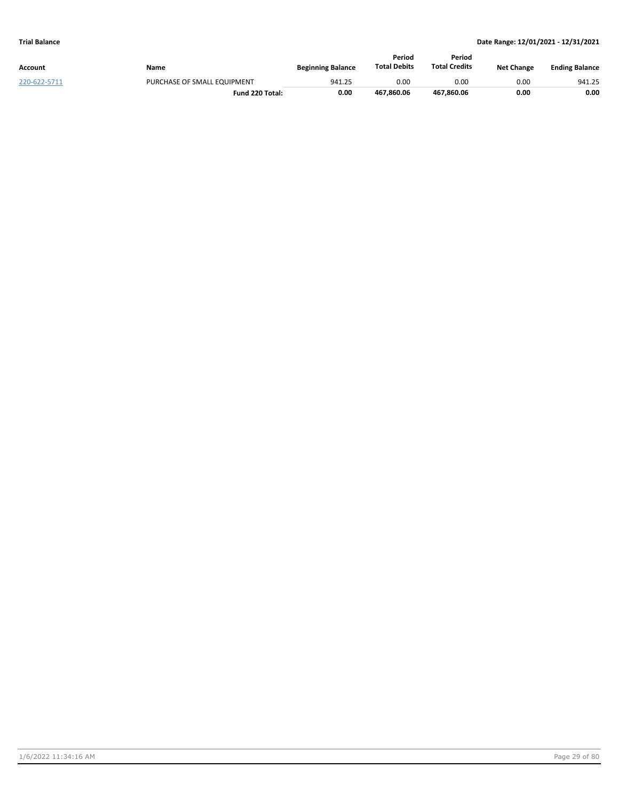|              |                             |                          | Period              | Period               |                   |                       |
|--------------|-----------------------------|--------------------------|---------------------|----------------------|-------------------|-----------------------|
| Account      | Name                        | <b>Beginning Balance</b> | <b>Total Debits</b> | <b>Total Credits</b> | <b>Net Change</b> | <b>Ending Balance</b> |
| 220-622-5711 | PURCHASE OF SMALL EQUIPMENT | 941.25                   | 0.00                | 0.00                 | 0.00              | 941.25                |
|              | Fund 220 Total:             | 0.00                     | 467.860.06          | 467.860.06           | 0.00              | 0.00                  |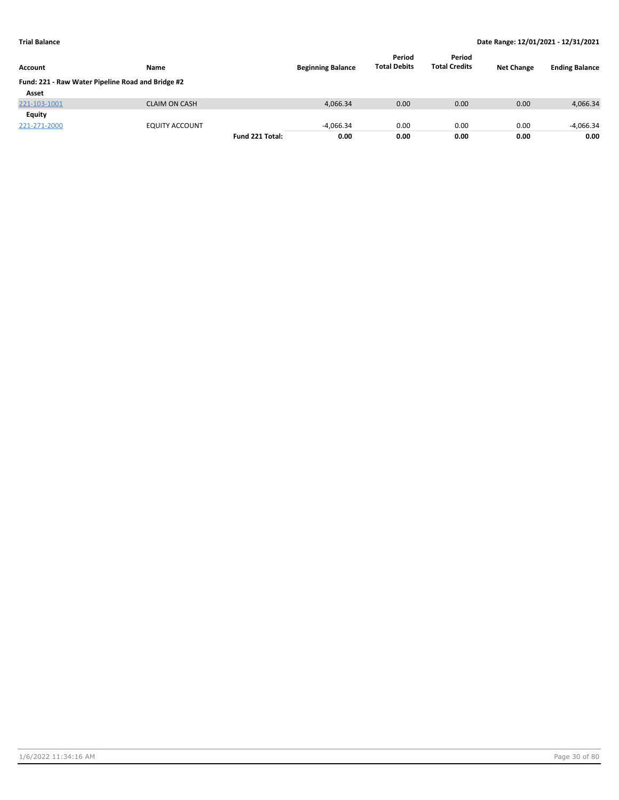| <b>Account</b>                                    | Name                 |                 | <b>Beginning Balance</b> | Period<br><b>Total Debits</b> | Period<br><b>Total Credits</b> | <b>Net Change</b> | <b>Ending Balance</b> |
|---------------------------------------------------|----------------------|-----------------|--------------------------|-------------------------------|--------------------------------|-------------------|-----------------------|
| Fund: 221 - Raw Water Pipeline Road and Bridge #2 |                      |                 |                          |                               |                                |                   |                       |
| Asset                                             |                      |                 |                          |                               |                                |                   |                       |
| 221-103-1001                                      | <b>CLAIM ON CASH</b> |                 | 4,066.34                 | 0.00                          | 0.00                           | 0.00              | 4,066.34              |
| Equity                                            |                      |                 |                          |                               |                                |                   |                       |
| 221-271-2000                                      | EQUITY ACCOUNT       |                 | $-4.066.34$              | 0.00                          | 0.00                           | 0.00              | $-4.066.34$           |
|                                                   |                      | Fund 221 Total: | 0.00                     | 0.00                          | 0.00                           | 0.00              | 0.00                  |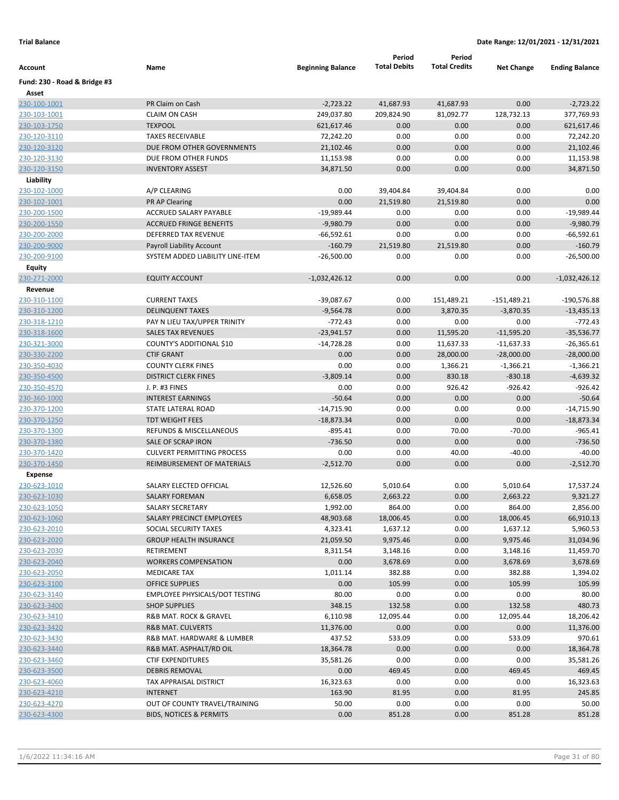|                              |                                       |                          | Period              | Period               |                   |                       |
|------------------------------|---------------------------------------|--------------------------|---------------------|----------------------|-------------------|-----------------------|
| Account                      | Name                                  | <b>Beginning Balance</b> | <b>Total Debits</b> | <b>Total Credits</b> | <b>Net Change</b> | <b>Ending Balance</b> |
| Fund: 230 - Road & Bridge #3 |                                       |                          |                     |                      |                   |                       |
| Asset                        |                                       |                          |                     |                      |                   |                       |
| 230-100-1001                 | PR Claim on Cash                      | $-2,723.22$              | 41,687.93           | 41,687.93            | 0.00              | $-2,723.22$           |
| 230-103-1001                 | <b>CLAIM ON CASH</b>                  | 249,037.80               | 209,824.90          | 81,092.77            | 128,732.13        | 377,769.93            |
| 230-103-1750                 | <b>TEXPOOL</b>                        | 621,617.46               | 0.00                | 0.00                 | 0.00              | 621,617.46            |
| 230-120-3110                 | <b>TAXES RECEIVABLE</b>               | 72,242.20                | 0.00                | 0.00                 | 0.00              | 72,242.20             |
| 230-120-3120                 | DUE FROM OTHER GOVERNMENTS            | 21,102.46                | 0.00                | 0.00                 | 0.00              | 21,102.46             |
| 230-120-3130                 | DUE FROM OTHER FUNDS                  | 11,153.98                | 0.00                | 0.00                 | 0.00              | 11,153.98             |
| 230-120-3150                 | <b>INVENTORY ASSEST</b>               | 34,871.50                | 0.00                | 0.00                 | 0.00              | 34,871.50             |
| Liability                    |                                       |                          |                     |                      |                   |                       |
| 230-102-1000                 | A/P CLEARING                          | 0.00                     | 39,404.84           | 39,404.84            | 0.00              | 0.00                  |
| 230-102-1001                 | <b>PR AP Clearing</b>                 | 0.00                     | 21,519.80           | 21,519.80            | 0.00              | 0.00                  |
| 230-200-1500                 | ACCRUED SALARY PAYABLE                | $-19,989.44$             | 0.00                | 0.00                 | 0.00              | -19,989.44            |
| 230-200-1550                 | <b>ACCRUED FRINGE BENEFITS</b>        | $-9,980.79$              | 0.00                | 0.00                 | 0.00              | $-9,980.79$           |
| 230-200-2000                 | DEFERRED TAX REVENUE                  | $-66,592.61$             | 0.00                | 0.00                 | 0.00              | $-66,592.61$          |
| 230-200-9000                 | <b>Payroll Liability Account</b>      | $-160.79$                | 21,519.80           | 21,519.80            | 0.00              | $-160.79$             |
| 230-200-9100                 | SYSTEM ADDED LIABILITY LINE-ITEM      | $-26,500.00$             | 0.00                | 0.00                 | 0.00              | $-26,500.00$          |
| Equity                       |                                       |                          |                     |                      |                   |                       |
| 230-271-2000                 | <b>EQUITY ACCOUNT</b>                 | $-1,032,426.12$          | 0.00                | 0.00                 | 0.00              | $-1,032,426.12$       |
| Revenue                      |                                       |                          |                     |                      |                   |                       |
| 230-310-1100                 | <b>CURRENT TAXES</b>                  | $-39,087.67$             | 0.00                | 151,489.21           | $-151,489.21$     | -190,576.88           |
| 230-310-1200                 | <b>DELINQUENT TAXES</b>               | $-9,564.78$              | 0.00                | 3,870.35             | $-3,870.35$       | $-13,435.13$          |
| 230-318-1210                 | PAY N LIEU TAX/UPPER TRINITY          | $-772.43$                | 0.00                | 0.00                 | 0.00              | $-772.43$             |
| 230-318-1600                 | <b>SALES TAX REVENUES</b>             | $-23,941.57$             | 0.00                | 11,595.20            | $-11,595.20$      | $-35,536.77$          |
| 230-321-3000                 | COUNTY'S ADDITIONAL \$10              | $-14,728.28$             | 0.00                | 11,637.33            | $-11,637.33$      | $-26,365.61$          |
| 230-330-2200                 | <b>CTIF GRANT</b>                     | 0.00                     | 0.00                | 28,000.00            | $-28,000.00$      | $-28,000.00$          |
| 230-350-4030                 | <b>COUNTY CLERK FINES</b>             | 0.00                     | 0.00                | 1,366.21             | $-1,366.21$       | $-1,366.21$           |
| 230-350-4500                 | <b>DISTRICT CLERK FINES</b>           | $-3,809.14$              | 0.00                | 830.18               | $-830.18$         | $-4,639.32$           |
| 230-350-4570                 | J. P. #3 FINES                        | 0.00                     | 0.00                | 926.42               | $-926.42$         | $-926.42$             |
| 230-360-1000                 | <b>INTEREST EARNINGS</b>              | $-50.64$                 | 0.00                | 0.00                 | 0.00              | $-50.64$              |
| 230-370-1200                 | STATE LATERAL ROAD                    | $-14,715.90$             | 0.00                | 0.00                 | 0.00              | $-14,715.90$          |
| 230-370-1250                 | <b>TDT WEIGHT FEES</b>                | $-18,873.34$             | 0.00                | 0.00                 | 0.00              | $-18,873.34$          |
| 230-370-1300                 | REFUNDS & MISCELLANEOUS               | $-895.41$                | 0.00                | 70.00                | $-70.00$          | $-965.41$             |
| 230-370-1380                 | SALE OF SCRAP IRON                    | $-736.50$                | 0.00                | 0.00                 | 0.00              | $-736.50$             |
| 230-370-1420                 | <b>CULVERT PERMITTING PROCESS</b>     | 0.00                     | 0.00                | 40.00                | $-40.00$          | $-40.00$              |
| 230-370-1450                 | REIMBURSEMENT OF MATERIALS            | $-2,512.70$              | 0.00                | 0.00                 | 0.00              | $-2,512.70$           |
| <b>Expense</b>               |                                       |                          |                     |                      |                   |                       |
| 230-623-1010                 | SALARY ELECTED OFFICIAL               | 12,526.60                | 5,010.64            | 0.00                 | 5,010.64          | 17,537.24             |
| 230-623-1030                 | <b>SALARY FOREMAN</b>                 | 6,658.05                 | 2,663.22            | 0.00                 | 2,663.22          | 9,321.27              |
| 230-623-1050                 | <b>SALARY SECRETARY</b>               | 1,992.00                 | 864.00              | 0.00                 | 864.00            | 2,856.00              |
| 230-623-1060                 | SALARY PRECINCT EMPLOYEES             | 48,903.68                | 18,006.45           | 0.00                 | 18,006.45         | 66,910.13             |
| 230-623-2010                 | SOCIAL SECURITY TAXES                 | 4,323.41                 | 1,637.12            | 0.00                 | 1,637.12          | 5,960.53              |
| 230-623-2020                 | <b>GROUP HEALTH INSURANCE</b>         | 21,059.50                | 9,975.46            | 0.00                 | 9,975.46          | 31,034.96             |
| 230-623-2030                 | RETIREMENT                            | 8,311.54                 | 3,148.16            | 0.00                 | 3,148.16          | 11,459.70             |
| 230-623-2040                 | <b>WORKERS COMPENSATION</b>           | 0.00                     | 3,678.69            | 0.00                 | 3,678.69          | 3,678.69              |
| 230-623-2050                 | <b>MEDICARE TAX</b>                   | 1,011.14                 | 382.88              | 0.00                 | 382.88            | 1,394.02              |
| 230-623-3100                 | <b>OFFICE SUPPLIES</b>                | 0.00                     | 105.99              | 0.00                 | 105.99            | 105.99                |
| 230-623-3140                 | <b>EMPLOYEE PHYSICALS/DOT TESTING</b> | 80.00                    | 0.00                | 0.00                 | 0.00              | 80.00                 |
| 230-623-3400                 | <b>SHOP SUPPLIES</b>                  | 348.15                   | 132.58              | 0.00                 | 132.58            | 480.73                |
| 230-623-3410                 | R&B MAT. ROCK & GRAVEL                | 6,110.98                 | 12,095.44           | 0.00                 | 12,095.44         | 18,206.42             |
| 230-623-3420                 | <b>R&amp;B MAT. CULVERTS</b>          | 11,376.00                | 0.00                | 0.00                 | 0.00              | 11,376.00             |
| 230-623-3430                 | R&B MAT. HARDWARE & LUMBER            | 437.52                   | 533.09              | 0.00                 | 533.09            | 970.61                |
| 230-623-3440                 | R&B MAT. ASPHALT/RD OIL               | 18,364.78                | 0.00                | 0.00                 | 0.00              | 18,364.78             |
| 230-623-3460                 | <b>CTIF EXPENDITURES</b>              | 35,581.26                | 0.00                | 0.00                 | 0.00              | 35,581.26             |
| 230-623-3500                 | <b>DEBRIS REMOVAL</b>                 | 0.00                     | 469.45              | 0.00                 | 469.45            | 469.45                |
| 230-623-4060                 | TAX APPRAISAL DISTRICT                | 16,323.63                | 0.00                | 0.00                 | 0.00              | 16,323.63             |
| 230-623-4210                 | <b>INTERNET</b>                       | 163.90                   | 81.95               | 0.00                 | 81.95             | 245.85                |
| 230-623-4270                 | OUT OF COUNTY TRAVEL/TRAINING         | 50.00                    | 0.00                | 0.00                 | 0.00              | 50.00                 |
| 230-623-4300                 | <b>BIDS, NOTICES &amp; PERMITS</b>    | 0.00                     | 851.28              | 0.00                 | 851.28            | 851.28                |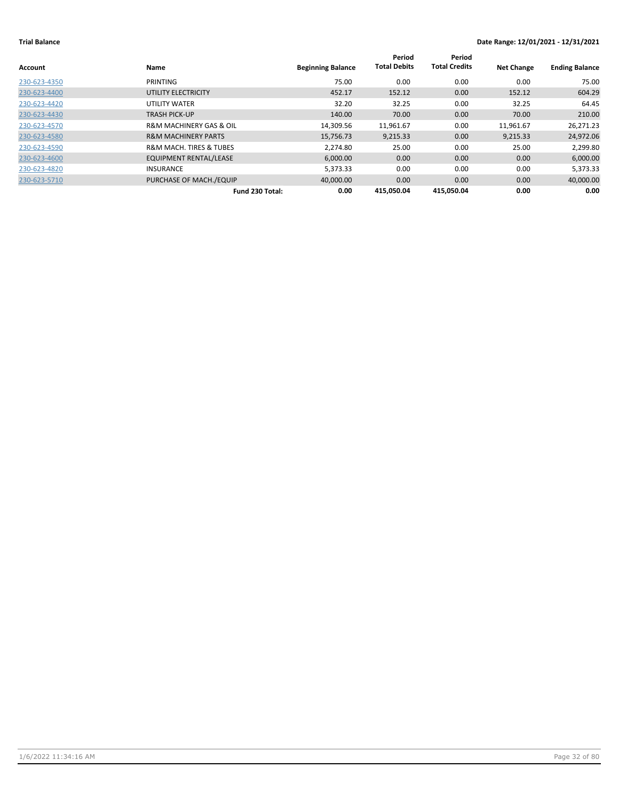| Account      | Name                                   | <b>Beginning Balance</b> | Period<br><b>Total Debits</b> | Period<br><b>Total Credits</b> | <b>Net Change</b> | <b>Ending Balance</b> |
|--------------|----------------------------------------|--------------------------|-------------------------------|--------------------------------|-------------------|-----------------------|
| 230-623-4350 | <b>PRINTING</b>                        | 75.00                    | 0.00                          | 0.00                           | 0.00              | 75.00                 |
| 230-623-4400 | UTILITY ELECTRICITY                    | 452.17                   | 152.12                        | 0.00                           | 152.12            | 604.29                |
| 230-623-4420 | UTILITY WATER                          | 32.20                    | 32.25                         | 0.00                           | 32.25             | 64.45                 |
| 230-623-4430 | <b>TRASH PICK-UP</b>                   | 140.00                   | 70.00                         | 0.00                           | 70.00             | 210.00                |
| 230-623-4570 | <b>R&amp;M MACHINERY GAS &amp; OIL</b> | 14,309.56                | 11,961.67                     | 0.00                           | 11,961.67         | 26,271.23             |
| 230-623-4580 | <b>R&amp;M MACHINERY PARTS</b>         | 15,756.73                | 9,215.33                      | 0.00                           | 9,215.33          | 24,972.06             |
| 230-623-4590 | <b>R&amp;M MACH. TIRES &amp; TUBES</b> | 2,274.80                 | 25.00                         | 0.00                           | 25.00             | 2,299.80              |
| 230-623-4600 | <b>EQUIPMENT RENTAL/LEASE</b>          | 6,000.00                 | 0.00                          | 0.00                           | 0.00              | 6,000.00              |
| 230-623-4820 | <b>INSURANCE</b>                       | 5,373.33                 | 0.00                          | 0.00                           | 0.00              | 5,373.33              |
| 230-623-5710 | PURCHASE OF MACH./EQUIP                | 40,000.00                | 0.00                          | 0.00                           | 0.00              | 40,000.00             |
|              | Fund 230 Total:                        | 0.00                     | 415,050.04                    | 415,050.04                     | 0.00              | 0.00                  |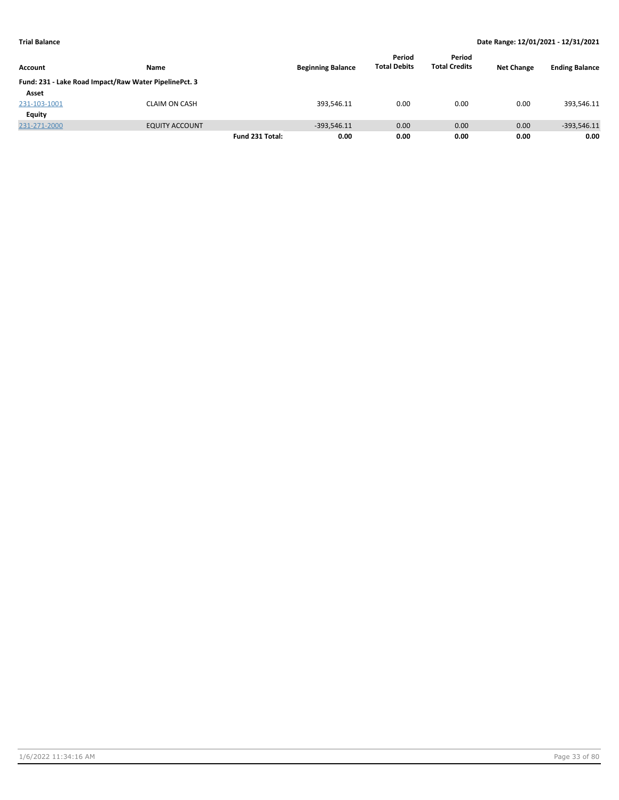|                |                                                       |                 |                          | Period              | Period               |                   |                       |
|----------------|-------------------------------------------------------|-----------------|--------------------------|---------------------|----------------------|-------------------|-----------------------|
| <b>Account</b> | Name                                                  |                 | <b>Beginning Balance</b> | <b>Total Debits</b> | <b>Total Credits</b> | <b>Net Change</b> | <b>Ending Balance</b> |
|                | Fund: 231 - Lake Road Impact/Raw Water PipelinePct. 3 |                 |                          |                     |                      |                   |                       |
| Asset          |                                                       |                 |                          |                     |                      |                   |                       |
| 231-103-1001   | <b>CLAIM ON CASH</b>                                  |                 | 393,546.11               | 0.00                | 0.00                 | 0.00              | 393,546.11            |
| Equity         |                                                       |                 |                          |                     |                      |                   |                       |
| 231-271-2000   | <b>EQUITY ACCOUNT</b>                                 |                 | $-393.546.11$            | 0.00                | 0.00                 | 0.00              | $-393,546.11$         |
|                |                                                       | Fund 231 Total: | 0.00                     | 0.00                | 0.00                 | 0.00              | 0.00                  |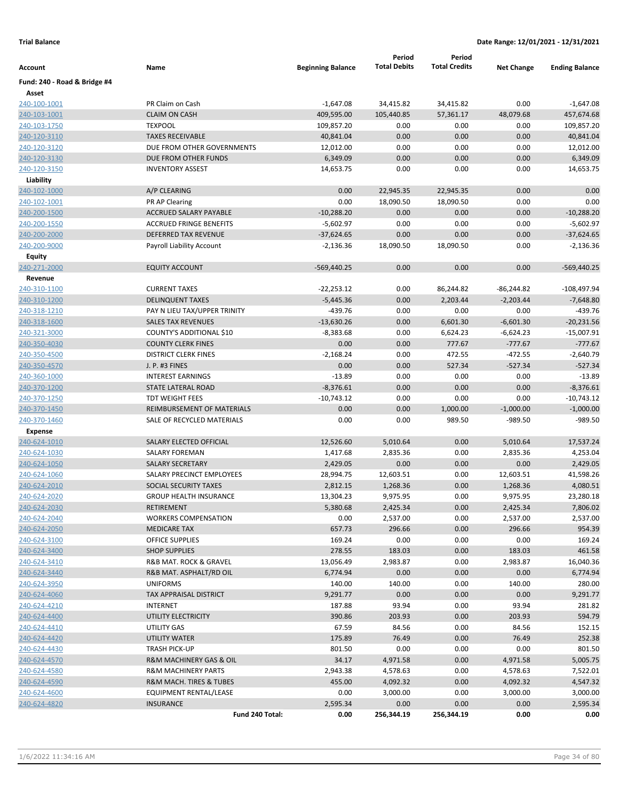| Account                      | Name                                                      | <b>Beginning Balance</b> | Period<br><b>Total Debits</b> | Period<br><b>Total Credits</b> | <b>Net Change</b>    | <b>Ending Balance</b> |
|------------------------------|-----------------------------------------------------------|--------------------------|-------------------------------|--------------------------------|----------------------|-----------------------|
| Fund: 240 - Road & Bridge #4 |                                                           |                          |                               |                                |                      |                       |
| Asset                        |                                                           |                          |                               |                                |                      |                       |
| 240-100-1001                 | PR Claim on Cash                                          | $-1,647.08$              | 34,415.82                     | 34,415.82                      | 0.00                 | $-1,647.08$           |
| 240-103-1001                 | <b>CLAIM ON CASH</b>                                      | 409,595.00               | 105,440.85                    | 57,361.17                      | 48,079.68            | 457,674.68            |
| 240-103-1750                 | <b>TEXPOOL</b>                                            | 109,857.20               | 0.00                          | 0.00                           | 0.00                 | 109,857.20            |
| 240-120-3110                 | <b>TAXES RECEIVABLE</b>                                   | 40,841.04                | 0.00                          | 0.00                           | 0.00                 | 40,841.04             |
| 240-120-3120                 | DUE FROM OTHER GOVERNMENTS                                | 12,012.00                | 0.00                          | 0.00                           | 0.00                 | 12,012.00             |
| 240-120-3130                 | DUE FROM OTHER FUNDS                                      | 6,349.09                 | 0.00                          | 0.00                           | 0.00                 | 6,349.09              |
| 240-120-3150                 | <b>INVENTORY ASSEST</b>                                   | 14,653.75                | 0.00                          | 0.00                           | 0.00                 | 14,653.75             |
| Liability                    |                                                           |                          |                               |                                |                      |                       |
| 240-102-1000                 | A/P CLEARING                                              | 0.00                     | 22,945.35                     | 22,945.35                      | 0.00                 | 0.00                  |
| 240-102-1001                 | PR AP Clearing                                            | 0.00                     | 18,090.50                     | 18,090.50                      | 0.00                 | 0.00                  |
| 240-200-1500                 | ACCRUED SALARY PAYABLE                                    | $-10,288.20$             | 0.00                          | 0.00                           | 0.00                 | $-10,288.20$          |
| 240-200-1550                 | <b>ACCRUED FRINGE BENEFITS</b>                            | $-5,602.97$              | 0.00                          | 0.00                           | 0.00                 | $-5,602.97$           |
| 240-200-2000                 | DEFERRED TAX REVENUE                                      | $-37,624.65$             | 0.00                          | 0.00                           | 0.00                 | $-37,624.65$          |
| 240-200-9000                 | Payroll Liability Account                                 | $-2,136.36$              | 18,090.50                     | 18,090.50                      | 0.00                 | $-2,136.36$           |
| Equity                       |                                                           |                          |                               |                                |                      |                       |
| 240-271-2000                 | <b>EQUITY ACCOUNT</b>                                     | $-569,440.25$            | 0.00                          | 0.00                           | 0.00                 | $-569,440.25$         |
| Revenue                      |                                                           |                          |                               |                                |                      |                       |
| 240-310-1100                 | <b>CURRENT TAXES</b>                                      | $-22,253.12$             | 0.00                          | 86,244.82                      | $-86,244.82$         | $-108,497.94$         |
| 240-310-1200                 | <b>DELINQUENT TAXES</b>                                   | $-5,445.36$              | 0.00                          | 2,203.44                       | $-2,203.44$          | $-7,648.80$           |
| 240-318-1210                 | PAY N LIEU TAX/UPPER TRINITY                              | $-439.76$                | 0.00                          | 0.00                           | 0.00                 | $-439.76$             |
| 240-318-1600                 | <b>SALES TAX REVENUES</b>                                 | $-13,630.26$             | 0.00                          | 6,601.30                       | $-6,601.30$          | $-20,231.56$          |
| 240-321-3000                 | COUNTY'S ADDITIONAL \$10                                  | $-8,383.68$              | 0.00                          | 6,624.23                       | $-6,624.23$          | $-15,007.91$          |
| 240-350-4030                 | <b>COUNTY CLERK FINES</b>                                 | 0.00                     | 0.00                          | 777.67                         | $-777.67$            | $-777.67$             |
| 240-350-4500                 | <b>DISTRICT CLERK FINES</b>                               | $-2,168.24$              | 0.00                          | 472.55                         | $-472.55$            | $-2,640.79$           |
| 240-350-4570                 | J. P. #3 FINES                                            | 0.00                     | 0.00                          | 527.34                         | $-527.34$            | $-527.34$             |
| 240-360-1000                 | <b>INTEREST EARNINGS</b>                                  | $-13.89$                 | 0.00                          | 0.00                           | 0.00                 | $-13.89$              |
| 240-370-1200                 | <b>STATE LATERAL ROAD</b>                                 | $-8,376.61$              | 0.00                          | 0.00                           | 0.00                 | $-8,376.61$           |
| 240-370-1250                 | <b>TDT WEIGHT FEES</b>                                    | $-10,743.12$             | 0.00                          | 0.00                           | 0.00                 | $-10,743.12$          |
| 240-370-1450                 | REIMBURSEMENT OF MATERIALS                                | 0.00                     | 0.00                          | 1,000.00                       | $-1,000.00$          | $-1,000.00$           |
| 240-370-1460                 | SALE OF RECYCLED MATERIALS                                | 0.00                     | 0.00                          | 989.50                         | -989.50              | $-989.50$             |
| <b>Expense</b>               |                                                           |                          |                               |                                |                      |                       |
| 240-624-1010                 | SALARY ELECTED OFFICIAL                                   | 12,526.60                | 5,010.64                      | 0.00                           | 5,010.64             | 17,537.24             |
| 240-624-1030                 | <b>SALARY FOREMAN</b>                                     | 1,417.68                 | 2,835.36                      | 0.00                           | 2,835.36             | 4,253.04              |
| 240-624-1050                 | <b>SALARY SECRETARY</b>                                   | 2,429.05                 | 0.00                          | 0.00                           | 0.00                 | 2,429.05              |
| 240-624-1060                 | SALARY PRECINCT EMPLOYEES                                 | 28,994.75                | 12,603.51                     | 0.00                           | 12,603.51            | 41,598.26             |
| 240-624-2010                 | SOCIAL SECURITY TAXES                                     | 2,812.15                 | 1,268.36                      | 0.00                           | 1,268.36             | 4,080.51              |
| 240-624-2020                 | <b>GROUP HEALTH INSURANCE</b>                             | 13,304.23                | 9,975.95                      | 0.00                           | 9,975.95             | 23,280.18             |
| 240-624-2030                 | RETIREMENT                                                | 5,380.68                 | 2,425.34                      | 0.00                           | 2,425.34             | 7,806.02              |
| 240-624-2040                 | <b>WORKERS COMPENSATION</b>                               | 0.00                     | 2,537.00                      | 0.00                           | 2,537.00             | 2,537.00              |
| 240-624-2050                 | <b>MEDICARE TAX</b>                                       | 657.73                   | 296.66                        | 0.00                           | 296.66               | 954.39                |
| 240-624-3100                 | OFFICE SUPPLIES                                           | 169.24                   | 0.00                          | 0.00                           | 0.00                 | 169.24                |
| 240-624-3400                 | <b>SHOP SUPPLIES</b>                                      | 278.55                   | 183.03                        | 0.00                           | 183.03               | 461.58                |
| 240-624-3410                 | R&B MAT. ROCK & GRAVEL                                    | 13,056.49                | 2,983.87                      | 0.00                           | 2,983.87             | 16,040.36             |
| 240-624-3440                 | R&B MAT. ASPHALT/RD OIL                                   | 6,774.94                 | 0.00                          | 0.00                           | 0.00                 | 6,774.94              |
| 240-624-3950                 | <b>UNIFORMS</b>                                           | 140.00                   | 140.00                        | 0.00                           | 140.00               | 280.00                |
| 240-624-4060                 | TAX APPRAISAL DISTRICT                                    | 9,291.77                 | 0.00                          | 0.00                           | 0.00                 | 9,291.77              |
| 240-624-4210                 | INTERNET                                                  | 187.88                   | 93.94                         | 0.00                           | 93.94                | 281.82                |
| 240-624-4400                 | UTILITY ELECTRICITY                                       | 390.86                   | 203.93                        | 0.00                           | 203.93               | 594.79                |
| 240-624-4410                 | UTILITY GAS                                               | 67.59                    | 84.56                         | 0.00                           | 84.56                | 152.15                |
| 240-624-4420                 | UTILITY WATER                                             | 175.89                   | 76.49                         | 0.00                           | 76.49                | 252.38                |
| 240-624-4430                 | TRASH PICK-UP                                             | 801.50                   | 0.00                          | 0.00                           | 0.00                 | 801.50                |
| 240-624-4570                 | R&M MACHINERY GAS & OIL                                   | 34.17                    | 4,971.58                      | 0.00                           | 4,971.58             | 5,005.75              |
| 240-624-4580<br>240-624-4590 | <b>R&amp;M MACHINERY PARTS</b><br>R&M MACH. TIRES & TUBES | 2,943.38<br>455.00       | 4,578.63<br>4,092.32          | 0.00<br>0.00                   | 4,578.63             | 7,522.01              |
| 240-624-4600                 | EQUIPMENT RENTAL/LEASE                                    | 0.00                     | 3,000.00                      | 0.00                           | 4,092.32<br>3,000.00 | 4,547.32<br>3,000.00  |
| 240-624-4820                 | <b>INSURANCE</b>                                          | 2,595.34                 | 0.00                          | 0.00                           | 0.00                 | 2,595.34              |
|                              | Fund 240 Total:                                           | 0.00                     | 256,344.19                    | 256,344.19                     | 0.00                 | 0.00                  |
|                              |                                                           |                          |                               |                                |                      |                       |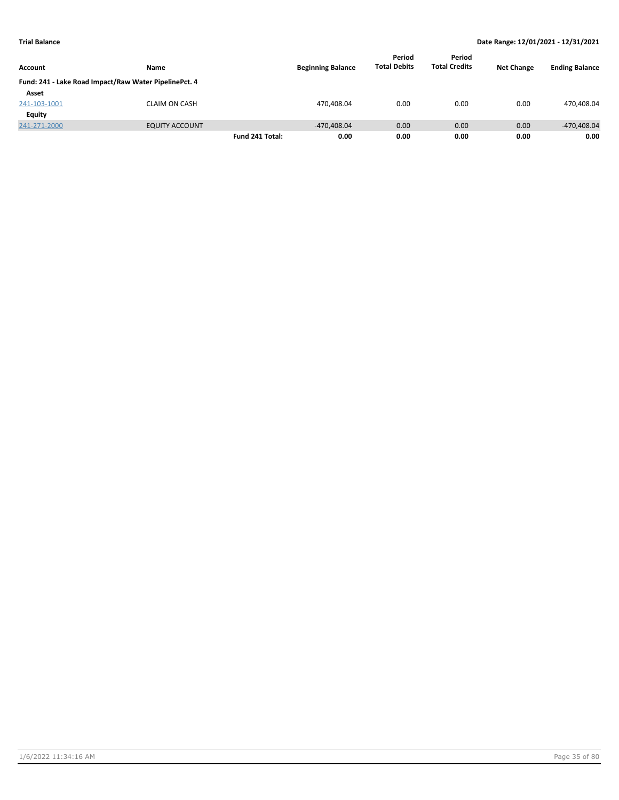|                |                                                       |                 |                          | Period              | Period               |                   |                       |
|----------------|-------------------------------------------------------|-----------------|--------------------------|---------------------|----------------------|-------------------|-----------------------|
| <b>Account</b> | Name                                                  |                 | <b>Beginning Balance</b> | <b>Total Debits</b> | <b>Total Credits</b> | <b>Net Change</b> | <b>Ending Balance</b> |
|                | Fund: 241 - Lake Road Impact/Raw Water PipelinePct. 4 |                 |                          |                     |                      |                   |                       |
| Asset          |                                                       |                 |                          |                     |                      |                   |                       |
| 241-103-1001   | <b>CLAIM ON CASH</b>                                  |                 | 470,408.04               | 0.00                | 0.00                 | 0.00              | 470,408.04            |
| Equity         |                                                       |                 |                          |                     |                      |                   |                       |
| 241-271-2000   | <b>EQUITY ACCOUNT</b>                                 |                 | $-470.408.04$            | 0.00                | 0.00                 | 0.00              | -470,408.04           |
|                |                                                       | Fund 241 Total: | 0.00                     | 0.00                | 0.00                 | 0.00              | 0.00                  |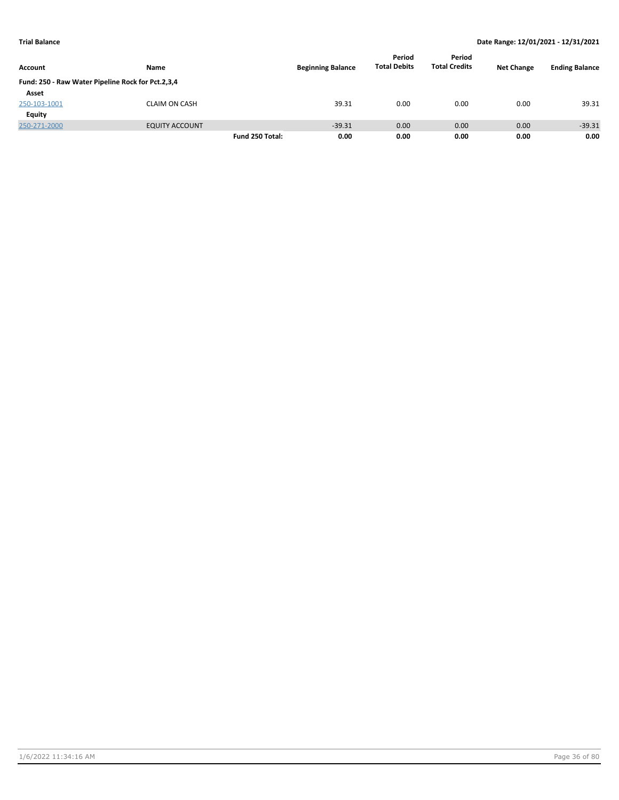|                                                   |                       |                 |                          | Period              | Period               |                   |                       |
|---------------------------------------------------|-----------------------|-----------------|--------------------------|---------------------|----------------------|-------------------|-----------------------|
| Account                                           | Name                  |                 | <b>Beginning Balance</b> | <b>Total Debits</b> | <b>Total Credits</b> | <b>Net Change</b> | <b>Ending Balance</b> |
| Fund: 250 - Raw Water Pipeline Rock for Pct.2,3,4 |                       |                 |                          |                     |                      |                   |                       |
| Asset                                             |                       |                 |                          |                     |                      |                   |                       |
| 250-103-1001                                      | <b>CLAIM ON CASH</b>  |                 | 39.31                    | 0.00                | 0.00                 | 0.00              | 39.31                 |
| Equity                                            |                       |                 |                          |                     |                      |                   |                       |
| 250-271-2000                                      | <b>EQUITY ACCOUNT</b> |                 | $-39.31$                 | 0.00                | 0.00                 | 0.00              | $-39.31$              |
|                                                   |                       | Fund 250 Total: | 0.00                     | 0.00                | 0.00                 | 0.00              | 0.00                  |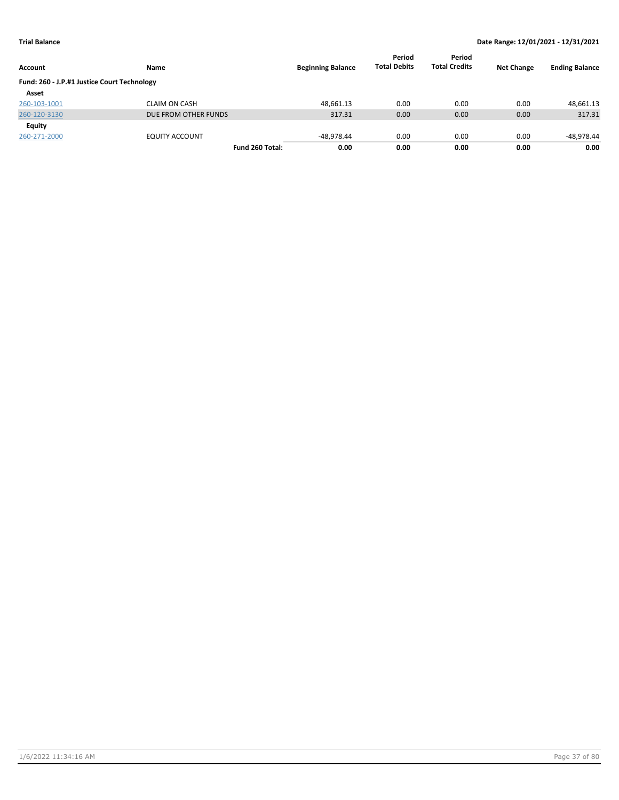| Account                                     | Name                  | <b>Beginning Balance</b> | Period<br><b>Total Debits</b> | Period<br><b>Total Credits</b> | <b>Net Change</b> | <b>Ending Balance</b> |
|---------------------------------------------|-----------------------|--------------------------|-------------------------------|--------------------------------|-------------------|-----------------------|
| Fund: 260 - J.P.#1 Justice Court Technology |                       |                          |                               |                                |                   |                       |
| Asset                                       |                       |                          |                               |                                |                   |                       |
| 260-103-1001                                | <b>CLAIM ON CASH</b>  | 48.661.13                | 0.00                          | 0.00                           | 0.00              | 48,661.13             |
| 260-120-3130                                | DUE FROM OTHER FUNDS  | 317.31                   | 0.00                          | 0.00                           | 0.00              | 317.31                |
| Equity                                      |                       |                          |                               |                                |                   |                       |
| 260-271-2000                                | <b>EQUITY ACCOUNT</b> | $-48.978.44$             | 0.00                          | 0.00                           | 0.00              | -48,978.44            |
|                                             | Fund 260 Total:       | 0.00                     | 0.00                          | 0.00                           | 0.00              | 0.00                  |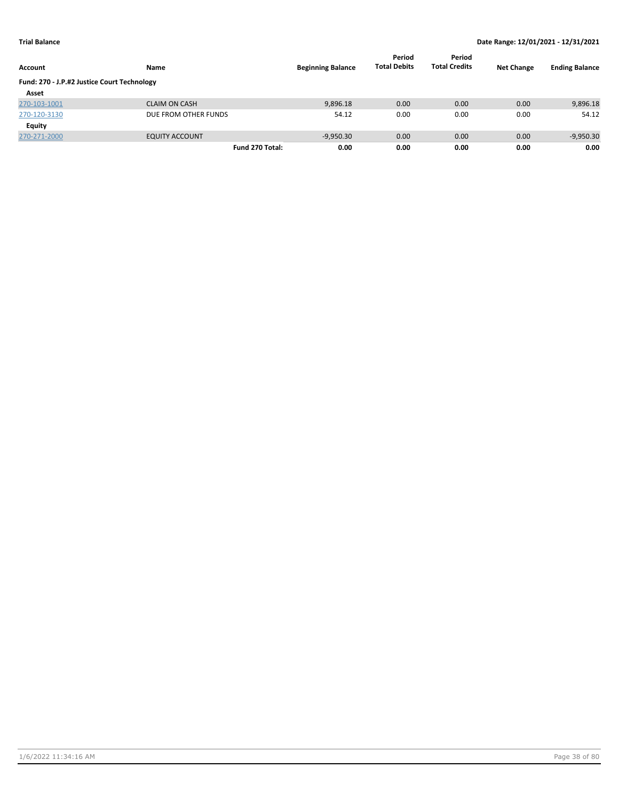| Account                                     | Name                  | <b>Beginning Balance</b> | Period<br><b>Total Debits</b> | Period<br><b>Total Credits</b> | <b>Net Change</b> | <b>Ending Balance</b> |
|---------------------------------------------|-----------------------|--------------------------|-------------------------------|--------------------------------|-------------------|-----------------------|
| Fund: 270 - J.P.#2 Justice Court Technology |                       |                          |                               |                                |                   |                       |
| Asset                                       |                       |                          |                               |                                |                   |                       |
| 270-103-1001                                | <b>CLAIM ON CASH</b>  | 9,896.18                 | 0.00                          | 0.00                           | 0.00              | 9,896.18              |
| 270-120-3130                                | DUE FROM OTHER FUNDS  | 54.12                    | 0.00                          | 0.00                           | 0.00              | 54.12                 |
| Equity                                      |                       |                          |                               |                                |                   |                       |
| 270-271-2000                                | <b>EQUITY ACCOUNT</b> | $-9,950.30$              | 0.00                          | 0.00                           | 0.00              | $-9,950.30$           |
|                                             | Fund 270 Total:       | 0.00                     | 0.00                          | 0.00                           | 0.00              | 0.00                  |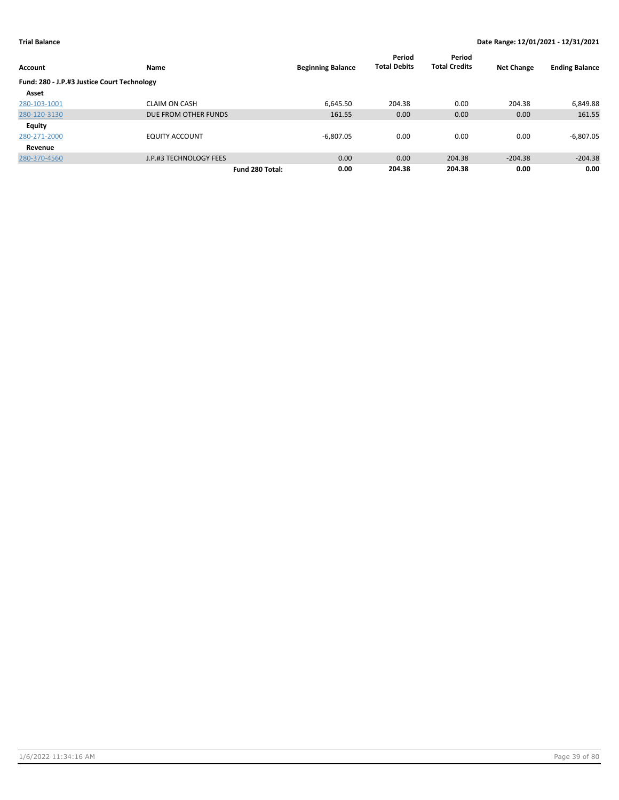| Account                                     | Name                   | <b>Beginning Balance</b> | Period<br><b>Total Debits</b> | Period<br><b>Total Credits</b> | <b>Net Change</b> | <b>Ending Balance</b> |
|---------------------------------------------|------------------------|--------------------------|-------------------------------|--------------------------------|-------------------|-----------------------|
| Fund: 280 - J.P.#3 Justice Court Technology |                        |                          |                               |                                |                   |                       |
| Asset                                       |                        |                          |                               |                                |                   |                       |
| 280-103-1001                                | <b>CLAIM ON CASH</b>   | 6.645.50                 | 204.38                        | 0.00                           | 204.38            | 6,849.88              |
| 280-120-3130                                | DUE FROM OTHER FUNDS   | 161.55                   | 0.00                          | 0.00                           | 0.00              | 161.55                |
| <b>Equity</b>                               |                        |                          |                               |                                |                   |                       |
| 280-271-2000                                | <b>EQUITY ACCOUNT</b>  | $-6.807.05$              | 0.00                          | 0.00                           | 0.00              | $-6,807.05$           |
| Revenue                                     |                        |                          |                               |                                |                   |                       |
| 280-370-4560                                | J.P.#3 TECHNOLOGY FEES | 0.00                     | 0.00                          | 204.38                         | $-204.38$         | $-204.38$             |
|                                             |                        | 0.00<br>Fund 280 Total:  | 204.38                        | 204.38                         | 0.00              | 0.00                  |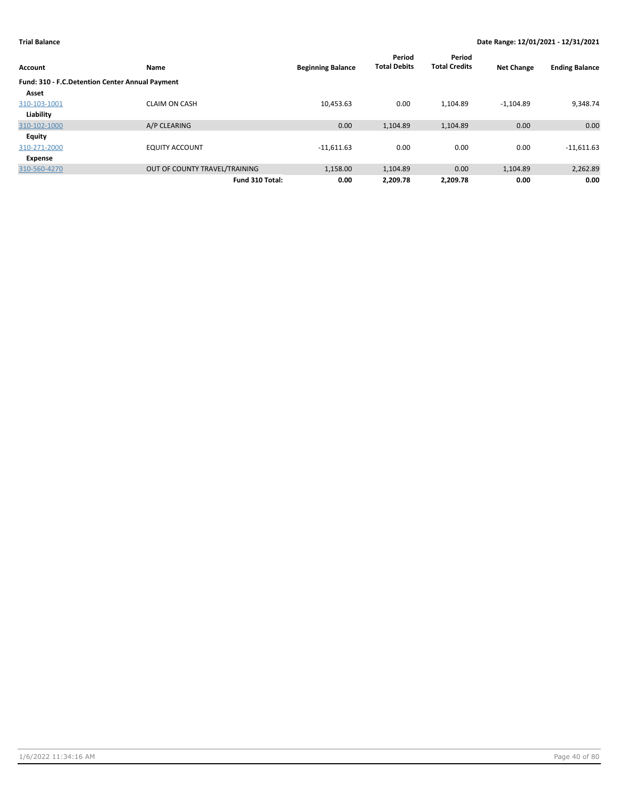| Account                                         | Name                          | <b>Beginning Balance</b> | Period<br><b>Total Debits</b> | Period<br><b>Total Credits</b> | <b>Net Change</b> | <b>Ending Balance</b> |
|-------------------------------------------------|-------------------------------|--------------------------|-------------------------------|--------------------------------|-------------------|-----------------------|
| Fund: 310 - F.C.Detention Center Annual Payment |                               |                          |                               |                                |                   |                       |
| Asset                                           |                               |                          |                               |                                |                   |                       |
| 310-103-1001                                    | <b>CLAIM ON CASH</b>          | 10,453.63                | 0.00                          | 1.104.89                       | $-1.104.89$       | 9,348.74              |
| Liability                                       |                               |                          |                               |                                |                   |                       |
| 310-102-1000                                    | A/P CLEARING                  | 0.00                     | 1,104.89                      | 1,104.89                       | 0.00              | 0.00                  |
| <b>Equity</b>                                   |                               |                          |                               |                                |                   |                       |
| 310-271-2000                                    | <b>EQUITY ACCOUNT</b>         | $-11,611.63$             | 0.00                          | 0.00                           | 0.00              | $-11,611.63$          |
| <b>Expense</b>                                  |                               |                          |                               |                                |                   |                       |
| 310-560-4270                                    | OUT OF COUNTY TRAVEL/TRAINING | 1,158.00                 | 1,104.89                      | 0.00                           | 1,104.89          | 2,262.89              |
|                                                 | Fund 310 Total:               | 0.00                     | 2,209.78                      | 2,209.78                       | 0.00              | 0.00                  |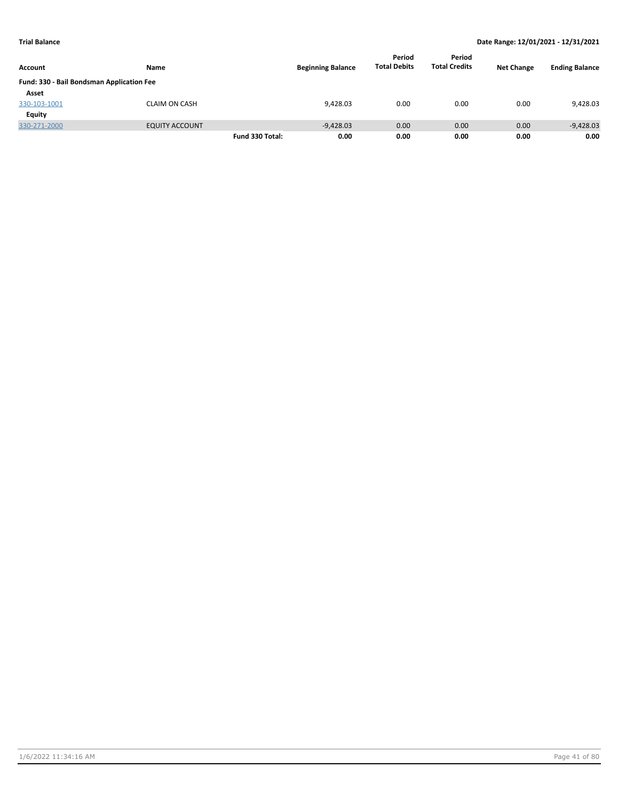|                                           |                       |                 |                          | Period              | Period               |                   |                       |
|-------------------------------------------|-----------------------|-----------------|--------------------------|---------------------|----------------------|-------------------|-----------------------|
| Account                                   | Name                  |                 | <b>Beginning Balance</b> | <b>Total Debits</b> | <b>Total Credits</b> | <b>Net Change</b> | <b>Ending Balance</b> |
| Fund: 330 - Bail Bondsman Application Fee |                       |                 |                          |                     |                      |                   |                       |
| Asset                                     |                       |                 |                          |                     |                      |                   |                       |
| 330-103-1001                              | CLAIM ON CASH         |                 | 9,428.03                 | 0.00                | 0.00                 | 0.00              | 9,428.03              |
| Equity                                    |                       |                 |                          |                     |                      |                   |                       |
| 330-271-2000                              | <b>EQUITY ACCOUNT</b> |                 | $-9.428.03$              | 0.00                | 0.00                 | 0.00              | $-9,428.03$           |
|                                           |                       | Fund 330 Total: | 0.00                     | 0.00                | 0.00                 | 0.00              | 0.00                  |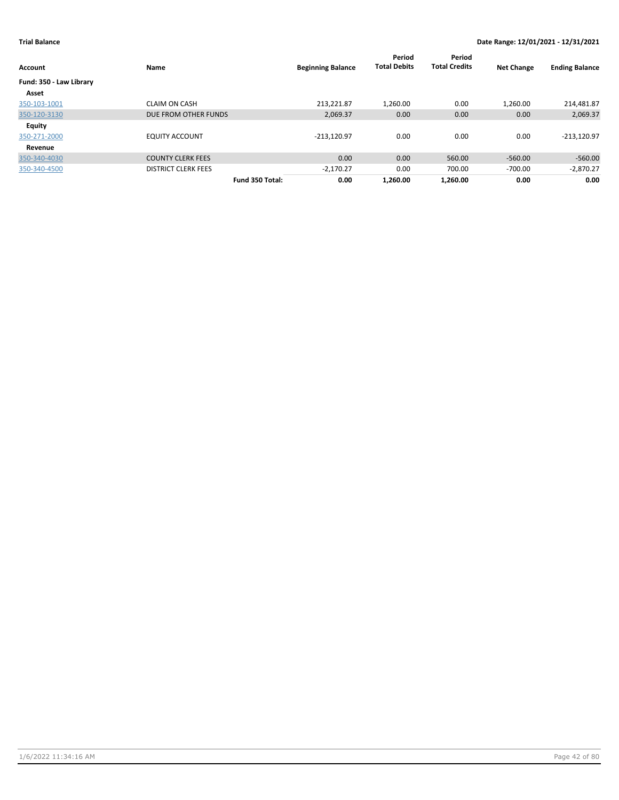| <b>Account</b>          | Name                       | <b>Beginning Balance</b> | Period<br><b>Total Debits</b> | Period<br><b>Total Credits</b> | <b>Net Change</b> | <b>Ending Balance</b> |
|-------------------------|----------------------------|--------------------------|-------------------------------|--------------------------------|-------------------|-----------------------|
| Fund: 350 - Law Library |                            |                          |                               |                                |                   |                       |
| Asset                   |                            |                          |                               |                                |                   |                       |
| 350-103-1001            | <b>CLAIM ON CASH</b>       | 213.221.87               | 1,260.00                      | 0.00                           | 1,260.00          | 214,481.87            |
| 350-120-3130            | DUE FROM OTHER FUNDS       | 2,069.37                 | 0.00                          | 0.00                           | 0.00              | 2,069.37              |
| Equity                  |                            |                          |                               |                                |                   |                       |
| 350-271-2000            | <b>EQUITY ACCOUNT</b>      | $-213.120.97$            | 0.00                          | 0.00                           | 0.00              | $-213,120.97$         |
| Revenue                 |                            |                          |                               |                                |                   |                       |
| 350-340-4030            | <b>COUNTY CLERK FEES</b>   | 0.00                     | 0.00                          | 560.00                         | $-560.00$         | $-560.00$             |
| 350-340-4500            | <b>DISTRICT CLERK FEES</b> | $-2.170.27$              | 0.00                          | 700.00                         | $-700.00$         | $-2,870.27$           |
|                         | Fund 350 Total:            | 0.00                     | 1.260.00                      | 1.260.00                       | 0.00              | 0.00                  |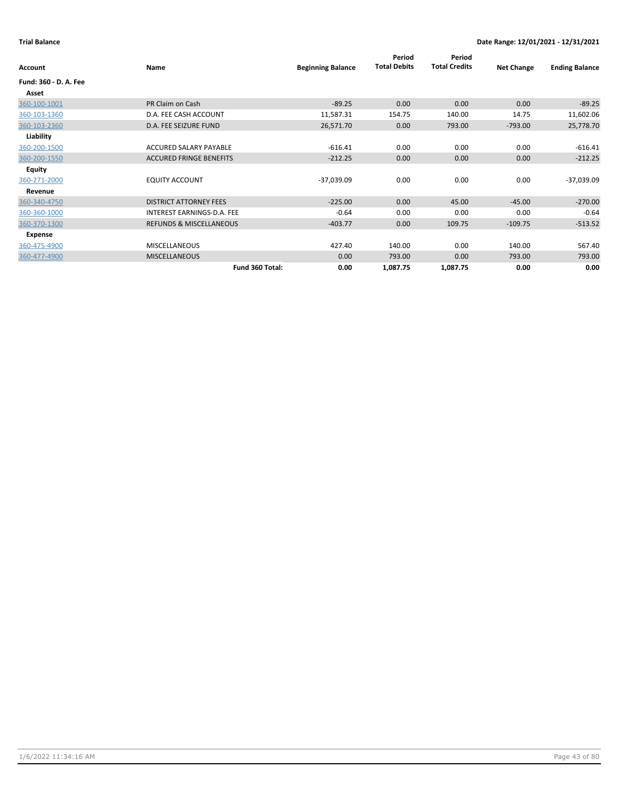| Account               | Name                               | <b>Beginning Balance</b> | Period<br><b>Total Debits</b> | Period<br><b>Total Credits</b> | <b>Net Change</b> | <b>Ending Balance</b> |
|-----------------------|------------------------------------|--------------------------|-------------------------------|--------------------------------|-------------------|-----------------------|
| Fund: 360 - D. A. Fee |                                    |                          |                               |                                |                   |                       |
| Asset                 |                                    |                          |                               |                                |                   |                       |
| 360-100-1001          | PR Claim on Cash                   | $-89.25$                 | 0.00                          | 0.00                           | 0.00              | $-89.25$              |
| 360-103-1360          | D.A. FEE CASH ACCOUNT              | 11,587.31                | 154.75                        | 140.00                         | 14.75             | 11,602.06             |
| 360-103-2360          | D.A. FEE SEIZURE FUND              | 26,571.70                | 0.00                          | 793.00                         | $-793.00$         | 25,778.70             |
| Liability             |                                    |                          |                               |                                |                   |                       |
| 360-200-1500          | ACCURED SALARY PAYABLE             | $-616.41$                | 0.00                          | 0.00                           | 0.00              | $-616.41$             |
| 360-200-1550          | <b>ACCURED FRINGE BENEFITS</b>     | $-212.25$                | 0.00                          | 0.00                           | 0.00              | $-212.25$             |
| <b>Equity</b>         |                                    |                          |                               |                                |                   |                       |
| 360-271-2000          | <b>EQUITY ACCOUNT</b>              | $-37,039.09$             | 0.00                          | 0.00                           | 0.00              | $-37,039.09$          |
| Revenue               |                                    |                          |                               |                                |                   |                       |
| 360-340-4750          | <b>DISTRICT ATTORNEY FEES</b>      | $-225.00$                | 0.00                          | 45.00                          | $-45.00$          | $-270.00$             |
| 360-360-1000          | INTEREST EARNINGS-D.A. FEE         | $-0.64$                  | 0.00                          | 0.00                           | 0.00              | $-0.64$               |
| 360-370-1300          | <b>REFUNDS &amp; MISCELLANEOUS</b> | $-403.77$                | 0.00                          | 109.75                         | $-109.75$         | $-513.52$             |
| Expense               |                                    |                          |                               |                                |                   |                       |
| 360-475-4900          | <b>MISCELLANEOUS</b>               | 427.40                   | 140.00                        | 0.00                           | 140.00            | 567.40                |
| 360-477-4900          | <b>MISCELLANEOUS</b>               | 0.00                     | 793.00                        | 0.00                           | 793.00            | 793.00                |
|                       | Fund 360 Total:                    | 0.00                     | 1,087.75                      | 1,087.75                       | 0.00              | 0.00                  |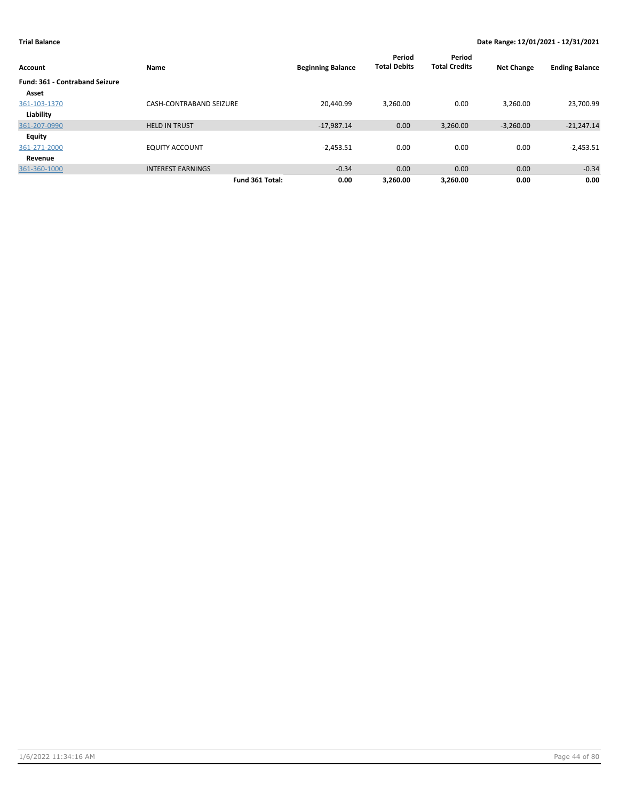| Account                               | Name                           | <b>Beginning Balance</b> | Period<br><b>Total Debits</b> | Period<br><b>Total Credits</b> | <b>Net Change</b> | <b>Ending Balance</b> |
|---------------------------------------|--------------------------------|--------------------------|-------------------------------|--------------------------------|-------------------|-----------------------|
| <b>Fund: 361 - Contraband Seizure</b> |                                |                          |                               |                                |                   |                       |
| Asset                                 |                                |                          |                               |                                |                   |                       |
| 361-103-1370                          | <b>CASH-CONTRABAND SEIZURE</b> | 20.440.99                | 3.260.00                      | 0.00                           | 3.260.00          | 23,700.99             |
| Liability                             |                                |                          |                               |                                |                   |                       |
| 361-207-0990                          | <b>HELD IN TRUST</b>           | $-17,987.14$             | 0.00                          | 3,260.00                       | $-3,260.00$       | $-21,247.14$          |
| <b>Equity</b>                         |                                |                          |                               |                                |                   |                       |
| 361-271-2000                          | <b>EQUITY ACCOUNT</b>          | $-2,453.51$              | 0.00                          | 0.00                           | 0.00              | $-2,453.51$           |
| Revenue                               |                                |                          |                               |                                |                   |                       |
| 361-360-1000                          | <b>INTEREST EARNINGS</b>       | $-0.34$                  | 0.00                          | 0.00                           | 0.00              | $-0.34$               |
|                                       | Fund 361 Total:                | 0.00                     | 3.260.00                      | 3.260.00                       | 0.00              | 0.00                  |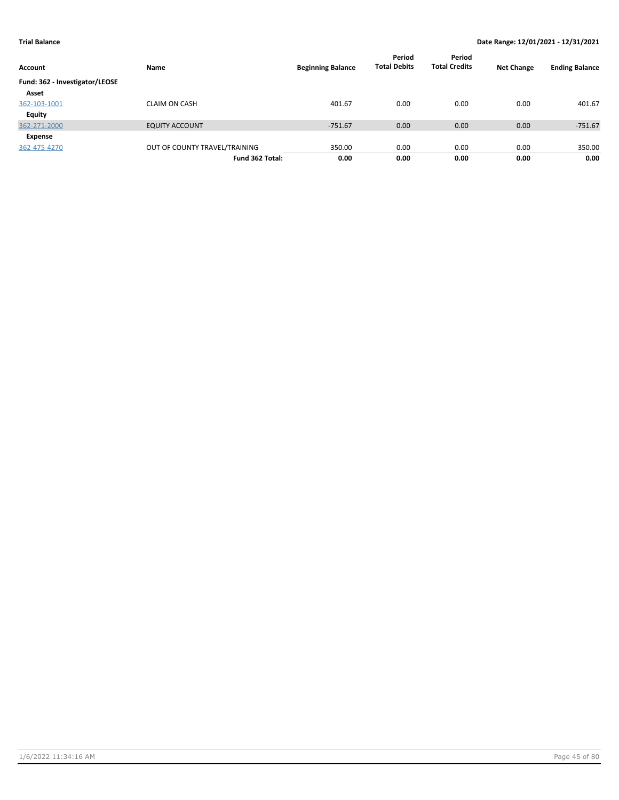| Account                        | Name                          | <b>Beginning Balance</b> | Period<br><b>Total Debits</b> | Period<br><b>Total Credits</b> | <b>Net Change</b> | <b>Ending Balance</b> |
|--------------------------------|-------------------------------|--------------------------|-------------------------------|--------------------------------|-------------------|-----------------------|
| Fund: 362 - Investigator/LEOSE |                               |                          |                               |                                |                   |                       |
| Asset                          |                               |                          |                               |                                |                   |                       |
| 362-103-1001                   | <b>CLAIM ON CASH</b>          | 401.67                   | 0.00                          | 0.00                           | 0.00              | 401.67                |
| Equity                         |                               |                          |                               |                                |                   |                       |
| 362-271-2000                   | <b>EQUITY ACCOUNT</b>         | $-751.67$                | 0.00                          | 0.00                           | 0.00              | $-751.67$             |
| Expense                        |                               |                          |                               |                                |                   |                       |
| 362-475-4270                   | OUT OF COUNTY TRAVEL/TRAINING | 350.00                   | 0.00                          | 0.00                           | 0.00              | 350.00                |
|                                | Fund 362 Total:               | 0.00                     | 0.00                          | 0.00                           | 0.00              | 0.00                  |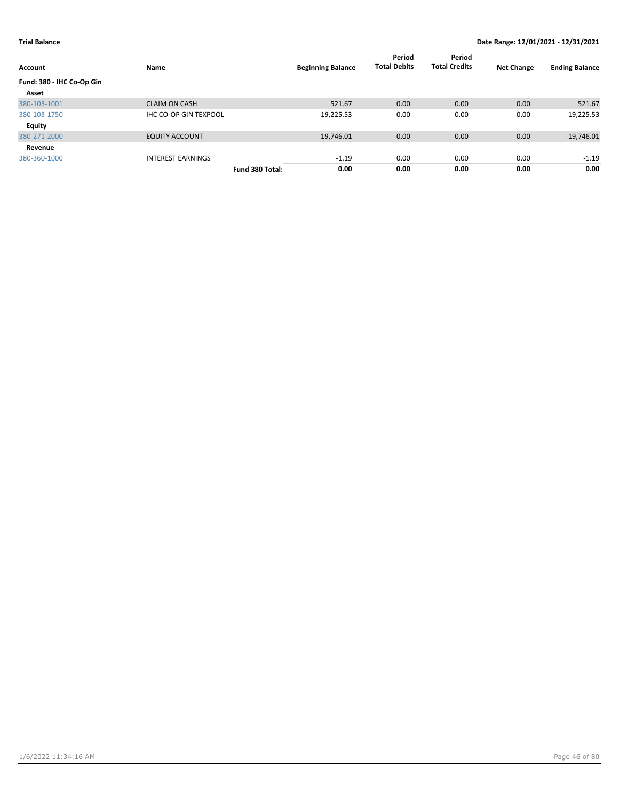| Account                   | Name                         |                 | <b>Beginning Balance</b> | Period<br><b>Total Debits</b> | Period<br><b>Total Credits</b> | <b>Net Change</b> | <b>Ending Balance</b> |
|---------------------------|------------------------------|-----------------|--------------------------|-------------------------------|--------------------------------|-------------------|-----------------------|
| Fund: 380 - IHC Co-Op Gin |                              |                 |                          |                               |                                |                   |                       |
| Asset                     |                              |                 |                          |                               |                                |                   |                       |
| 380-103-1001              | <b>CLAIM ON CASH</b>         |                 | 521.67                   | 0.00                          | 0.00                           | 0.00              | 521.67                |
| 380-103-1750              | <b>IHC CO-OP GIN TEXPOOL</b> |                 | 19,225.53                | 0.00                          | 0.00                           | 0.00              | 19,225.53             |
| Equity                    |                              |                 |                          |                               |                                |                   |                       |
| 380-271-2000              | <b>EQUITY ACCOUNT</b>        |                 | $-19,746.01$             | 0.00                          | 0.00                           | 0.00              | $-19,746.01$          |
| Revenue                   |                              |                 |                          |                               |                                |                   |                       |
| 380-360-1000              | <b>INTEREST EARNINGS</b>     |                 | $-1.19$                  | 0.00                          | 0.00                           | 0.00              | $-1.19$               |
|                           |                              | Fund 380 Total: | 0.00                     | 0.00                          | 0.00                           | 0.00              | 0.00                  |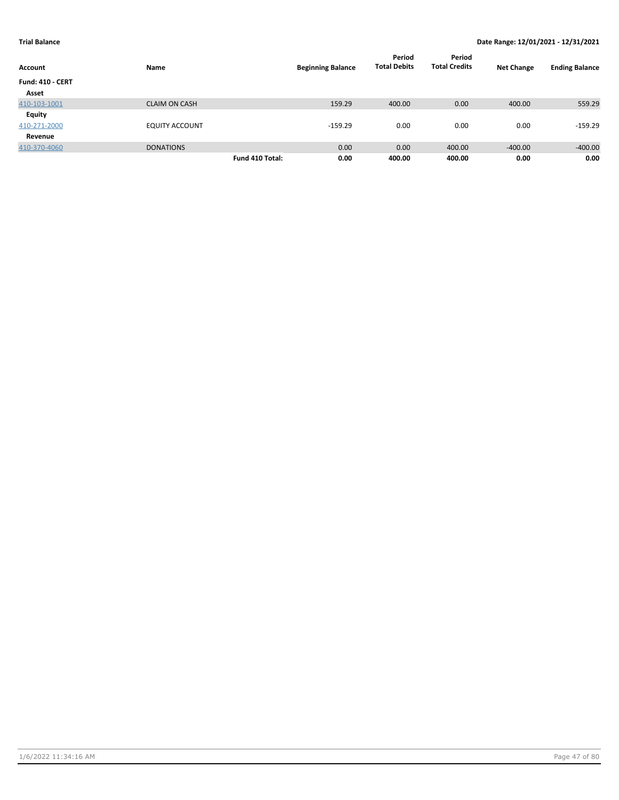| Account                 | Name                  |                 | <b>Beginning Balance</b> | Period<br><b>Total Debits</b> | Period<br><b>Total Credits</b> | <b>Net Change</b> | <b>Ending Balance</b> |
|-------------------------|-----------------------|-----------------|--------------------------|-------------------------------|--------------------------------|-------------------|-----------------------|
| <b>Fund: 410 - CERT</b> |                       |                 |                          |                               |                                |                   |                       |
| Asset                   |                       |                 |                          |                               |                                |                   |                       |
| 410-103-1001            | <b>CLAIM ON CASH</b>  |                 | 159.29                   | 400.00                        | 0.00                           | 400.00            | 559.29                |
| <b>Equity</b>           |                       |                 |                          |                               |                                |                   |                       |
| 410-271-2000            | <b>EQUITY ACCOUNT</b> |                 | $-159.29$                | 0.00                          | 0.00                           | 0.00              | $-159.29$             |
| Revenue                 |                       |                 |                          |                               |                                |                   |                       |
| 410-370-4060            | <b>DONATIONS</b>      |                 | 0.00                     | 0.00                          | 400.00                         | $-400.00$         | $-400.00$             |
|                         |                       | Fund 410 Total: | 0.00                     | 400.00                        | 400.00                         | 0.00              | 0.00                  |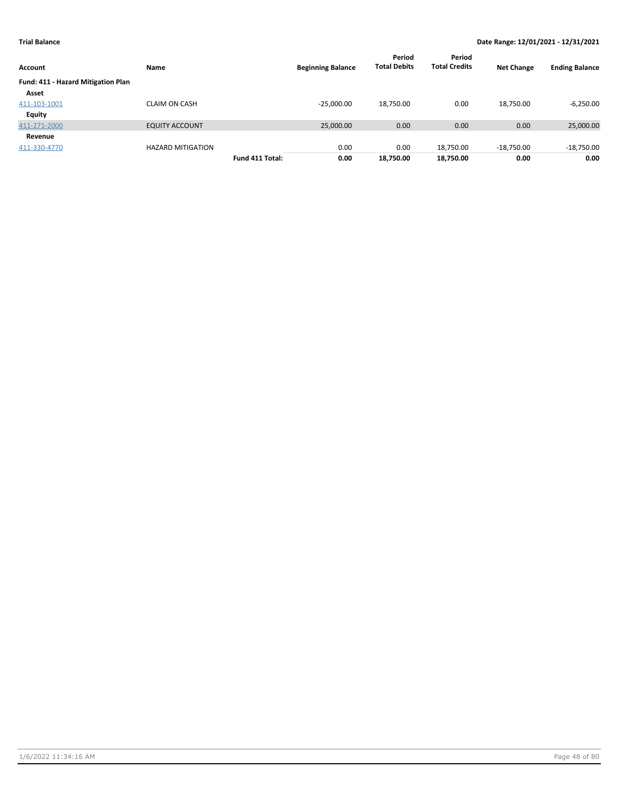| Account                                   | Name                     |                 | <b>Beginning Balance</b> | Period<br><b>Total Debits</b> | Period<br><b>Total Credits</b> | <b>Net Change</b> | <b>Ending Balance</b> |
|-------------------------------------------|--------------------------|-----------------|--------------------------|-------------------------------|--------------------------------|-------------------|-----------------------|
| <b>Fund: 411 - Hazard Mitigation Plan</b> |                          |                 |                          |                               |                                |                   |                       |
| Asset                                     |                          |                 |                          |                               |                                |                   |                       |
| 411-103-1001                              | <b>CLAIM ON CASH</b>     |                 | $-25,000.00$             | 18,750.00                     | 0.00                           | 18,750.00         | $-6,250.00$           |
| <b>Equity</b>                             |                          |                 |                          |                               |                                |                   |                       |
| 411-271-2000                              | <b>EQUITY ACCOUNT</b>    |                 | 25,000.00                | 0.00                          | 0.00                           | 0.00              | 25,000.00             |
| Revenue                                   |                          |                 |                          |                               |                                |                   |                       |
| 411-330-4770                              | <b>HAZARD MITIGATION</b> |                 | 0.00                     | 0.00                          | 18,750.00                      | $-18,750.00$      | $-18,750.00$          |
|                                           |                          | Fund 411 Total: | 0.00                     | 18,750.00                     | 18,750.00                      | 0.00              | 0.00                  |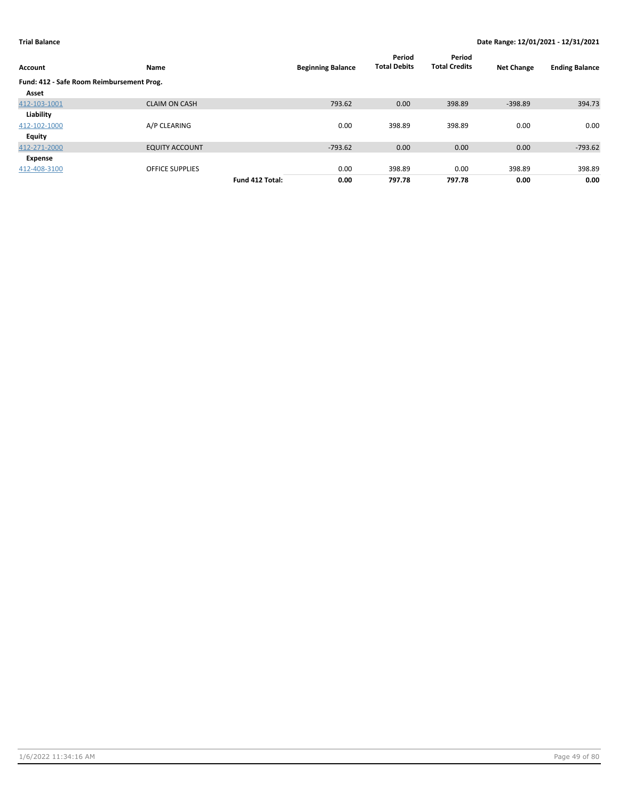| Account                                   | Name                   |                 | <b>Beginning Balance</b> | Period<br><b>Total Debits</b> | Period<br><b>Total Credits</b> | <b>Net Change</b> | <b>Ending Balance</b> |
|-------------------------------------------|------------------------|-----------------|--------------------------|-------------------------------|--------------------------------|-------------------|-----------------------|
| Fund: 412 - Safe Room Reimbursement Prog. |                        |                 |                          |                               |                                |                   |                       |
| Asset                                     |                        |                 |                          |                               |                                |                   |                       |
| 412-103-1001                              | <b>CLAIM ON CASH</b>   |                 | 793.62                   | 0.00                          | 398.89                         | $-398.89$         | 394.73                |
| Liability                                 |                        |                 |                          |                               |                                |                   |                       |
| 412-102-1000                              | A/P CLEARING           |                 | 0.00                     | 398.89                        | 398.89                         | 0.00              | 0.00                  |
| <b>Equity</b>                             |                        |                 |                          |                               |                                |                   |                       |
| 412-271-2000                              | <b>EQUITY ACCOUNT</b>  |                 | $-793.62$                | 0.00                          | 0.00                           | 0.00              | $-793.62$             |
| Expense                                   |                        |                 |                          |                               |                                |                   |                       |
| 412-408-3100                              | <b>OFFICE SUPPLIES</b> |                 | 0.00                     | 398.89                        | 0.00                           | 398.89            | 398.89                |
|                                           |                        | Fund 412 Total: | 0.00                     | 797.78                        | 797.78                         | 0.00              | 0.00                  |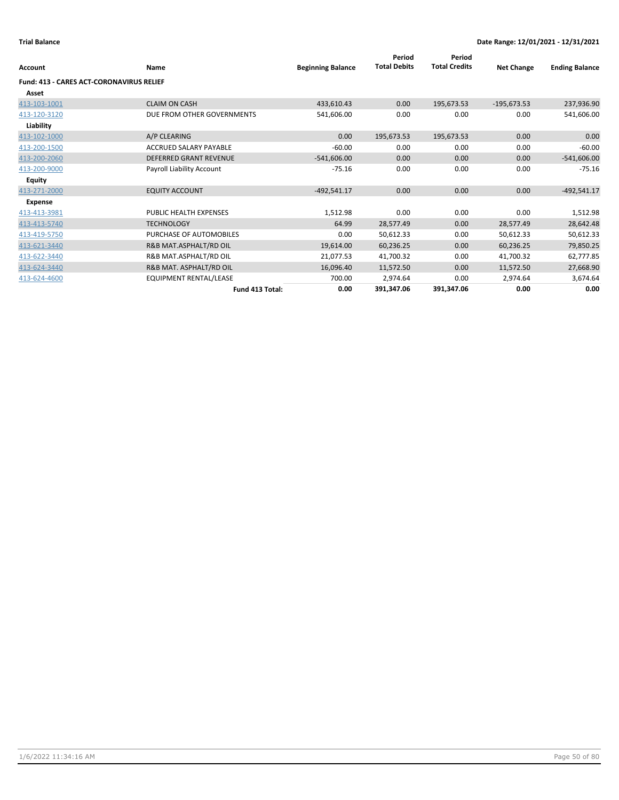| Account                                  | Name                          | <b>Beginning Balance</b> | Period<br><b>Total Debits</b> | Period<br><b>Total Credits</b> | <b>Net Change</b> | <b>Ending Balance</b> |
|------------------------------------------|-------------------------------|--------------------------|-------------------------------|--------------------------------|-------------------|-----------------------|
| Fund: 413 - CARES ACT-CORONAVIRUS RELIEF |                               |                          |                               |                                |                   |                       |
| Asset                                    |                               |                          |                               |                                |                   |                       |
| 413-103-1001                             | <b>CLAIM ON CASH</b>          | 433,610.43               | 0.00                          | 195,673.53                     | $-195,673.53$     | 237,936.90            |
| 413-120-3120                             | DUE FROM OTHER GOVERNMENTS    | 541,606.00               | 0.00                          | 0.00                           | 0.00              | 541,606.00            |
| Liability                                |                               |                          |                               |                                |                   |                       |
| 413-102-1000                             | A/P CLEARING                  | 0.00                     | 195,673.53                    | 195,673.53                     | 0.00              | 0.00                  |
| 413-200-1500                             | <b>ACCRUED SALARY PAYABLE</b> | $-60.00$                 | 0.00                          | 0.00                           | 0.00              | $-60.00$              |
| 413-200-2060                             | <b>DEFERRED GRANT REVENUE</b> | $-541,606.00$            | 0.00                          | 0.00                           | 0.00              | $-541,606.00$         |
| 413-200-9000                             | Payroll Liability Account     | $-75.16$                 | 0.00                          | 0.00                           | 0.00              | $-75.16$              |
| <b>Equity</b>                            |                               |                          |                               |                                |                   |                       |
| 413-271-2000                             | <b>EQUITY ACCOUNT</b>         | $-492,541.17$            | 0.00                          | 0.00                           | 0.00              | $-492,541.17$         |
| <b>Expense</b>                           |                               |                          |                               |                                |                   |                       |
| 413-413-3981                             | <b>PUBLIC HEALTH EXPENSES</b> | 1,512.98                 | 0.00                          | 0.00                           | 0.00              | 1,512.98              |
| 413-413-5740                             | <b>TECHNOLOGY</b>             | 64.99                    | 28,577.49                     | 0.00                           | 28,577.49         | 28,642.48             |
| 413-419-5750                             | PURCHASE OF AUTOMOBILES       | 0.00                     | 50,612.33                     | 0.00                           | 50,612.33         | 50,612.33             |
| 413-621-3440                             | R&B MAT.ASPHALT/RD OIL        | 19,614.00                | 60,236.25                     | 0.00                           | 60,236.25         | 79,850.25             |
| 413-622-3440                             | R&B MAT.ASPHALT/RD OIL        | 21,077.53                | 41,700.32                     | 0.00                           | 41,700.32         | 62,777.85             |
| 413-624-3440                             | R&B MAT. ASPHALT/RD OIL       | 16,096.40                | 11,572.50                     | 0.00                           | 11,572.50         | 27,668.90             |
| 413-624-4600                             | <b>EQUIPMENT RENTAL/LEASE</b> | 700.00                   | 2,974.64                      | 0.00                           | 2,974.64          | 3,674.64              |
|                                          | Fund 413 Total:               | 0.00                     | 391,347.06                    | 391,347.06                     | 0.00              | 0.00                  |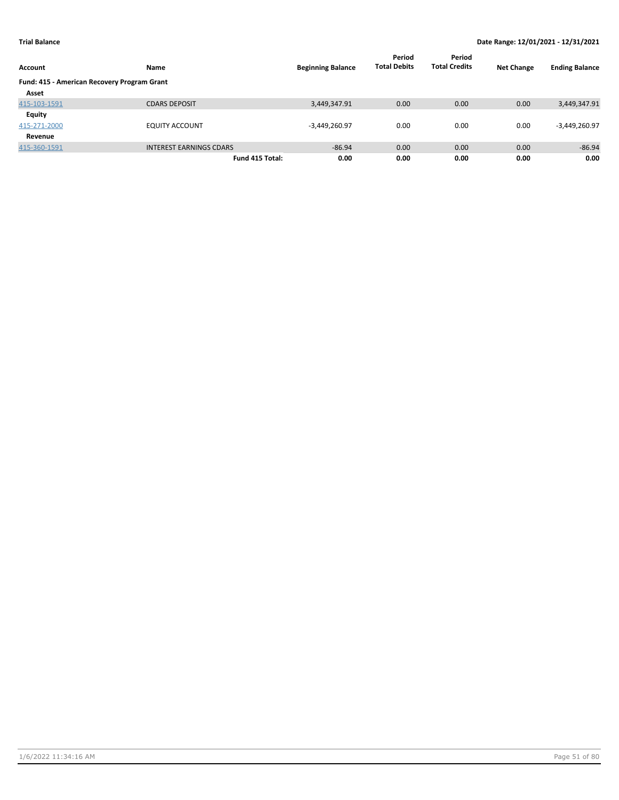| Account                                     | Name                           | <b>Beginning Balance</b> | Period<br><b>Total Debits</b> | Period<br><b>Total Credits</b> | <b>Net Change</b> | <b>Ending Balance</b> |
|---------------------------------------------|--------------------------------|--------------------------|-------------------------------|--------------------------------|-------------------|-----------------------|
| Fund: 415 - American Recovery Program Grant |                                |                          |                               |                                |                   |                       |
| Asset                                       |                                |                          |                               |                                |                   |                       |
| 415-103-1591                                | <b>CDARS DEPOSIT</b>           | 3,449,347.91             | 0.00                          | 0.00                           | 0.00              | 3,449,347.91          |
| Equity                                      |                                |                          |                               |                                |                   |                       |
| 415-271-2000                                | <b>EQUITY ACCOUNT</b>          | $-3,449,260.97$          | 0.00                          | 0.00                           | 0.00              | $-3,449,260.97$       |
| Revenue                                     |                                |                          |                               |                                |                   |                       |
| 415-360-1591                                | <b>INTEREST EARNINGS CDARS</b> | $-86.94$                 | 0.00                          | 0.00                           | 0.00              | $-86.94$              |
|                                             | Fund 415 Total:                | 0.00                     | 0.00                          | 0.00                           | 0.00              | 0.00                  |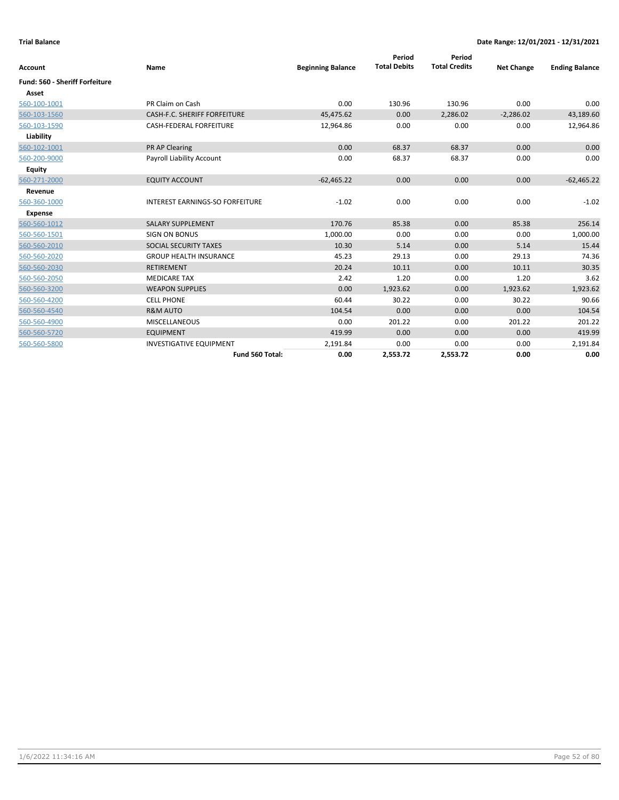|                                       |                                        |                          | Period              | Period               |                   |                       |
|---------------------------------------|----------------------------------------|--------------------------|---------------------|----------------------|-------------------|-----------------------|
| Account                               | Name                                   | <b>Beginning Balance</b> | <b>Total Debits</b> | <b>Total Credits</b> | <b>Net Change</b> | <b>Ending Balance</b> |
| <b>Fund: 560 - Sheriff Forfeiture</b> |                                        |                          |                     |                      |                   |                       |
| Asset                                 |                                        |                          |                     |                      |                   |                       |
| 560-100-1001                          | PR Claim on Cash                       | 0.00                     | 130.96              | 130.96               | 0.00              | 0.00                  |
| 560-103-1560                          | <b>CASH-F.C. SHERIFF FORFEITURE</b>    | 45,475.62                | 0.00                | 2,286.02             | $-2,286.02$       | 43,189.60             |
| 560-103-1590                          | <b>CASH-FEDERAL FORFEITURE</b>         | 12,964.86                | 0.00                | 0.00                 | 0.00              | 12,964.86             |
| Liability                             |                                        |                          |                     |                      |                   |                       |
| 560-102-1001                          | <b>PR AP Clearing</b>                  | 0.00                     | 68.37               | 68.37                | 0.00              | 0.00                  |
| 560-200-9000                          | Payroll Liability Account              | 0.00                     | 68.37               | 68.37                | 0.00              | 0.00                  |
| Equity                                |                                        |                          |                     |                      |                   |                       |
| 560-271-2000                          | <b>EQUITY ACCOUNT</b>                  | $-62,465.22$             | 0.00                | 0.00                 | 0.00              | $-62,465.22$          |
| Revenue                               |                                        |                          |                     |                      |                   |                       |
| 560-360-1000                          | <b>INTEREST EARNINGS-SO FORFEITURE</b> | $-1.02$                  | 0.00                | 0.00                 | 0.00              | $-1.02$               |
| <b>Expense</b>                        |                                        |                          |                     |                      |                   |                       |
| 560-560-1012                          | <b>SALARY SUPPLEMENT</b>               | 170.76                   | 85.38               | 0.00                 | 85.38             | 256.14                |
| 560-560-1501                          | <b>SIGN ON BONUS</b>                   | 1,000.00                 | 0.00                | 0.00                 | 0.00              | 1,000.00              |
| 560-560-2010                          | SOCIAL SECURITY TAXES                  | 10.30                    | 5.14                | 0.00                 | 5.14              | 15.44                 |
| 560-560-2020                          | <b>GROUP HEALTH INSURANCE</b>          | 45.23                    | 29.13               | 0.00                 | 29.13             | 74.36                 |
| 560-560-2030                          | <b>RETIREMENT</b>                      | 20.24                    | 10.11               | 0.00                 | 10.11             | 30.35                 |
| 560-560-2050                          | <b>MEDICARE TAX</b>                    | 2.42                     | 1.20                | 0.00                 | 1.20              | 3.62                  |
| 560-560-3200                          | <b>WEAPON SUPPLIES</b>                 | 0.00                     | 1,923.62            | 0.00                 | 1,923.62          | 1,923.62              |
| 560-560-4200                          | <b>CELL PHONE</b>                      | 60.44                    | 30.22               | 0.00                 | 30.22             | 90.66                 |
| 560-560-4540                          | <b>R&amp;M AUTO</b>                    | 104.54                   | 0.00                | 0.00                 | 0.00              | 104.54                |
| 560-560-4900                          | <b>MISCELLANEOUS</b>                   | 0.00                     | 201.22              | 0.00                 | 201.22            | 201.22                |
| 560-560-5720                          | <b>EQUIPMENT</b>                       | 419.99                   | 0.00                | 0.00                 | 0.00              | 419.99                |
| 560-560-5800                          | <b>INVESTIGATIVE EQUIPMENT</b>         | 2,191.84                 | 0.00                | 0.00                 | 0.00              | 2,191.84              |
|                                       | Fund 560 Total:                        | 0.00                     | 2,553.72            | 2,553.72             | 0.00              | 0.00                  |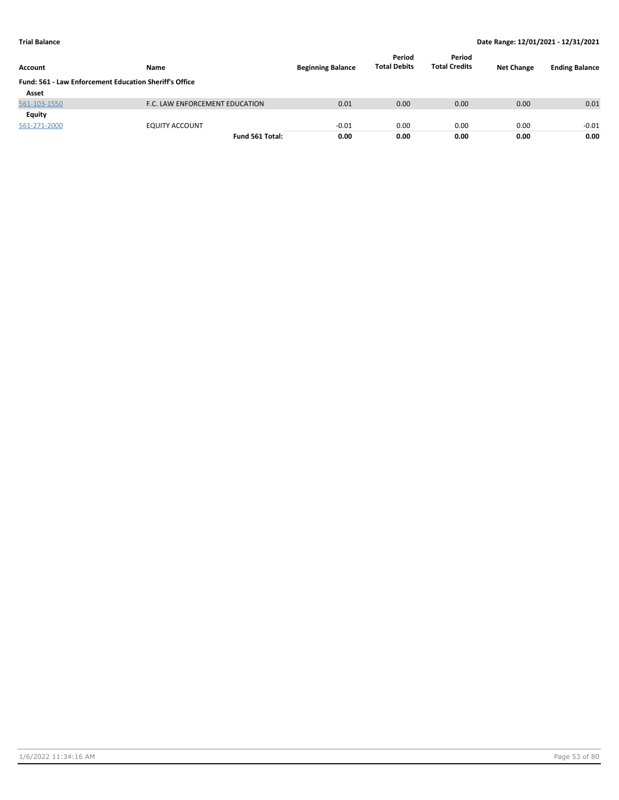| Account                                                | Name                           | <b>Beginning Balance</b> | Period<br><b>Total Debits</b> | Period<br><b>Total Credits</b> | <b>Net Change</b> | <b>Ending Balance</b> |
|--------------------------------------------------------|--------------------------------|--------------------------|-------------------------------|--------------------------------|-------------------|-----------------------|
| Fund: 561 - Law Enforcement Education Sheriff's Office |                                |                          |                               |                                |                   |                       |
| Asset                                                  |                                |                          |                               |                                |                   |                       |
| 561-103-1550                                           | F.C. LAW ENFORCEMENT EDUCATION | 0.01                     | 0.00                          | 0.00                           | 0.00              | 0.01                  |
| Equity                                                 |                                |                          |                               |                                |                   |                       |
| 561-271-2000                                           | <b>EQUITY ACCOUNT</b>          | $-0.01$                  | 0.00                          | 0.00                           | 0.00              | $-0.01$               |
|                                                        | Fund 561 Total:                | 0.00                     | 0.00                          | 0.00                           | 0.00              | 0.00                  |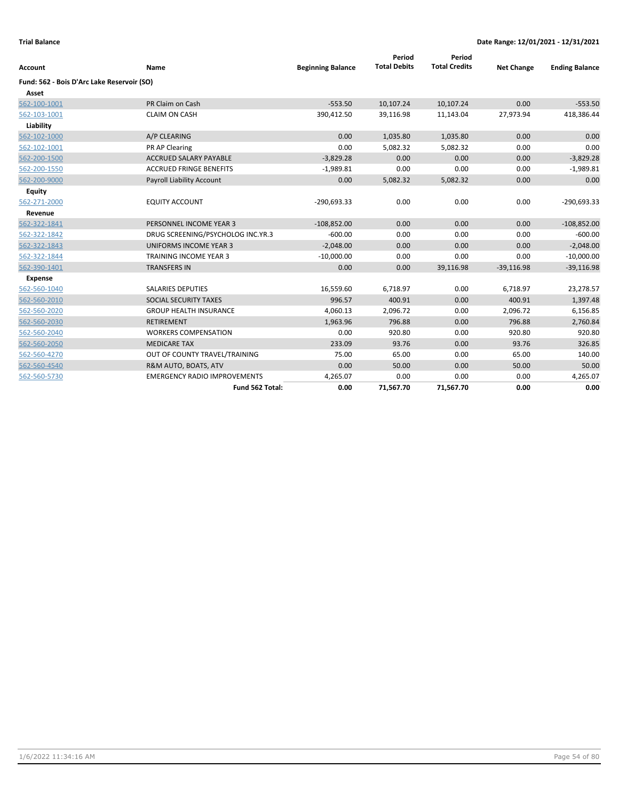| Account                                    | Name                                | <b>Beginning Balance</b> | Period<br><b>Total Debits</b> | Period<br><b>Total Credits</b> | <b>Net Change</b> | <b>Ending Balance</b> |
|--------------------------------------------|-------------------------------------|--------------------------|-------------------------------|--------------------------------|-------------------|-----------------------|
| Fund: 562 - Bois D'Arc Lake Reservoir (SO) |                                     |                          |                               |                                |                   |                       |
| Asset                                      |                                     |                          |                               |                                |                   |                       |
| 562-100-1001                               | PR Claim on Cash                    | $-553.50$                | 10,107.24                     | 10,107.24                      | 0.00              | $-553.50$             |
| 562-103-1001                               | <b>CLAIM ON CASH</b>                | 390,412.50               | 39,116.98                     | 11,143.04                      | 27,973.94         | 418,386.44            |
| Liability                                  |                                     |                          |                               |                                |                   |                       |
| 562-102-1000                               | A/P CLEARING                        | 0.00                     | 1,035.80                      | 1,035.80                       | 0.00              | 0.00                  |
| 562-102-1001                               | PR AP Clearing                      | 0.00                     | 5,082.32                      | 5,082.32                       | 0.00              | 0.00                  |
| 562-200-1500                               | <b>ACCRUED SALARY PAYABLE</b>       | $-3,829.28$              | 0.00                          | 0.00                           | 0.00              | $-3,829.28$           |
| 562-200-1550                               | <b>ACCRUED FRINGE BENEFITS</b>      | $-1,989.81$              | 0.00                          | 0.00                           | 0.00              | $-1,989.81$           |
| 562-200-9000                               | Payroll Liability Account           | 0.00                     | 5,082.32                      | 5,082.32                       | 0.00              | 0.00                  |
| Equity                                     |                                     |                          |                               |                                |                   |                       |
| 562-271-2000                               | <b>EQUITY ACCOUNT</b>               | $-290,693.33$            | 0.00                          | 0.00                           | 0.00              | $-290,693.33$         |
| Revenue                                    |                                     |                          |                               |                                |                   |                       |
| 562-322-1841                               | PERSONNEL INCOME YEAR 3             | $-108,852.00$            | 0.00                          | 0.00                           | 0.00              | $-108,852.00$         |
| 562-322-1842                               | DRUG SCREENING/PSYCHOLOG INC.YR.3   | $-600.00$                | 0.00                          | 0.00                           | 0.00              | $-600.00$             |
| 562-322-1843                               | <b>UNIFORMS INCOME YEAR 3</b>       | $-2,048.00$              | 0.00                          | 0.00                           | 0.00              | $-2,048.00$           |
| 562-322-1844                               | <b>TRAINING INCOME YEAR 3</b>       | $-10,000.00$             | 0.00                          | 0.00                           | 0.00              | $-10,000.00$          |
| 562-390-1401                               | <b>TRANSFERS IN</b>                 | 0.00                     | 0.00                          | 39,116.98                      | $-39,116.98$      | $-39,116.98$          |
| <b>Expense</b>                             |                                     |                          |                               |                                |                   |                       |
| 562-560-1040                               | <b>SALARIES DEPUTIES</b>            | 16,559.60                | 6,718.97                      | 0.00                           | 6,718.97          | 23,278.57             |
| 562-560-2010                               | SOCIAL SECURITY TAXES               | 996.57                   | 400.91                        | 0.00                           | 400.91            | 1,397.48              |
| 562-560-2020                               | <b>GROUP HEALTH INSURANCE</b>       | 4,060.13                 | 2,096.72                      | 0.00                           | 2,096.72          | 6,156.85              |
| 562-560-2030                               | <b>RETIREMENT</b>                   | 1,963.96                 | 796.88                        | 0.00                           | 796.88            | 2,760.84              |
| 562-560-2040                               | <b>WORKERS COMPENSATION</b>         | 0.00                     | 920.80                        | 0.00                           | 920.80            | 920.80                |
| 562-560-2050                               | <b>MEDICARE TAX</b>                 | 233.09                   | 93.76                         | 0.00                           | 93.76             | 326.85                |
| 562-560-4270                               | OUT OF COUNTY TRAVEL/TRAINING       | 75.00                    | 65.00                         | 0.00                           | 65.00             | 140.00                |
| 562-560-4540                               | R&M AUTO, BOATS, ATV                | 0.00                     | 50.00                         | 0.00                           | 50.00             | 50.00                 |
| 562-560-5730                               | <b>EMERGENCY RADIO IMPROVEMENTS</b> | 4,265.07                 | 0.00                          | 0.00                           | 0.00              | 4,265.07              |
|                                            | Fund 562 Total:                     | 0.00                     | 71,567.70                     | 71,567.70                      | 0.00              | 0.00                  |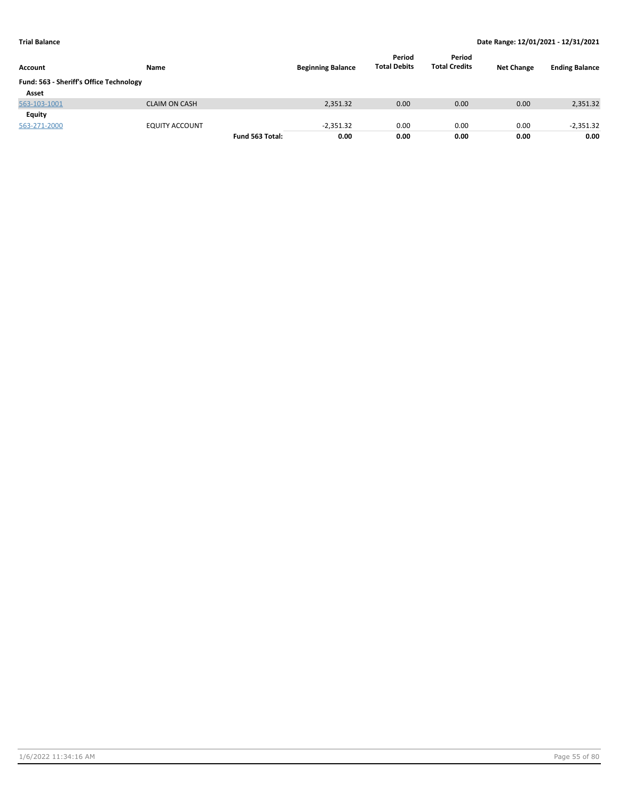| Account                                 | Name                  |                 | <b>Beginning Balance</b> | Period<br><b>Total Debits</b> | Period<br><b>Total Credits</b> | <b>Net Change</b> | <b>Ending Balance</b> |
|-----------------------------------------|-----------------------|-----------------|--------------------------|-------------------------------|--------------------------------|-------------------|-----------------------|
| Fund: 563 - Sheriff's Office Technology |                       |                 |                          |                               |                                |                   |                       |
| Asset                                   |                       |                 |                          |                               |                                |                   |                       |
| 563-103-1001                            | <b>CLAIM ON CASH</b>  |                 | 2,351.32                 | 0.00                          | 0.00                           | 0.00              | 2,351.32              |
| Equity                                  |                       |                 |                          |                               |                                |                   |                       |
| 563-271-2000                            | <b>EQUITY ACCOUNT</b> |                 | $-2.351.32$              | 0.00                          | 0.00                           | 0.00              | $-2,351.32$           |
|                                         |                       | Fund 563 Total: | 0.00                     | 0.00                          | 0.00                           | 0.00              | 0.00                  |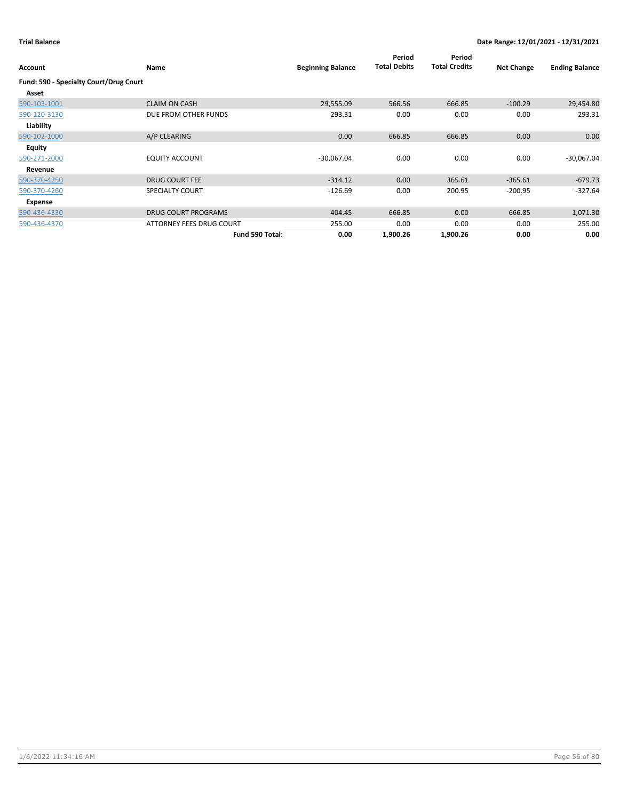| Account                                | Name                       | <b>Beginning Balance</b> | Period<br><b>Total Debits</b> | Period<br><b>Total Credits</b> | <b>Net Change</b> | <b>Ending Balance</b> |
|----------------------------------------|----------------------------|--------------------------|-------------------------------|--------------------------------|-------------------|-----------------------|
| Fund: 590 - Specialty Court/Drug Court |                            |                          |                               |                                |                   |                       |
| Asset                                  |                            |                          |                               |                                |                   |                       |
| 590-103-1001                           | <b>CLAIM ON CASH</b>       | 29,555.09                | 566.56                        | 666.85                         | $-100.29$         | 29,454.80             |
| 590-120-3130                           | DUE FROM OTHER FUNDS       | 293.31                   | 0.00                          | 0.00                           | 0.00              | 293.31                |
| Liability                              |                            |                          |                               |                                |                   |                       |
| 590-102-1000                           | A/P CLEARING               | 0.00                     | 666.85                        | 666.85                         | 0.00              | 0.00                  |
| <b>Equity</b>                          |                            |                          |                               |                                |                   |                       |
| 590-271-2000                           | <b>EQUITY ACCOUNT</b>      | $-30,067.04$             | 0.00                          | 0.00                           | 0.00              | $-30,067.04$          |
| Revenue                                |                            |                          |                               |                                |                   |                       |
| 590-370-4250                           | <b>DRUG COURT FEE</b>      | $-314.12$                | 0.00                          | 365.61                         | $-365.61$         | $-679.73$             |
| 590-370-4260                           | <b>SPECIALTY COURT</b>     | $-126.69$                | 0.00                          | 200.95                         | $-200.95$         | $-327.64$             |
| Expense                                |                            |                          |                               |                                |                   |                       |
| 590-436-4330                           | <b>DRUG COURT PROGRAMS</b> | 404.45                   | 666.85                        | 0.00                           | 666.85            | 1,071.30              |
| 590-436-4370                           | ATTORNEY FEES DRUG COURT   | 255.00                   | 0.00                          | 0.00                           | 0.00              | 255.00                |
|                                        | Fund 590 Total:            | 0.00                     | 1,900.26                      | 1,900.26                       | 0.00              | 0.00                  |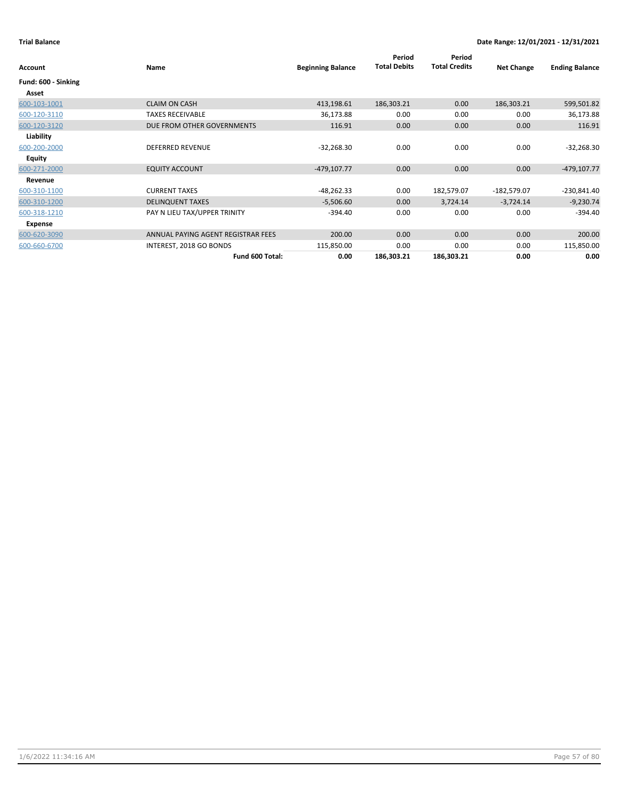| Account             | Name                               | <b>Beginning Balance</b> | Period<br><b>Total Debits</b> | Period<br><b>Total Credits</b> | <b>Net Change</b> | <b>Ending Balance</b> |
|---------------------|------------------------------------|--------------------------|-------------------------------|--------------------------------|-------------------|-----------------------|
| Fund: 600 - Sinking |                                    |                          |                               |                                |                   |                       |
| Asset               |                                    |                          |                               |                                |                   |                       |
| 600-103-1001        | <b>CLAIM ON CASH</b>               | 413,198.61               | 186,303.21                    | 0.00                           | 186,303.21        | 599,501.82            |
| 600-120-3110        | <b>TAXES RECEIVABLE</b>            | 36,173.88                | 0.00                          | 0.00                           | 0.00              | 36,173.88             |
| 600-120-3120        | DUE FROM OTHER GOVERNMENTS         | 116.91                   | 0.00                          | 0.00                           | 0.00              | 116.91                |
| Liability           |                                    |                          |                               |                                |                   |                       |
| 600-200-2000        | <b>DEFERRED REVENUE</b>            | $-32,268.30$             | 0.00                          | 0.00                           | 0.00              | $-32,268.30$          |
| <b>Equity</b>       |                                    |                          |                               |                                |                   |                       |
| 600-271-2000        | <b>EQUITY ACCOUNT</b>              | $-479, 107.77$           | 0.00                          | 0.00                           | 0.00              | $-479, 107.77$        |
| Revenue             |                                    |                          |                               |                                |                   |                       |
| 600-310-1100        | <b>CURRENT TAXES</b>               | $-48,262.33$             | 0.00                          | 182,579.07                     | $-182,579.07$     | $-230,841.40$         |
| 600-310-1200        | <b>DELINQUENT TAXES</b>            | $-5,506.60$              | 0.00                          | 3,724.14                       | $-3,724.14$       | $-9,230.74$           |
| 600-318-1210        | PAY N LIEU TAX/UPPER TRINITY       | $-394.40$                | 0.00                          | 0.00                           | 0.00              | $-394.40$             |
| Expense             |                                    |                          |                               |                                |                   |                       |
| 600-620-3090        | ANNUAL PAYING AGENT REGISTRAR FEES | 200.00                   | 0.00                          | 0.00                           | 0.00              | 200.00                |
| 600-660-6700        | INTEREST, 2018 GO BONDS            | 115,850.00               | 0.00                          | 0.00                           | 0.00              | 115,850.00            |
|                     | Fund 600 Total:                    | 0.00                     | 186,303.21                    | 186,303.21                     | 0.00              | 0.00                  |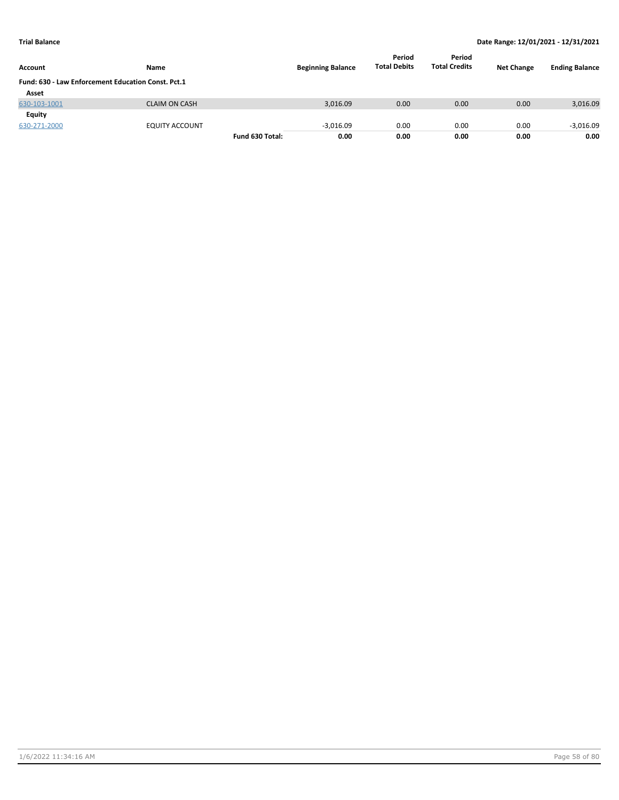| <b>Account</b>                                     | Name                 |                 | <b>Beginning Balance</b> | Period<br><b>Total Debits</b> | Period<br><b>Total Credits</b> | <b>Net Change</b> | <b>Ending Balance</b> |
|----------------------------------------------------|----------------------|-----------------|--------------------------|-------------------------------|--------------------------------|-------------------|-----------------------|
| Fund: 630 - Law Enforcement Education Const. Pct.1 |                      |                 |                          |                               |                                |                   |                       |
| Asset                                              |                      |                 |                          |                               |                                |                   |                       |
| 630-103-1001                                       | <b>CLAIM ON CASH</b> |                 | 3,016.09                 | 0.00                          | 0.00                           | 0.00              | 3,016.09              |
| Equity                                             |                      |                 |                          |                               |                                |                   |                       |
| 630-271-2000                                       | EQUITY ACCOUNT       |                 | $-3.016.09$              | 0.00                          | 0.00                           | 0.00              | $-3,016.09$           |
|                                                    |                      | Fund 630 Total: | 0.00                     | 0.00                          | 0.00                           | 0.00              | 0.00                  |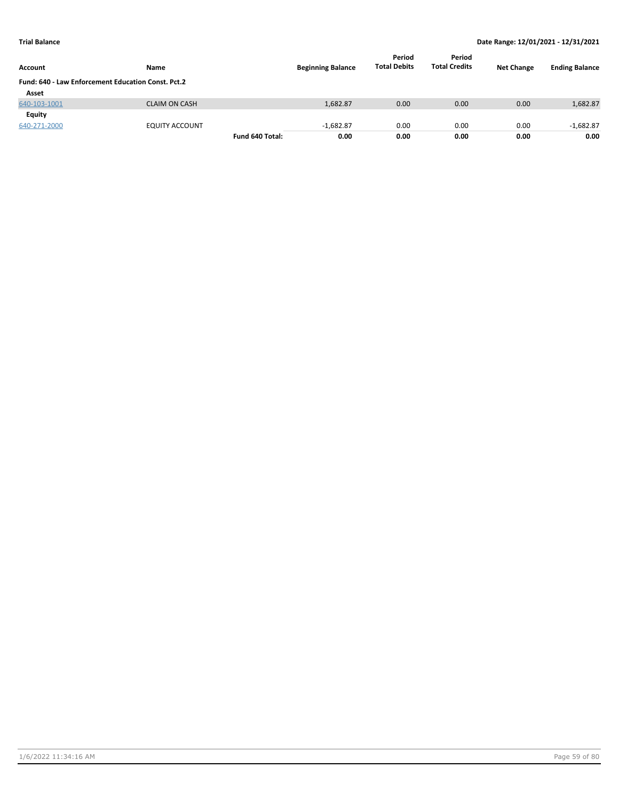| <b>Account</b>                                            | Name                  |                 | <b>Beginning Balance</b> | Period<br><b>Total Debits</b> | Period<br><b>Total Credits</b> | <b>Net Change</b> | <b>Ending Balance</b> |
|-----------------------------------------------------------|-----------------------|-----------------|--------------------------|-------------------------------|--------------------------------|-------------------|-----------------------|
| <b>Fund: 640 - Law Enforcement Education Const. Pct.2</b> |                       |                 |                          |                               |                                |                   |                       |
| Asset                                                     |                       |                 |                          |                               |                                |                   |                       |
| 640-103-1001                                              | <b>CLAIM ON CASH</b>  |                 | 1,682.87                 | 0.00                          | 0.00                           | 0.00              | 1,682.87              |
| Equity                                                    |                       |                 |                          |                               |                                |                   |                       |
| 640-271-2000                                              | <b>EQUITY ACCOUNT</b> |                 | $-1.682.87$              | 0.00                          | 0.00                           | 0.00              | $-1,682.87$           |
|                                                           |                       | Fund 640 Total: | 0.00                     | 0.00                          | 0.00                           | 0.00              | 0.00                  |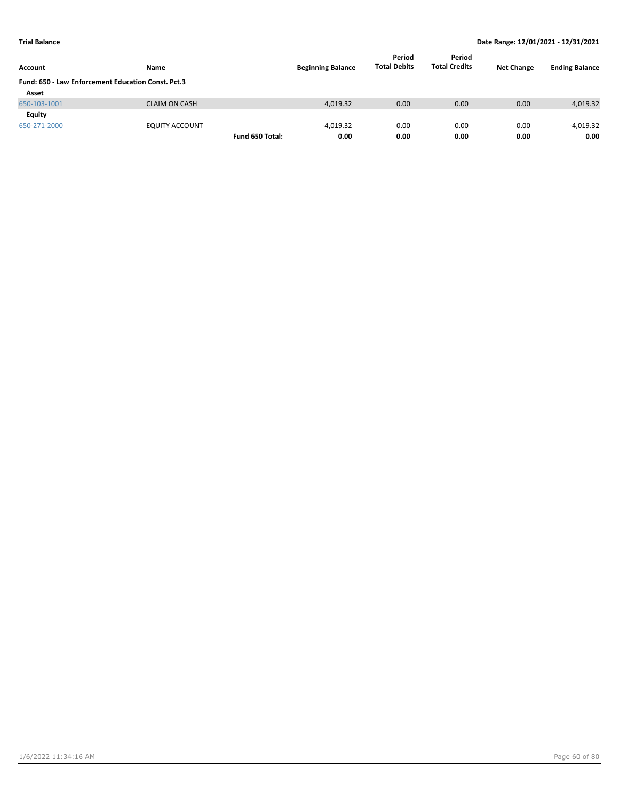| <b>Account</b>                                     | Name                 |                 | <b>Beginning Balance</b> | Period<br><b>Total Debits</b> | Period<br><b>Total Credits</b> | <b>Net Change</b> | <b>Ending Balance</b> |
|----------------------------------------------------|----------------------|-----------------|--------------------------|-------------------------------|--------------------------------|-------------------|-----------------------|
| Fund: 650 - Law Enforcement Education Const. Pct.3 |                      |                 |                          |                               |                                |                   |                       |
| Asset                                              |                      |                 |                          |                               |                                |                   |                       |
| 650-103-1001                                       | <b>CLAIM ON CASH</b> |                 | 4,019.32                 | 0.00                          | 0.00                           | 0.00              | 4,019.32              |
| Equity                                             |                      |                 |                          |                               |                                |                   |                       |
| 650-271-2000                                       | EQUITY ACCOUNT       |                 | $-4.019.32$              | 0.00                          | 0.00                           | 0.00              | $-4,019.32$           |
|                                                    |                      | Fund 650 Total: | 0.00                     | 0.00                          | 0.00                           | 0.00              | 0.00                  |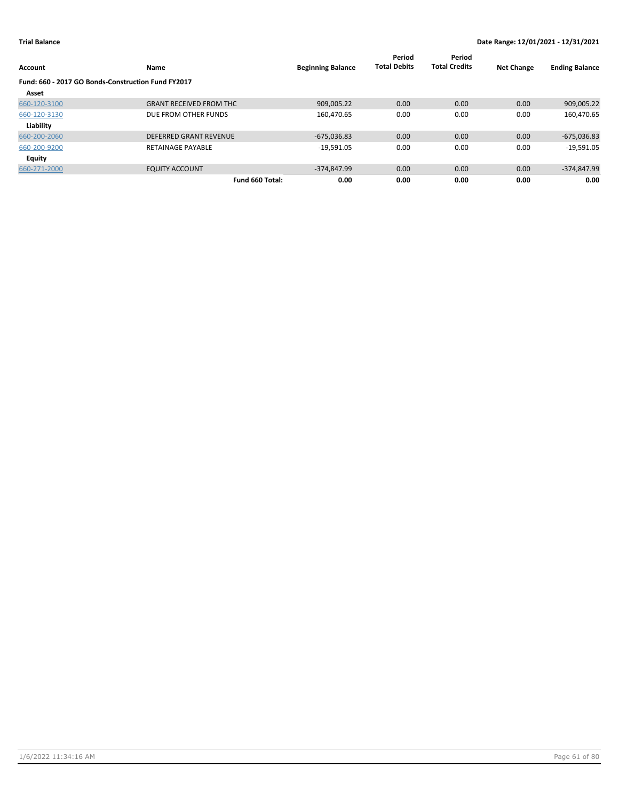| Account                                            | Name                           | <b>Beginning Balance</b> | Period<br><b>Total Debits</b> | Period<br><b>Total Credits</b> | <b>Net Change</b> | <b>Ending Balance</b> |
|----------------------------------------------------|--------------------------------|--------------------------|-------------------------------|--------------------------------|-------------------|-----------------------|
| Fund: 660 - 2017 GO Bonds-Construction Fund FY2017 |                                |                          |                               |                                |                   |                       |
| Asset                                              |                                |                          |                               |                                |                   |                       |
| 660-120-3100                                       | <b>GRANT RECEIVED FROM THC</b> | 909,005.22               | 0.00                          | 0.00                           | 0.00              | 909,005.22            |
| 660-120-3130                                       | DUE FROM OTHER FUNDS           | 160,470.65               | 0.00                          | 0.00                           | 0.00              | 160,470.65            |
| Liability                                          |                                |                          |                               |                                |                   |                       |
| 660-200-2060                                       | <b>DEFERRED GRANT REVENUE</b>  | $-675,036.83$            | 0.00                          | 0.00                           | 0.00              | $-675,036.83$         |
| 660-200-9200                                       | <b>RETAINAGE PAYABLE</b>       | $-19,591.05$             | 0.00                          | 0.00                           | 0.00              | $-19,591.05$          |
| <b>Equity</b>                                      |                                |                          |                               |                                |                   |                       |
| 660-271-2000                                       | <b>EQUITY ACCOUNT</b>          | $-374.847.99$            | 0.00                          | 0.00                           | 0.00              | $-374,847.99$         |
|                                                    | Fund 660 Total:                | 0.00                     | 0.00                          | 0.00                           | 0.00              | 0.00                  |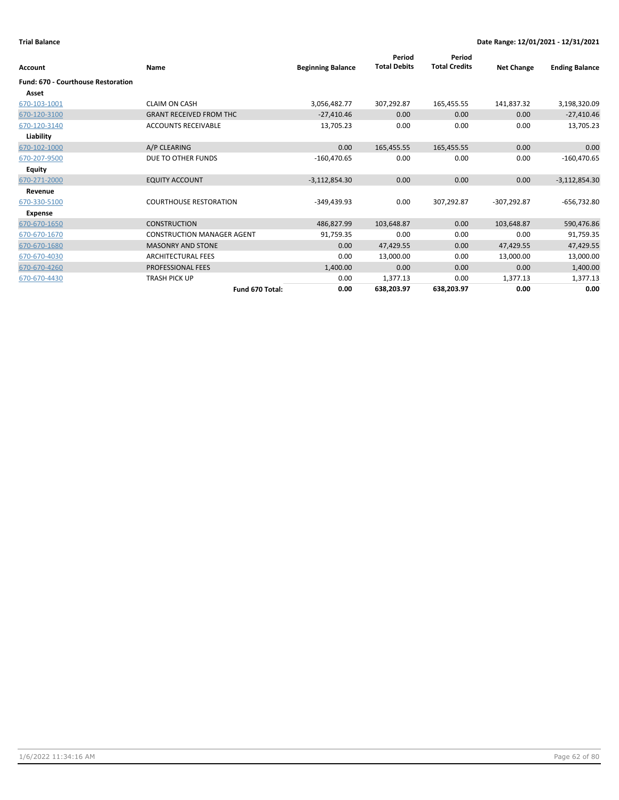| Account                                   | Name                              | <b>Beginning Balance</b> | Period<br><b>Total Debits</b> | Period<br><b>Total Credits</b> | <b>Net Change</b> | <b>Ending Balance</b> |
|-------------------------------------------|-----------------------------------|--------------------------|-------------------------------|--------------------------------|-------------------|-----------------------|
| <b>Fund: 670 - Courthouse Restoration</b> |                                   |                          |                               |                                |                   |                       |
| Asset                                     |                                   |                          |                               |                                |                   |                       |
| 670-103-1001                              | <b>CLAIM ON CASH</b>              | 3,056,482.77             | 307,292.87                    | 165,455.55                     | 141,837.32        | 3,198,320.09          |
| 670-120-3100                              | <b>GRANT RECEIVED FROM THC</b>    | $-27,410.46$             | 0.00                          | 0.00                           | 0.00              | $-27,410.46$          |
| 670-120-3140                              | <b>ACCOUNTS RECEIVABLE</b>        | 13,705.23                | 0.00                          | 0.00                           | 0.00              | 13,705.23             |
| Liability                                 |                                   |                          |                               |                                |                   |                       |
| 670-102-1000                              | A/P CLEARING                      | 0.00                     | 165,455.55                    | 165,455.55                     | 0.00              | 0.00                  |
| 670-207-9500                              | DUE TO OTHER FUNDS                | $-160,470.65$            | 0.00                          | 0.00                           | 0.00              | $-160,470.65$         |
| <b>Equity</b>                             |                                   |                          |                               |                                |                   |                       |
| 670-271-2000                              | <b>EQUITY ACCOUNT</b>             | $-3,112,854.30$          | 0.00                          | 0.00                           | 0.00              | $-3,112,854.30$       |
| Revenue                                   |                                   |                          |                               |                                |                   |                       |
| 670-330-5100                              | <b>COURTHOUSE RESTORATION</b>     | $-349,439.93$            | 0.00                          | 307,292.87                     | $-307.292.87$     | $-656,732.80$         |
| Expense                                   |                                   |                          |                               |                                |                   |                       |
| 670-670-1650                              | <b>CONSTRUCTION</b>               | 486,827.99               | 103,648.87                    | 0.00                           | 103,648.87        | 590,476.86            |
| 670-670-1670                              | <b>CONSTRUCTION MANAGER AGENT</b> | 91,759.35                | 0.00                          | 0.00                           | 0.00              | 91,759.35             |
| 670-670-1680                              | <b>MASONRY AND STONE</b>          | 0.00                     | 47,429.55                     | 0.00                           | 47,429.55         | 47,429.55             |
| 670-670-4030                              | <b>ARCHITECTURAL FEES</b>         | 0.00                     | 13,000.00                     | 0.00                           | 13,000.00         | 13,000.00             |
| 670-670-4260                              | PROFESSIONAL FEES                 | 1,400.00                 | 0.00                          | 0.00                           | 0.00              | 1,400.00              |
| 670-670-4430                              | <b>TRASH PICK UP</b>              | 0.00                     | 1,377.13                      | 0.00                           | 1,377.13          | 1,377.13              |
|                                           | Fund 670 Total:                   | 0.00                     | 638,203.97                    | 638,203.97                     | 0.00              | 0.00                  |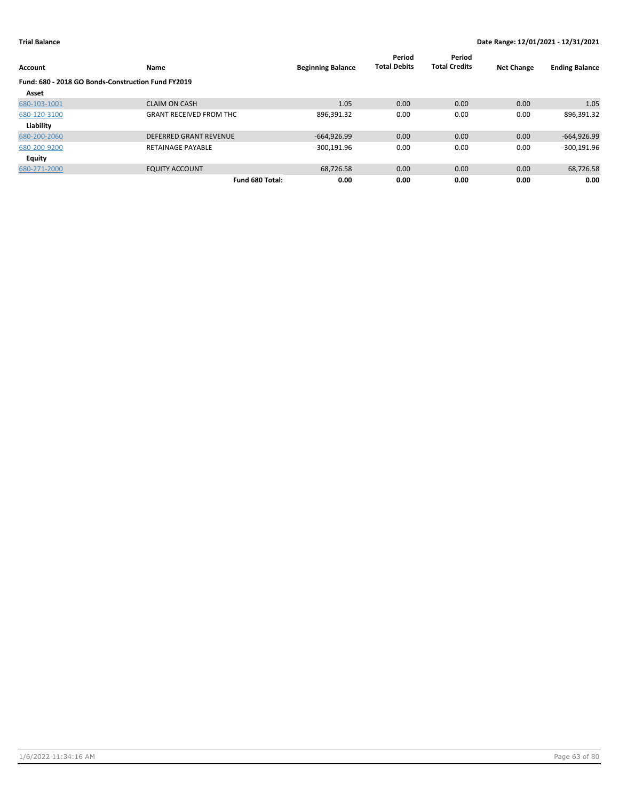| Account                                            | Name                           | <b>Beginning Balance</b> | Period<br><b>Total Debits</b> | Period<br><b>Total Credits</b> | <b>Net Change</b> | <b>Ending Balance</b> |
|----------------------------------------------------|--------------------------------|--------------------------|-------------------------------|--------------------------------|-------------------|-----------------------|
| Fund: 680 - 2018 GO Bonds-Construction Fund FY2019 |                                |                          |                               |                                |                   |                       |
| Asset                                              |                                |                          |                               |                                |                   |                       |
| 680-103-1001                                       | <b>CLAIM ON CASH</b>           | 1.05                     | 0.00                          | 0.00                           | 0.00              | 1.05                  |
| 680-120-3100                                       | <b>GRANT RECEIVED FROM THC</b> | 896,391.32               | 0.00                          | 0.00                           | 0.00              | 896,391.32            |
| Liability                                          |                                |                          |                               |                                |                   |                       |
| 680-200-2060                                       | <b>DEFERRED GRANT REVENUE</b>  | $-664,926.99$            | 0.00                          | 0.00                           | 0.00              | $-664,926.99$         |
| 680-200-9200                                       | <b>RETAINAGE PAYABLE</b>       | $-300,191.96$            | 0.00                          | 0.00                           | 0.00              | $-300,191.96$         |
| <b>Equity</b>                                      |                                |                          |                               |                                |                   |                       |
| 680-271-2000                                       | <b>EQUITY ACCOUNT</b>          | 68,726.58                | 0.00                          | 0.00                           | 0.00              | 68,726.58             |
|                                                    | Fund 680 Total:                | 0.00                     | 0.00                          | 0.00                           | 0.00              | 0.00                  |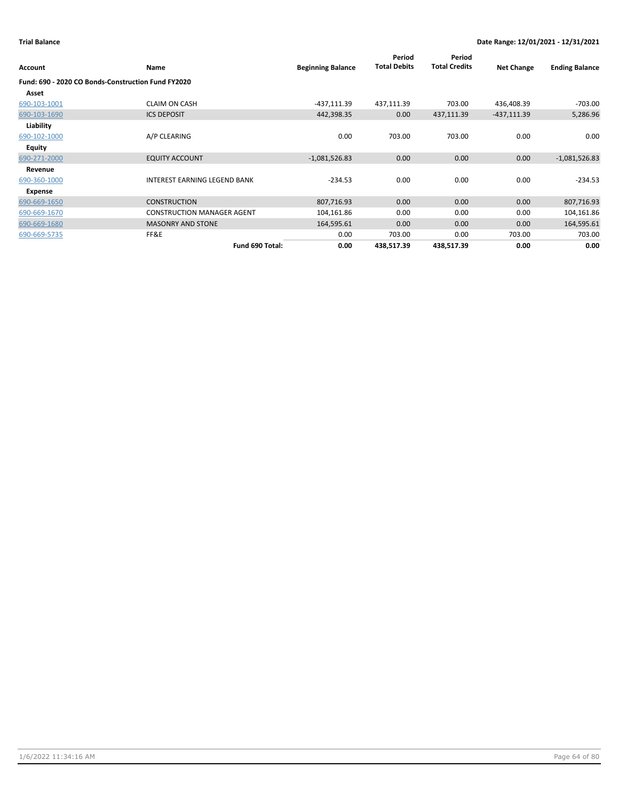|              |                                                    |                          | Period              | Period               |                   |                       |
|--------------|----------------------------------------------------|--------------------------|---------------------|----------------------|-------------------|-----------------------|
| Account      | Name                                               | <b>Beginning Balance</b> | <b>Total Debits</b> | <b>Total Credits</b> | <b>Net Change</b> | <b>Ending Balance</b> |
|              | Fund: 690 - 2020 CO Bonds-Construction Fund FY2020 |                          |                     |                      |                   |                       |
| Asset        |                                                    |                          |                     |                      |                   |                       |
| 690-103-1001 | <b>CLAIM ON CASH</b>                               | $-437,111.39$            | 437,111.39          | 703.00               | 436,408.39        | $-703.00$             |
| 690-103-1690 | <b>ICS DEPOSIT</b>                                 | 442,398.35               | 0.00                | 437,111.39           | $-437,111.39$     | 5,286.96              |
| Liability    |                                                    |                          |                     |                      |                   |                       |
| 690-102-1000 | A/P CLEARING                                       | 0.00                     | 703.00              | 703.00               | 0.00              | 0.00                  |
| Equity       |                                                    |                          |                     |                      |                   |                       |
| 690-271-2000 | <b>EQUITY ACCOUNT</b>                              | $-1,081,526.83$          | 0.00                | 0.00                 | 0.00              | $-1,081,526.83$       |
| Revenue      |                                                    |                          |                     |                      |                   |                       |
| 690-360-1000 | <b>INTEREST EARNING LEGEND BANK</b>                | $-234.53$                | 0.00                | 0.00                 | 0.00              | $-234.53$             |
| Expense      |                                                    |                          |                     |                      |                   |                       |
| 690-669-1650 | <b>CONSTRUCTION</b>                                | 807,716.93               | 0.00                | 0.00                 | 0.00              | 807,716.93            |
| 690-669-1670 | <b>CONSTRUCTION MANAGER AGENT</b>                  | 104,161.86               | 0.00                | 0.00                 | 0.00              | 104,161.86            |
| 690-669-1680 | <b>MASONRY AND STONE</b>                           | 164,595.61               | 0.00                | 0.00                 | 0.00              | 164,595.61            |
| 690-669-5735 | FF&E                                               | 0.00                     | 703.00              | 0.00                 | 703.00            | 703.00                |
|              | Fund 690 Total:                                    | 0.00                     | 438,517.39          | 438,517.39           | 0.00              | 0.00                  |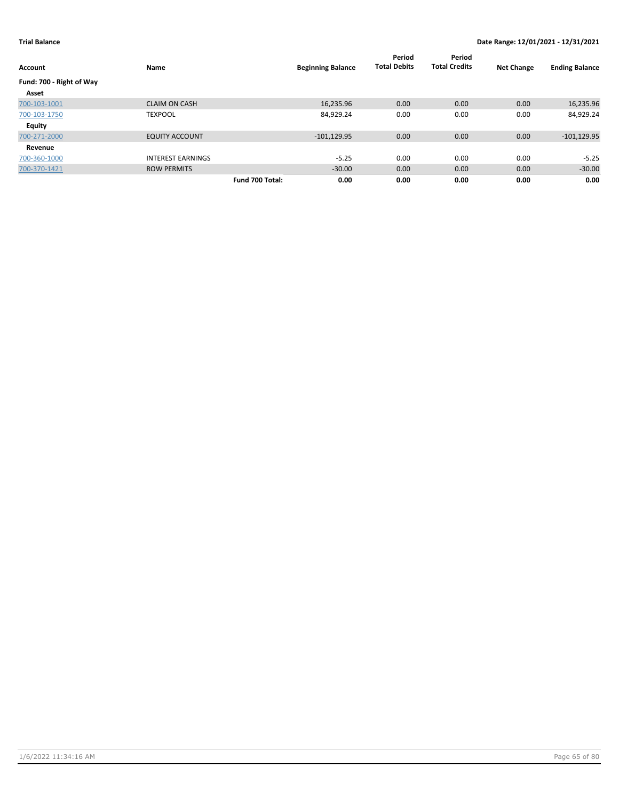| Account                  | Name                     | <b>Beginning Balance</b> | Period<br><b>Total Debits</b> | Period<br><b>Total Credits</b> | <b>Net Change</b> | <b>Ending Balance</b> |
|--------------------------|--------------------------|--------------------------|-------------------------------|--------------------------------|-------------------|-----------------------|
| Fund: 700 - Right of Way |                          |                          |                               |                                |                   |                       |
| Asset                    |                          |                          |                               |                                |                   |                       |
| 700-103-1001             | <b>CLAIM ON CASH</b>     | 16,235.96                | 0.00                          | 0.00                           | 0.00              | 16,235.96             |
| 700-103-1750             | <b>TEXPOOL</b>           | 84,929.24                | 0.00                          | 0.00                           | 0.00              | 84,929.24             |
| <b>Equity</b>            |                          |                          |                               |                                |                   |                       |
| 700-271-2000             | <b>EQUITY ACCOUNT</b>    | $-101, 129.95$           | 0.00                          | 0.00                           | 0.00              | $-101, 129.95$        |
| Revenue                  |                          |                          |                               |                                |                   |                       |
| 700-360-1000             | <b>INTEREST EARNINGS</b> | $-5.25$                  | 0.00                          | 0.00                           | 0.00              | $-5.25$               |
| 700-370-1421             | <b>ROW PERMITS</b>       | $-30.00$                 | 0.00                          | 0.00                           | 0.00              | $-30.00$              |
|                          | Fund 700 Total:          | 0.00                     | 0.00                          | 0.00                           | 0.00              | 0.00                  |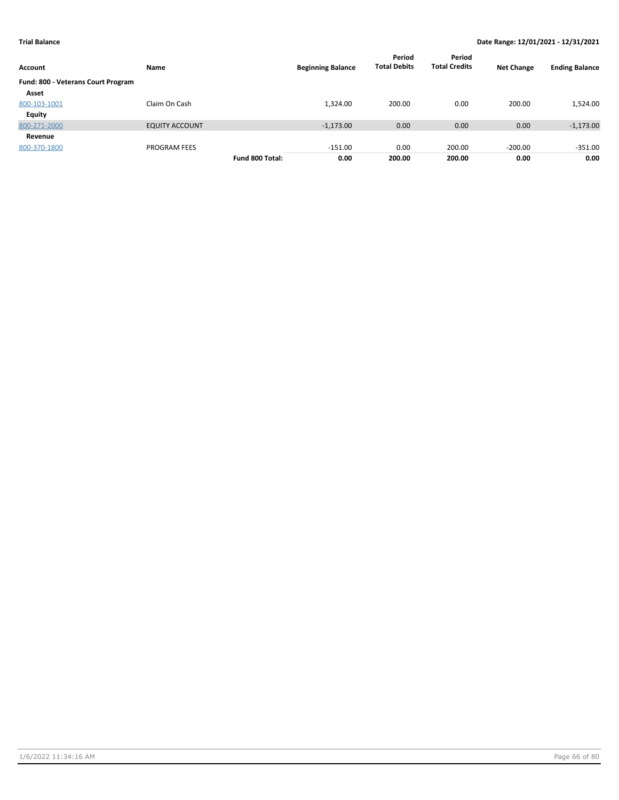| Account                            | Name                  |                 | <b>Beginning Balance</b> | Period<br><b>Total Debits</b> | Period<br><b>Total Credits</b> | <b>Net Change</b> | <b>Ending Balance</b> |
|------------------------------------|-----------------------|-----------------|--------------------------|-------------------------------|--------------------------------|-------------------|-----------------------|
| Fund: 800 - Veterans Court Program |                       |                 |                          |                               |                                |                   |                       |
| Asset                              |                       |                 |                          |                               |                                |                   |                       |
| 800-103-1001                       | Claim On Cash         |                 | 1,324.00                 | 200.00                        | 0.00                           | 200.00            | 1,524.00              |
| <b>Equity</b>                      |                       |                 |                          |                               |                                |                   |                       |
| 800-271-2000                       | <b>EQUITY ACCOUNT</b> |                 | $-1,173.00$              | 0.00                          | 0.00                           | 0.00              | $-1,173.00$           |
| Revenue                            |                       |                 |                          |                               |                                |                   |                       |
| 800-370-1800                       | <b>PROGRAM FEES</b>   |                 | $-151.00$                | 0.00                          | 200.00                         | $-200.00$         | $-351.00$             |
|                                    |                       | Fund 800 Total: | 0.00                     | 200.00                        | 200.00                         | 0.00              | 0.00                  |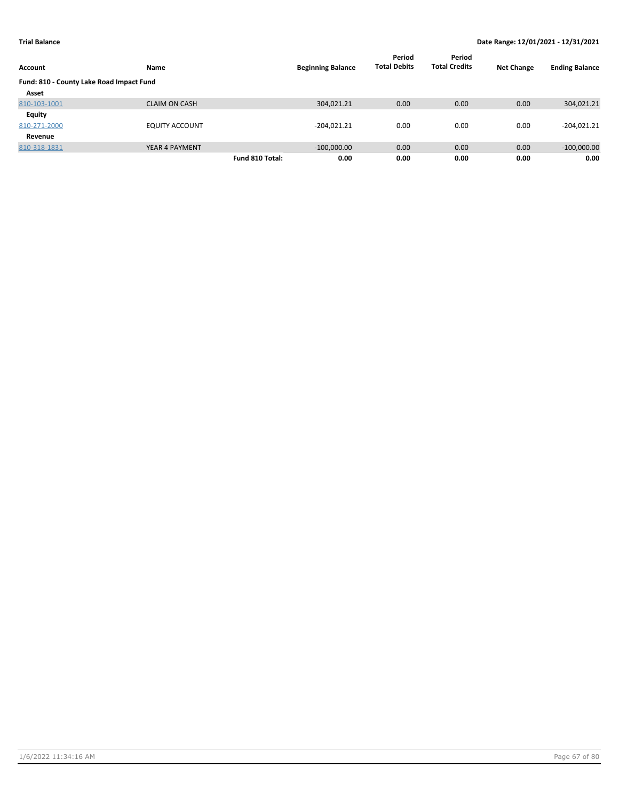| Account                                  | Name                  | <b>Beginning Balance</b> | Period<br><b>Total Debits</b> | Period<br><b>Total Credits</b> | <b>Net Change</b> | <b>Ending Balance</b> |
|------------------------------------------|-----------------------|--------------------------|-------------------------------|--------------------------------|-------------------|-----------------------|
| Fund: 810 - County Lake Road Impact Fund |                       |                          |                               |                                |                   |                       |
| Asset                                    |                       |                          |                               |                                |                   |                       |
| 810-103-1001                             | <b>CLAIM ON CASH</b>  | 304,021.21               | 0.00                          | 0.00                           | 0.00              | 304,021.21            |
| Equity                                   |                       |                          |                               |                                |                   |                       |
| 810-271-2000                             | <b>EQUITY ACCOUNT</b> | $-204,021.21$            | 0.00                          | 0.00                           | 0.00              | $-204,021.21$         |
| Revenue                                  |                       |                          |                               |                                |                   |                       |
| 810-318-1831                             | YEAR 4 PAYMENT        | $-100,000.00$            | 0.00                          | 0.00                           | 0.00              | $-100,000.00$         |
|                                          |                       | Fund 810 Total:<br>0.00  | 0.00                          | 0.00                           | 0.00              | 0.00                  |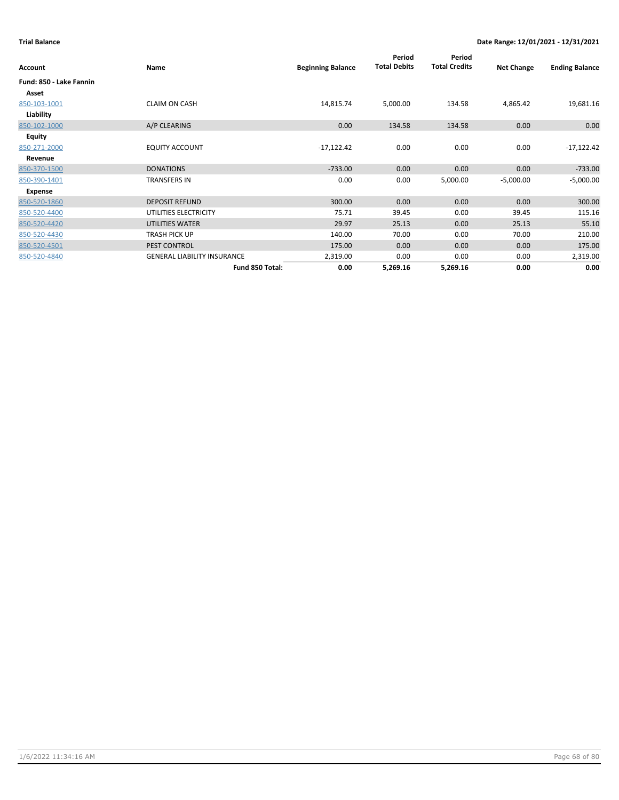| Account                 | Name                               | <b>Beginning Balance</b> | Period<br><b>Total Debits</b> | Period<br><b>Total Credits</b> | <b>Net Change</b> | <b>Ending Balance</b> |
|-------------------------|------------------------------------|--------------------------|-------------------------------|--------------------------------|-------------------|-----------------------|
| Fund: 850 - Lake Fannin |                                    |                          |                               |                                |                   |                       |
| Asset                   |                                    |                          |                               |                                |                   |                       |
| 850-103-1001            | <b>CLAIM ON CASH</b>               | 14,815.74                | 5,000.00                      | 134.58                         | 4,865.42          | 19,681.16             |
| Liability               |                                    |                          |                               |                                |                   |                       |
| 850-102-1000            | A/P CLEARING                       | 0.00                     | 134.58                        | 134.58                         | 0.00              | 0.00                  |
| Equity                  |                                    |                          |                               |                                |                   |                       |
| 850-271-2000            | <b>EQUITY ACCOUNT</b>              | $-17,122.42$             | 0.00                          | 0.00                           | 0.00              | $-17,122.42$          |
| Revenue                 |                                    |                          |                               |                                |                   |                       |
| 850-370-1500            | <b>DONATIONS</b>                   | $-733.00$                | 0.00                          | 0.00                           | 0.00              | $-733.00$             |
| 850-390-1401            | <b>TRANSFERS IN</b>                | 0.00                     | 0.00                          | 5,000.00                       | $-5,000.00$       | $-5,000.00$           |
| Expense                 |                                    |                          |                               |                                |                   |                       |
| 850-520-1860            | <b>DEPOSIT REFUND</b>              | 300.00                   | 0.00                          | 0.00                           | 0.00              | 300.00                |
| 850-520-4400            | UTILITIES ELECTRICITY              | 75.71                    | 39.45                         | 0.00                           | 39.45             | 115.16                |
| 850-520-4420            | UTILITIES WATER                    | 29.97                    | 25.13                         | 0.00                           | 25.13             | 55.10                 |
| 850-520-4430            | TRASH PICK UP                      | 140.00                   | 70.00                         | 0.00                           | 70.00             | 210.00                |
| 850-520-4501            | <b>PEST CONTROL</b>                | 175.00                   | 0.00                          | 0.00                           | 0.00              | 175.00                |
| 850-520-4840            | <b>GENERAL LIABILITY INSURANCE</b> | 2,319.00                 | 0.00                          | 0.00                           | 0.00              | 2,319.00              |
|                         | Fund 850 Total:                    | 0.00                     | 5,269.16                      | 5,269.16                       | 0.00              | 0.00                  |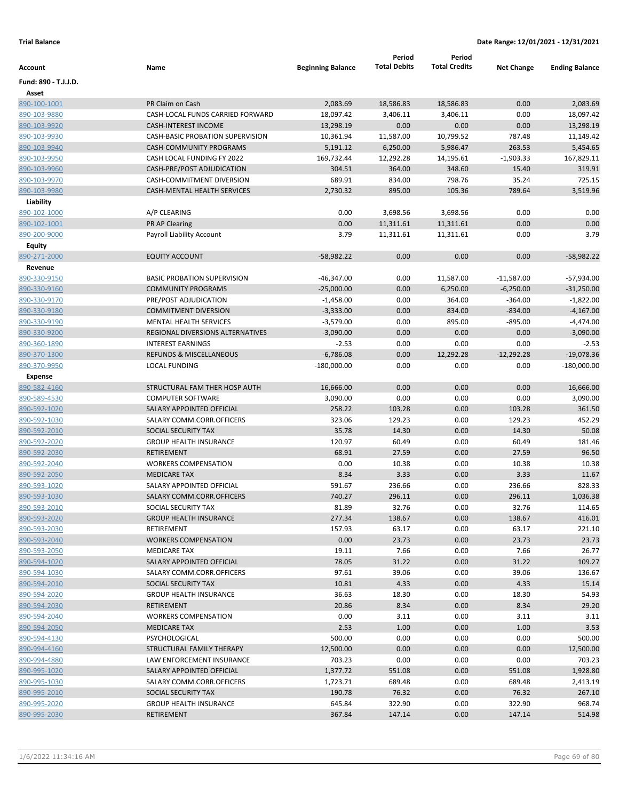|                                |                                                      |                          | Period              | Period               |                   |                            |
|--------------------------------|------------------------------------------------------|--------------------------|---------------------|----------------------|-------------------|----------------------------|
| Account                        | Name                                                 | <b>Beginning Balance</b> | <b>Total Debits</b> | <b>Total Credits</b> | <b>Net Change</b> | <b>Ending Balance</b>      |
| Fund: 890 - T.J.J.D.           |                                                      |                          |                     |                      |                   |                            |
| Asset                          |                                                      |                          |                     |                      |                   |                            |
| 890-100-1001                   | PR Claim on Cash                                     | 2,083.69                 | 18,586.83           | 18,586.83            | 0.00              | 2,083.69                   |
| 890-103-9880                   | CASH-LOCAL FUNDS CARRIED FORWARD                     | 18,097.42                | 3,406.11            | 3,406.11             | 0.00              | 18,097.42                  |
| 890-103-9920                   | <b>CASH-INTEREST INCOME</b>                          | 13,298.19                | 0.00                | 0.00                 | 0.00              | 13,298.19                  |
| 890-103-9930                   | <b>CASH-BASIC PROBATION SUPERVISION</b>              | 10,361.94                | 11,587.00           | 10,799.52            | 787.48            | 11,149.42                  |
| 890-103-9940                   | <b>CASH-COMMUNITY PROGRAMS</b>                       | 5,191.12                 | 6,250.00            | 5,986.47             | 263.53            | 5,454.65                   |
| 890-103-9950                   | CASH LOCAL FUNDING FY 2022                           | 169,732.44               | 12,292.28           | 14,195.61            | $-1,903.33$       | 167,829.11                 |
| 890-103-9960                   | CASH-PRE/POST ADJUDICATION                           | 304.51                   | 364.00              | 348.60               | 15.40             | 319.91                     |
| 890-103-9970                   | CASH-COMMITMENT DIVERSION                            | 689.91                   | 834.00              | 798.76               | 35.24             | 725.15                     |
| 890-103-9980                   | <b>CASH-MENTAL HEALTH SERVICES</b>                   | 2,730.32                 | 895.00              | 105.36               | 789.64            | 3,519.96                   |
| Liability                      |                                                      |                          |                     |                      |                   |                            |
| 890-102-1000                   | A/P CLEARING                                         | 0.00                     | 3,698.56            | 3,698.56             | 0.00              | 0.00                       |
| 890-102-1001                   | PR AP Clearing                                       | 0.00                     | 11,311.61           | 11,311.61            | 0.00              | 0.00                       |
| 890-200-9000                   | Payroll Liability Account                            | 3.79                     | 11,311.61           | 11,311.61            | 0.00              | 3.79                       |
| Equity                         |                                                      |                          |                     |                      |                   |                            |
| 890-271-2000                   | <b>EQUITY ACCOUNT</b>                                | $-58,982.22$             | 0.00                | 0.00                 | 0.00              | $-58,982.22$               |
| Revenue                        |                                                      |                          |                     |                      |                   |                            |
| 890-330-9150                   | <b>BASIC PROBATION SUPERVISION</b>                   | -46,347.00               | 0.00                | 11,587.00            | $-11,587.00$      | $-57,934.00$               |
| 890-330-9160                   | <b>COMMUNITY PROGRAMS</b>                            | $-25,000.00$             | 0.00                | 6,250.00             | $-6,250.00$       | $-31,250.00$               |
| 890-330-9170                   | PRE/POST ADJUDICATION                                | $-1,458.00$              | 0.00                | 364.00               | $-364.00$         | $-1,822.00$                |
| 890-330-9180                   | <b>COMMITMENT DIVERSION</b>                          | $-3,333.00$              | 0.00                | 834.00               | $-834.00$         | $-4,167.00$                |
|                                | MENTAL HEALTH SERVICES                               | $-3,579.00$              | 0.00                | 895.00               | $-895.00$         |                            |
| 890-330-9190<br>890-330-9200   | REGIONAL DIVERSIONS ALTERNATIVES                     | $-3,090.00$              | 0.00                | 0.00                 | 0.00              | $-4,474.00$<br>$-3,090.00$ |
| 890-360-1890                   | <b>INTEREST EARNINGS</b>                             | $-2.53$                  | 0.00                | 0.00                 | 0.00              | $-2.53$                    |
| 890-370-1300                   | REFUNDS & MISCELLANEOUS                              | $-6,786.08$              | 0.00                | 12,292.28            | $-12,292.28$      | $-19,078.36$               |
| 890-370-9950                   | <b>LOCAL FUNDING</b>                                 |                          | 0.00                | 0.00                 | 0.00              | $-180,000.00$              |
|                                |                                                      | $-180,000.00$            |                     |                      |                   |                            |
| <b>Expense</b><br>890-582-4160 | STRUCTURAL FAM THER HOSP AUTH                        |                          | 0.00                | 0.00                 | 0.00              | 16,666.00                  |
|                                | <b>COMPUTER SOFTWARE</b>                             | 16,666.00<br>3,090.00    | 0.00                | 0.00                 | 0.00              | 3,090.00                   |
| 890-589-4530<br>890-592-1020   | SALARY APPOINTED OFFICIAL                            | 258.22                   | 103.28              | 0.00                 | 103.28            | 361.50                     |
|                                | SALARY COMM.CORR.OFFICERS                            | 323.06                   | 129.23              | 0.00                 | 129.23            | 452.29                     |
| 890-592-1030                   |                                                      | 35.78                    |                     |                      |                   | 50.08                      |
| 890-592-2010<br>890-592-2020   | SOCIAL SECURITY TAX<br><b>GROUP HEALTH INSURANCE</b> | 120.97                   | 14.30<br>60.49      | 0.00<br>0.00         | 14.30<br>60.49    | 181.46                     |
| 890-592-2030                   | RETIREMENT                                           | 68.91                    | 27.59               | 0.00                 | 27.59             | 96.50                      |
| 890-592-2040                   | <b>WORKERS COMPENSATION</b>                          | 0.00                     | 10.38               | 0.00                 | 10.38             | 10.38                      |
|                                | <b>MEDICARE TAX</b>                                  | 8.34                     | 3.33                | 0.00                 | 3.33              | 11.67                      |
| 890-592-2050                   | SALARY APPOINTED OFFICIAL                            |                          |                     |                      |                   |                            |
| 890-593-1020<br>890-593-1030   | SALARY COMM.CORR.OFFICERS                            | 591.67<br>740.27         | 236.66<br>296.11    | 0.00<br>0.00         | 236.66<br>296.11  | 828.33<br>1,036.38         |
| 890-593-2010                   | SOCIAL SECURITY TAX                                  | 81.89                    | 32.76               | 0.00                 | 32.76             | 114.65                     |
|                                |                                                      | 277.34                   |                     |                      |                   | 416.01                     |
| 890-593-2020<br>890-593-2030   | <b>GROUP HEALTH INSURANCE</b><br>RETIREMENT          | 157.93                   | 138.67<br>63.17     | 0.00<br>0.00         | 138.67<br>63.17   | 221.10                     |
| 890-593-2040                   | <b>WORKERS COMPENSATION</b>                          | 0.00                     | 23.73               | 0.00                 | 23.73             | 23.73                      |
| 890-593-2050                   | MEDICARE TAX                                         | 19.11                    | 7.66                | 0.00                 | 7.66              | 26.77                      |
| 890-594-1020                   | SALARY APPOINTED OFFICIAL                            | 78.05                    | 31.22               | 0.00                 | 31.22             | 109.27                     |
| 890-594-1030                   | SALARY COMM.CORR.OFFICERS                            | 97.61                    | 39.06               | 0.00                 | 39.06             | 136.67                     |
| 890-594-2010                   | SOCIAL SECURITY TAX                                  | 10.81                    | 4.33                | 0.00                 | 4.33              | 15.14                      |
| 890-594-2020                   | <b>GROUP HEALTH INSURANCE</b>                        | 36.63                    | 18.30               |                      |                   | 54.93                      |
| 890-594-2030                   | RETIREMENT                                           | 20.86                    | 8.34                | 0.00<br>0.00         | 18.30<br>8.34     | 29.20                      |
| 890-594-2040                   |                                                      | 0.00                     | 3.11                | 0.00                 |                   | 3.11                       |
|                                | <b>WORKERS COMPENSATION</b>                          |                          |                     |                      | 3.11              |                            |
| 890-594-2050                   | MEDICARE TAX<br>PSYCHOLOGICAL                        | 2.53<br>500.00           | 1.00<br>0.00        | 0.00                 | 1.00<br>0.00      | 3.53                       |
| 890-594-4130                   |                                                      |                          |                     | 0.00                 |                   | 500.00                     |
| 890-994-4160                   | STRUCTURAL FAMILY THERAPY                            | 12,500.00                | 0.00                | 0.00                 | 0.00              | 12,500.00                  |
| 890-994-4880                   | LAW ENFORCEMENT INSURANCE                            | 703.23                   | 0.00                | 0.00                 | 0.00              | 703.23                     |
| 890-995-1020                   | SALARY APPOINTED OFFICIAL                            | 1,377.72                 | 551.08              | 0.00                 | 551.08            | 1,928.80                   |
| 890-995-1030                   | SALARY COMM.CORR.OFFICERS                            | 1,723.71                 | 689.48              | 0.00                 | 689.48            | 2,413.19                   |
| 890-995-2010                   | SOCIAL SECURITY TAX                                  | 190.78                   | 76.32               | 0.00                 | 76.32             | 267.10                     |
| 890-995-2020                   | <b>GROUP HEALTH INSURANCE</b>                        | 645.84                   | 322.90              | 0.00                 | 322.90            | 968.74                     |
| 890-995-2030                   | RETIREMENT                                           | 367.84                   | 147.14              | 0.00                 | 147.14            | 514.98                     |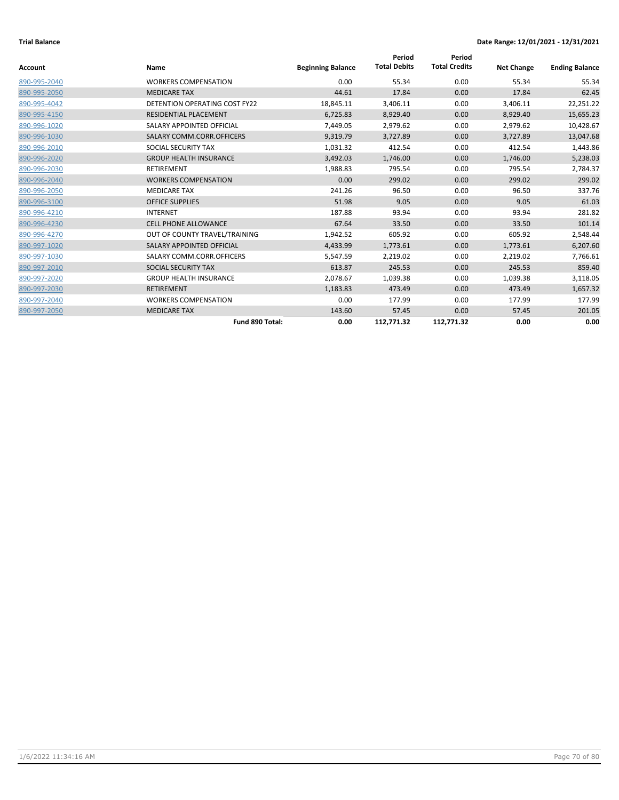| Account      | Name                          | <b>Beginning Balance</b> | Period<br><b>Total Debits</b> | Period<br><b>Total Credits</b> | <b>Net Change</b> | <b>Ending Balance</b> |
|--------------|-------------------------------|--------------------------|-------------------------------|--------------------------------|-------------------|-----------------------|
| 890-995-2040 | <b>WORKERS COMPENSATION</b>   | 0.00                     | 55.34                         | 0.00                           | 55.34             | 55.34                 |
| 890-995-2050 | <b>MEDICARE TAX</b>           | 44.61                    | 17.84                         | 0.00                           | 17.84             | 62.45                 |
| 890-995-4042 | DETENTION OPERATING COST FY22 | 18,845.11                | 3,406.11                      | 0.00                           | 3,406.11          | 22,251.22             |
| 890-995-4150 | RESIDENTIAL PLACEMENT         | 6,725.83                 | 8,929.40                      | 0.00                           | 8,929.40          | 15,655.23             |
| 890-996-1020 | SALARY APPOINTED OFFICIAL     | 7,449.05                 | 2,979.62                      | 0.00                           | 2,979.62          | 10,428.67             |
| 890-996-1030 | SALARY COMM.CORR.OFFICERS     | 9,319.79                 | 3,727.89                      | 0.00                           | 3,727.89          | 13,047.68             |
| 890-996-2010 | SOCIAL SECURITY TAX           | 1,031.32                 | 412.54                        | 0.00                           | 412.54            | 1,443.86              |
| 890-996-2020 | <b>GROUP HEALTH INSURANCE</b> | 3,492.03                 | 1,746.00                      | 0.00                           | 1,746.00          | 5,238.03              |
| 890-996-2030 | <b>RETIREMENT</b>             | 1,988.83                 | 795.54                        | 0.00                           | 795.54            | 2,784.37              |
| 890-996-2040 | <b>WORKERS COMPENSATION</b>   | 0.00                     | 299.02                        | 0.00                           | 299.02            | 299.02                |
| 890-996-2050 | <b>MEDICARE TAX</b>           | 241.26                   | 96.50                         | 0.00                           | 96.50             | 337.76                |
| 890-996-3100 | <b>OFFICE SUPPLIES</b>        | 51.98                    | 9.05                          | 0.00                           | 9.05              | 61.03                 |
| 890-996-4210 | <b>INTERNET</b>               | 187.88                   | 93.94                         | 0.00                           | 93.94             | 281.82                |
| 890-996-4230 | <b>CELL PHONE ALLOWANCE</b>   | 67.64                    | 33.50                         | 0.00                           | 33.50             | 101.14                |
| 890-996-4270 | OUT OF COUNTY TRAVEL/TRAINING | 1,942.52                 | 605.92                        | 0.00                           | 605.92            | 2,548.44              |
| 890-997-1020 | SALARY APPOINTED OFFICIAL     | 4,433.99                 | 1,773.61                      | 0.00                           | 1,773.61          | 6,207.60              |
| 890-997-1030 | SALARY COMM.CORR.OFFICERS     | 5,547.59                 | 2,219.02                      | 0.00                           | 2,219.02          | 7,766.61              |
| 890-997-2010 | SOCIAL SECURITY TAX           | 613.87                   | 245.53                        | 0.00                           | 245.53            | 859.40                |
| 890-997-2020 | <b>GROUP HEALTH INSURANCE</b> | 2,078.67                 | 1,039.38                      | 0.00                           | 1,039.38          | 3,118.05              |
| 890-997-2030 | <b>RETIREMENT</b>             | 1,183.83                 | 473.49                        | 0.00                           | 473.49            | 1,657.32              |
| 890-997-2040 | <b>WORKERS COMPENSATION</b>   | 0.00                     | 177.99                        | 0.00                           | 177.99            | 177.99                |
| 890-997-2050 | <b>MEDICARE TAX</b>           | 143.60                   | 57.45                         | 0.00                           | 57.45             | 201.05                |
|              | Fund 890 Total:               | 0.00                     | 112,771.32                    | 112,771.32                     | 0.00              | 0.00                  |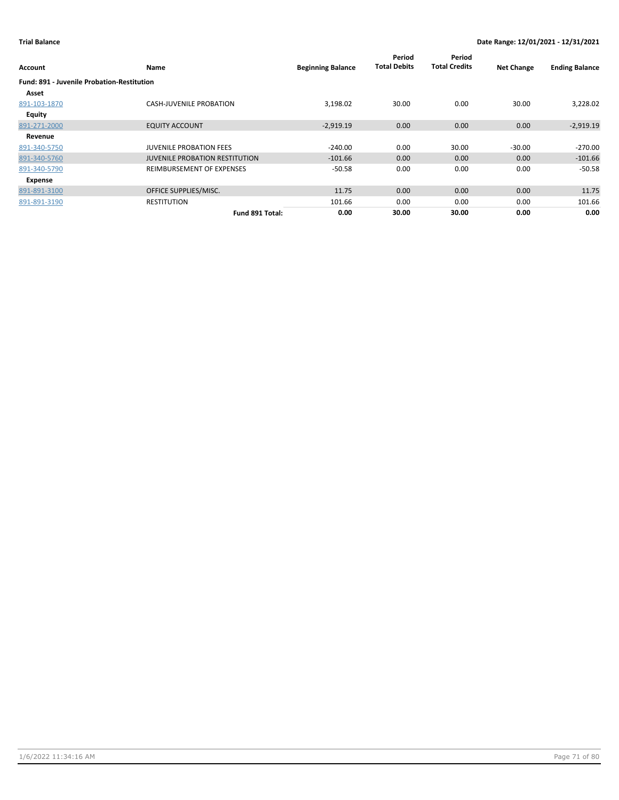| Account                                           | Name                                  | <b>Beginning Balance</b> | Period<br><b>Total Debits</b> | Period<br><b>Total Credits</b> | <b>Net Change</b> | <b>Ending Balance</b> |
|---------------------------------------------------|---------------------------------------|--------------------------|-------------------------------|--------------------------------|-------------------|-----------------------|
| <b>Fund: 891 - Juvenile Probation-Restitution</b> |                                       |                          |                               |                                |                   |                       |
| Asset                                             |                                       |                          |                               |                                |                   |                       |
| 891-103-1870                                      | <b>CASH-JUVENILE PROBATION</b>        | 3,198.02                 | 30.00                         | 0.00                           | 30.00             | 3,228.02              |
| Equity                                            |                                       |                          |                               |                                |                   |                       |
| 891-271-2000                                      | <b>EQUITY ACCOUNT</b>                 | $-2,919.19$              | 0.00 <sub>1</sub>             | 0.00                           | 0.00              | $-2,919.19$           |
| Revenue                                           |                                       |                          |                               |                                |                   |                       |
| 891-340-5750                                      | <b>JUVENILE PROBATION FEES</b>        | $-240.00$                | 0.00                          | 30.00                          | $-30.00$          | $-270.00$             |
| 891-340-5760                                      | <b>JUVENILE PROBATION RESTITUTION</b> | $-101.66$                | 0.00                          | 0.00                           | 0.00              | $-101.66$             |
| 891-340-5790                                      | REIMBURSEMENT OF EXPENSES             | $-50.58$                 | 0.00                          | 0.00                           | 0.00              | $-50.58$              |
| Expense                                           |                                       |                          |                               |                                |                   |                       |
| 891-891-3100                                      | OFFICE SUPPLIES/MISC.                 | 11.75                    | 0.00                          | 0.00                           | 0.00              | 11.75                 |
| 891-891-3190                                      | <b>RESTITUTION</b>                    | 101.66                   | 0.00                          | 0.00                           | 0.00              | 101.66                |
|                                                   | Fund 891 Total:                       | 0.00                     | 30.00                         | 30.00                          | 0.00              | 0.00                  |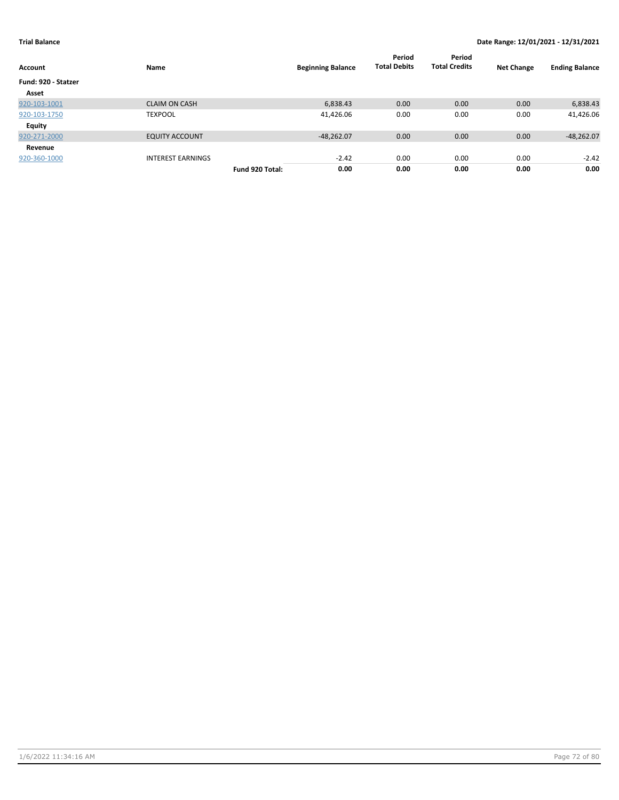| Account             | Name                     |                 | <b>Beginning Balance</b> | Period<br><b>Total Debits</b> | Period<br><b>Total Credits</b> | <b>Net Change</b> | <b>Ending Balance</b> |
|---------------------|--------------------------|-----------------|--------------------------|-------------------------------|--------------------------------|-------------------|-----------------------|
| Fund: 920 - Statzer |                          |                 |                          |                               |                                |                   |                       |
| Asset               |                          |                 |                          |                               |                                |                   |                       |
| 920-103-1001        | <b>CLAIM ON CASH</b>     |                 | 6,838.43                 | 0.00                          | 0.00                           | 0.00              | 6,838.43              |
| 920-103-1750        | <b>TEXPOOL</b>           |                 | 41,426.06                | 0.00                          | 0.00                           | 0.00              | 41,426.06             |
| Equity              |                          |                 |                          |                               |                                |                   |                       |
| 920-271-2000        | <b>EQUITY ACCOUNT</b>    |                 | $-48,262.07$             | 0.00                          | 0.00                           | 0.00              | $-48,262.07$          |
| Revenue             |                          |                 |                          |                               |                                |                   |                       |
| 920-360-1000        | <b>INTEREST EARNINGS</b> |                 | $-2.42$                  | 0.00                          | 0.00                           | 0.00              | $-2.42$               |
|                     |                          | Fund 920 Total: | 0.00                     | 0.00                          | 0.00                           | 0.00              | 0.00                  |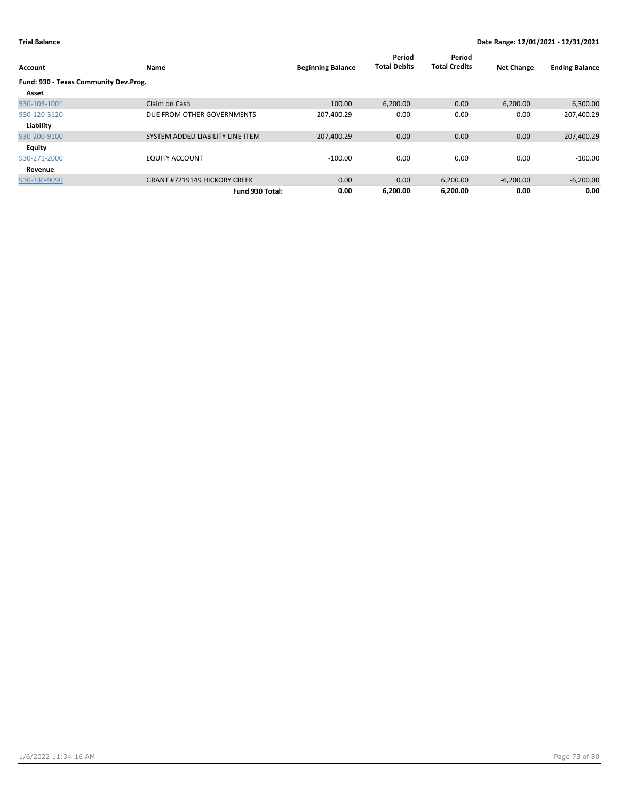| Account                               | Name                                | <b>Beginning Balance</b> | Period<br><b>Total Debits</b> | Period<br><b>Total Credits</b> | <b>Net Change</b> | <b>Ending Balance</b> |
|---------------------------------------|-------------------------------------|--------------------------|-------------------------------|--------------------------------|-------------------|-----------------------|
| Fund: 930 - Texas Community Dev.Prog. |                                     |                          |                               |                                |                   |                       |
| Asset                                 |                                     |                          |                               |                                |                   |                       |
| 930-103-1001                          | Claim on Cash                       | 100.00                   | 6,200.00                      | 0.00                           | 6,200.00          | 6,300.00              |
| 930-120-3120                          | DUE FROM OTHER GOVERNMENTS          | 207,400.29               | 0.00                          | 0.00                           | 0.00              | 207,400.29            |
| Liability                             |                                     |                          |                               |                                |                   |                       |
| 930-200-9100                          | SYSTEM ADDED LIABILITY LINE-ITEM    | $-207,400.29$            | 0.00                          | 0.00                           | 0.00              | $-207,400.29$         |
| <b>Equity</b>                         |                                     |                          |                               |                                |                   |                       |
| 930-271-2000                          | <b>EQUITY ACCOUNT</b>               | $-100.00$                | 0.00                          | 0.00                           | 0.00              | $-100.00$             |
| Revenue                               |                                     |                          |                               |                                |                   |                       |
| 930-330-9090                          | <b>GRANT #7219149 HICKORY CREEK</b> | 0.00                     | 0.00                          | 6,200.00                       | $-6,200.00$       | $-6,200.00$           |
|                                       | Fund 930 Total:                     | 0.00                     | 6.200.00                      | 6.200.00                       | 0.00              | 0.00                  |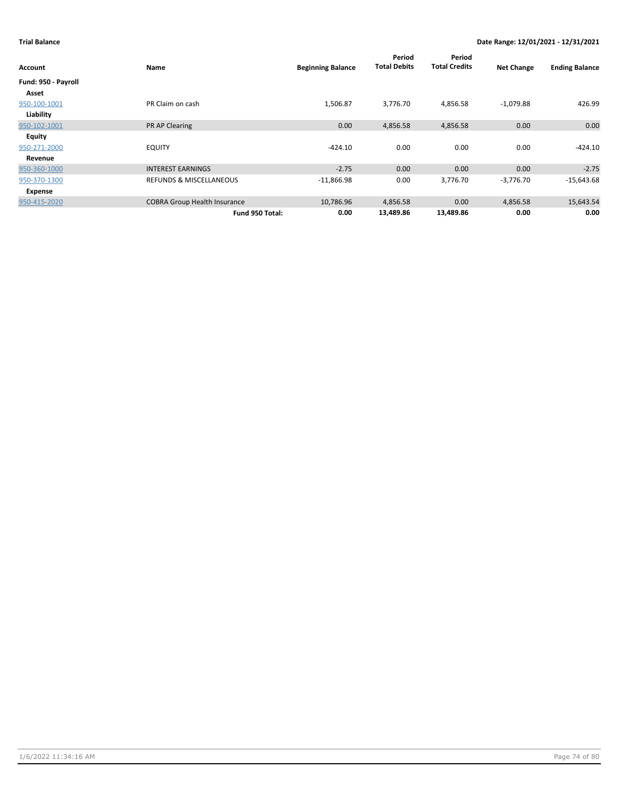## **Trial Balance Date Range: 12/01/2021 - 12/31/2021**

| Account             | Name                                | <b>Beginning Balance</b> | Period<br><b>Total Debits</b> | Period<br><b>Total Credits</b> | <b>Net Change</b> | <b>Ending Balance</b> |
|---------------------|-------------------------------------|--------------------------|-------------------------------|--------------------------------|-------------------|-----------------------|
| Fund: 950 - Payroll |                                     |                          |                               |                                |                   |                       |
| Asset               |                                     |                          |                               |                                |                   |                       |
| 950-100-1001        | PR Claim on cash                    | 1,506.87                 | 3,776.70                      | 4,856.58                       | $-1,079.88$       | 426.99                |
| Liability           |                                     |                          |                               |                                |                   |                       |
| 950-102-1001        | PR AP Clearing                      | 0.00                     | 4,856.58                      | 4,856.58                       | 0.00              | 0.00                  |
| Equity              |                                     |                          |                               |                                |                   |                       |
| 950-271-2000        | <b>EQUITY</b>                       | $-424.10$                | 0.00                          | 0.00                           | 0.00              | $-424.10$             |
| Revenue             |                                     |                          |                               |                                |                   |                       |
| 950-360-1000        | <b>INTEREST EARNINGS</b>            | $-2.75$                  | 0.00                          | 0.00                           | 0.00              | $-2.75$               |
| 950-370-1300        | REFUNDS & MISCELLANEOUS             | $-11,866.98$             | 0.00                          | 3,776.70                       | $-3,776.70$       | $-15,643.68$          |
| Expense             |                                     |                          |                               |                                |                   |                       |
| 950-415-2020        | <b>COBRA Group Health Insurance</b> | 10,786.96                | 4,856.58                      | 0.00                           | 4,856.58          | 15,643.54             |
|                     | Fund 950 Total:                     | 0.00                     | 13,489.86                     | 13,489.86                      | 0.00              | 0.00                  |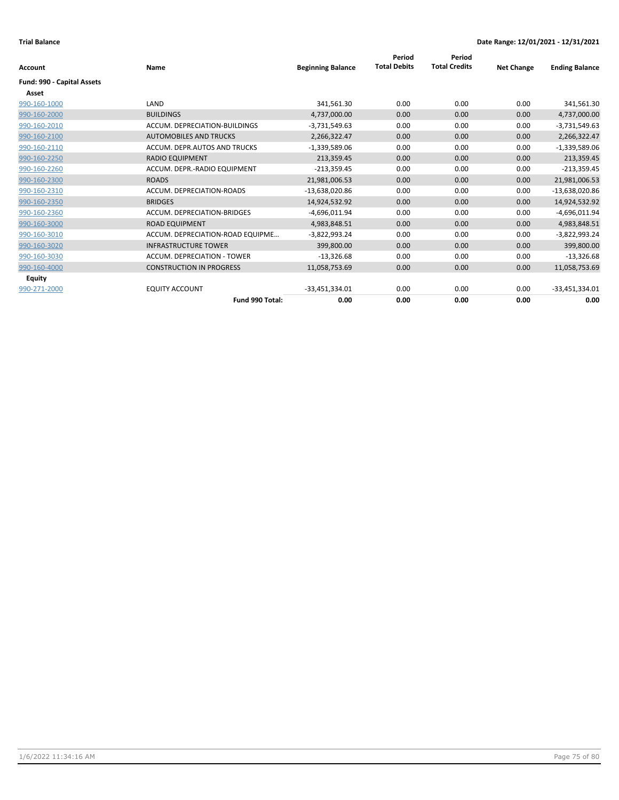| <b>Account</b>             | <b>Name</b>                      | <b>Beginning Balance</b> | Period<br><b>Total Debits</b> | Period<br><b>Total Credits</b> | <b>Net Change</b> | <b>Ending Balance</b> |
|----------------------------|----------------------------------|--------------------------|-------------------------------|--------------------------------|-------------------|-----------------------|
|                            |                                  |                          |                               |                                |                   |                       |
| Fund: 990 - Capital Assets |                                  |                          |                               |                                |                   |                       |
| Asset                      |                                  |                          |                               |                                |                   |                       |
| 990-160-1000               | LAND                             | 341,561.30               | 0.00                          | 0.00                           | 0.00              | 341,561.30            |
| 990-160-2000               | <b>BUILDINGS</b>                 | 4,737,000.00             | 0.00                          | 0.00                           | 0.00              | 4,737,000.00          |
| 990-160-2010               | ACCUM. DEPRECIATION-BUILDINGS    | $-3,731,549.63$          | 0.00                          | 0.00                           | 0.00              | $-3,731,549.63$       |
| 990-160-2100               | <b>AUTOMOBILES AND TRUCKS</b>    | 2,266,322.47             | 0.00                          | 0.00                           | 0.00              | 2,266,322.47          |
| 990-160-2110               | ACCUM. DEPR.AUTOS AND TRUCKS     | $-1,339,589.06$          | 0.00                          | 0.00                           | 0.00              | $-1,339,589.06$       |
| 990-160-2250               | <b>RADIO EQUIPMENT</b>           | 213,359.45               | 0.00                          | 0.00                           | 0.00              | 213,359.45            |
| 990-160-2260               | ACCUM. DEPR.-RADIO EQUIPMENT     | $-213,359.45$            | 0.00                          | 0.00                           | 0.00              | $-213,359.45$         |
| 990-160-2300               | <b>ROADS</b>                     | 21,981,006.53            | 0.00                          | 0.00                           | 0.00              | 21,981,006.53         |
| 990-160-2310               | ACCUM. DEPRECIATION-ROADS        | -13,638,020.86           | 0.00                          | 0.00                           | 0.00              | $-13,638,020.86$      |
| 990-160-2350               | <b>BRIDGES</b>                   | 14,924,532.92            | 0.00                          | 0.00                           | 0.00              | 14,924,532.92         |
| 990-160-2360               | ACCUM. DEPRECIATION-BRIDGES      | $-4,696,011.94$          | 0.00                          | 0.00                           | 0.00              | $-4,696,011.94$       |
| 990-160-3000               | <b>ROAD EQUIPMENT</b>            | 4,983,848.51             | 0.00                          | 0.00                           | 0.00              | 4,983,848.51          |
| 990-160-3010               | ACCUM. DEPRECIATION-ROAD EQUIPME | $-3,822,993.24$          | 0.00                          | 0.00                           | 0.00              | $-3,822,993.24$       |
| 990-160-3020               | <b>INFRASTRUCTURE TOWER</b>      | 399,800.00               | 0.00                          | 0.00                           | 0.00              | 399,800.00            |
| 990-160-3030               | ACCUM. DEPRECIATION - TOWER      | $-13,326.68$             | 0.00                          | 0.00                           | 0.00              | $-13,326.68$          |
| 990-160-4000               | <b>CONSTRUCTION IN PROGRESS</b>  | 11,058,753.69            | 0.00                          | 0.00                           | 0.00              | 11,058,753.69         |
| Equity                     |                                  |                          |                               |                                |                   |                       |
| 990-271-2000               | <b>EQUITY ACCOUNT</b>            | -33,451,334.01           | 0.00                          | 0.00                           | 0.00              | $-33,451,334.01$      |
|                            | Fund 990 Total:                  | 0.00                     | 0.00                          | 0.00                           | 0.00              | 0.00                  |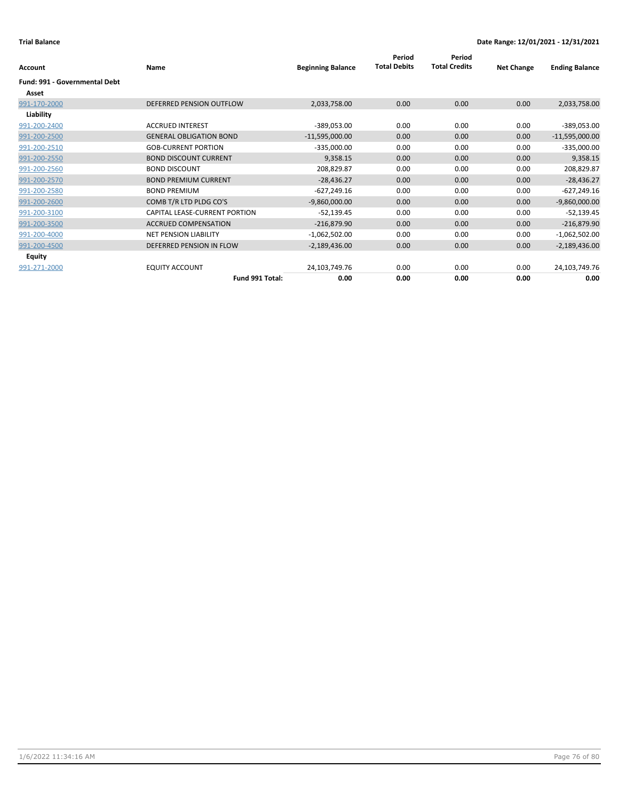## **Trial Balance Date Range: 12/01/2021 - 12/31/2021**

| Account                              | Name                           | <b>Beginning Balance</b> | Period<br><b>Total Debits</b> | Period<br><b>Total Credits</b> | <b>Net Change</b> | <b>Ending Balance</b> |
|--------------------------------------|--------------------------------|--------------------------|-------------------------------|--------------------------------|-------------------|-----------------------|
| <b>Fund: 991 - Governmental Debt</b> |                                |                          |                               |                                |                   |                       |
| Asset                                |                                |                          |                               |                                |                   |                       |
| 991-170-2000                         | DEFERRED PENSION OUTFLOW       | 2,033,758.00             | 0.00                          | 0.00                           | 0.00              | 2,033,758.00          |
| Liability                            |                                |                          |                               |                                |                   |                       |
| 991-200-2400                         | <b>ACCRUED INTEREST</b>        | $-389,053.00$            | 0.00                          | 0.00                           | 0.00              | -389,053.00           |
| 991-200-2500                         | <b>GENERAL OBLIGATION BOND</b> | $-11,595,000.00$         | 0.00                          | 0.00                           | 0.00              | $-11,595,000.00$      |
| 991-200-2510                         | <b>GOB-CURRENT PORTION</b>     | $-335,000.00$            | 0.00                          | 0.00                           | 0.00              | $-335,000.00$         |
| 991-200-2550                         | <b>BOND DISCOUNT CURRENT</b>   | 9,358.15                 | 0.00                          | 0.00                           | 0.00              | 9,358.15              |
| 991-200-2560                         | <b>BOND DISCOUNT</b>           | 208,829.87               | 0.00                          | 0.00                           | 0.00              | 208,829.87            |
| 991-200-2570                         | <b>BOND PREMIUM CURRENT</b>    | $-28,436.27$             | 0.00                          | 0.00                           | 0.00              | $-28,436.27$          |
| 991-200-2580                         | <b>BOND PREMIUM</b>            | $-627,249.16$            | 0.00                          | 0.00                           | 0.00              | $-627,249.16$         |
| 991-200-2600                         | COMB T/R LTD PLDG CO'S         | $-9,860,000.00$          | 0.00                          | 0.00                           | 0.00              | $-9,860,000.00$       |
| 991-200-3100                         | CAPITAL LEASE-CURRENT PORTION  | $-52,139.45$             | 0.00                          | 0.00                           | 0.00              | $-52,139.45$          |
| 991-200-3500                         | <b>ACCRUED COMPENSATION</b>    | $-216,879.90$            | 0.00                          | 0.00                           | 0.00              | $-216,879.90$         |
| 991-200-4000                         | <b>NET PENSION LIABILITY</b>   | $-1,062,502.00$          | 0.00                          | 0.00                           | 0.00              | $-1,062,502.00$       |
| 991-200-4500                         | DEFERRED PENSION IN FLOW       | $-2,189,436.00$          | 0.00                          | 0.00                           | 0.00              | $-2,189,436.00$       |
| Equity                               |                                |                          |                               |                                |                   |                       |
| 991-271-2000                         | <b>EQUITY ACCOUNT</b>          | 24,103,749.76            | 0.00                          | 0.00                           | 0.00              | 24,103,749.76         |
|                                      | Fund 991 Total:                | 0.00                     | 0.00                          | 0.00                           | 0.00              | 0.00                  |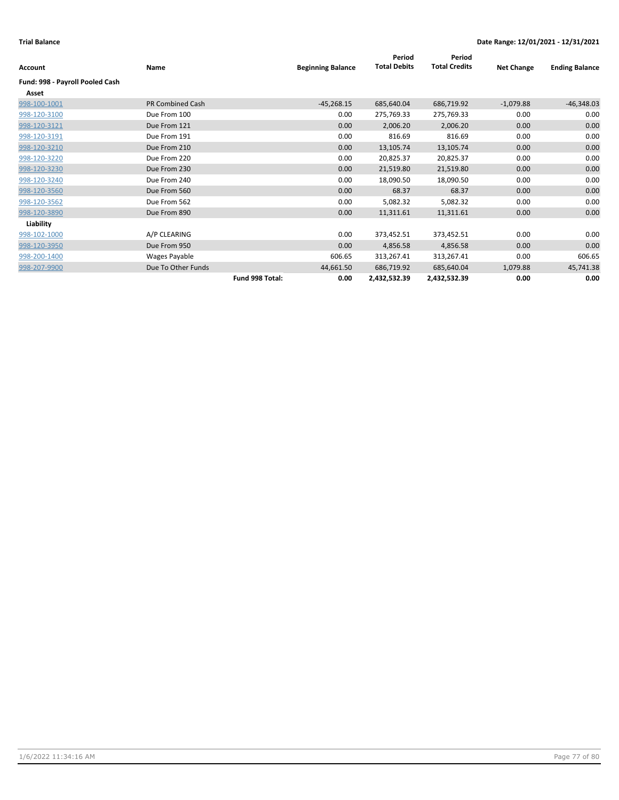| Account                         | Name                    |                 | <b>Beginning Balance</b> | Period<br><b>Total Debits</b> | Period<br><b>Total Credits</b> | <b>Net Change</b> | <b>Ending Balance</b> |
|---------------------------------|-------------------------|-----------------|--------------------------|-------------------------------|--------------------------------|-------------------|-----------------------|
| Fund: 998 - Payroll Pooled Cash |                         |                 |                          |                               |                                |                   |                       |
| Asset                           |                         |                 |                          |                               |                                |                   |                       |
| 998-100-1001                    | <b>PR Combined Cash</b> |                 | $-45,268.15$             | 685,640.04                    | 686,719.92                     | $-1,079.88$       | $-46,348.03$          |
| 998-120-3100                    | Due From 100            |                 | 0.00                     | 275,769.33                    | 275,769.33                     | 0.00              | 0.00                  |
| 998-120-3121                    | Due From 121            |                 | 0.00                     | 2,006.20                      | 2,006.20                       | 0.00              | 0.00                  |
| 998-120-3191                    | Due From 191            |                 | 0.00                     | 816.69                        | 816.69                         | 0.00              | 0.00                  |
| 998-120-3210                    | Due From 210            |                 | 0.00                     | 13,105.74                     | 13,105.74                      | 0.00              | 0.00                  |
| 998-120-3220                    | Due From 220            |                 | 0.00                     | 20,825.37                     | 20,825.37                      | 0.00              | 0.00                  |
| 998-120-3230                    | Due From 230            |                 | 0.00                     | 21,519.80                     | 21,519.80                      | 0.00              | 0.00                  |
| 998-120-3240                    | Due From 240            |                 | 0.00                     | 18,090.50                     | 18,090.50                      | 0.00              | 0.00                  |
| 998-120-3560                    | Due From 560            |                 | 0.00                     | 68.37                         | 68.37                          | 0.00              | 0.00                  |
| 998-120-3562                    | Due From 562            |                 | 0.00                     | 5,082.32                      | 5,082.32                       | 0.00              | 0.00                  |
| 998-120-3890                    | Due From 890            |                 | 0.00                     | 11,311.61                     | 11,311.61                      | 0.00              | 0.00                  |
| Liability                       |                         |                 |                          |                               |                                |                   |                       |
| 998-102-1000                    | A/P CLEARING            |                 | 0.00                     | 373,452.51                    | 373,452.51                     | 0.00              | 0.00                  |
| 998-120-3950                    | Due From 950            |                 | 0.00                     | 4,856.58                      | 4,856.58                       | 0.00              | 0.00                  |
| 998-200-1400                    | Wages Payable           |                 | 606.65                   | 313,267.41                    | 313,267.41                     | 0.00              | 606.65                |
| 998-207-9900                    | Due To Other Funds      |                 | 44,661.50                | 686,719.92                    | 685,640.04                     | 1,079.88          | 45,741.38             |
|                                 |                         | Fund 998 Total: | 0.00                     | 2,432,532.39                  | 2,432,532.39                   | 0.00              | 0.00                  |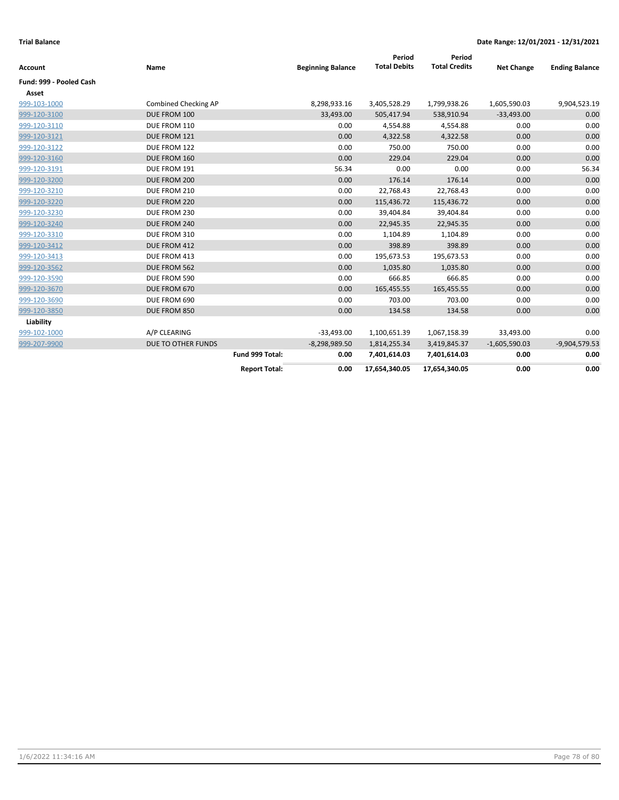| <b>Account</b>          | Name                 |                      | <b>Beginning Balance</b> | Period<br><b>Total Debits</b> | Period<br><b>Total Credits</b> | <b>Net Change</b> | <b>Ending Balance</b> |
|-------------------------|----------------------|----------------------|--------------------------|-------------------------------|--------------------------------|-------------------|-----------------------|
| Fund: 999 - Pooled Cash |                      |                      |                          |                               |                                |                   |                       |
| Asset                   |                      |                      |                          |                               |                                |                   |                       |
| 999-103-1000            | Combined Checking AP |                      | 8,298,933.16             | 3,405,528.29                  | 1,799,938.26                   | 1,605,590.03      | 9,904,523.19          |
| 999-120-3100            | DUE FROM 100         |                      | 33,493.00                | 505,417.94                    | 538,910.94                     | $-33,493.00$      | 0.00                  |
| 999-120-3110            | DUE FROM 110         |                      | 0.00                     | 4,554.88                      | 4,554.88                       | 0.00              | 0.00                  |
| 999-120-3121            | DUE FROM 121         |                      | 0.00                     | 4,322.58                      | 4,322.58                       | 0.00              | 0.00                  |
| 999-120-3122            | DUE FROM 122         |                      | 0.00                     | 750.00                        | 750.00                         | 0.00              | 0.00                  |
| 999-120-3160            | DUE FROM 160         |                      | 0.00                     | 229.04                        | 229.04                         | 0.00              | 0.00                  |
| 999-120-3191            | DUE FROM 191         |                      | 56.34                    | 0.00                          | 0.00                           | 0.00              | 56.34                 |
| 999-120-3200            | DUE FROM 200         |                      | 0.00                     | 176.14                        | 176.14                         | 0.00              | 0.00                  |
| 999-120-3210            | DUE FROM 210         |                      | 0.00                     | 22,768.43                     | 22,768.43                      | 0.00              | 0.00                  |
| 999-120-3220            | DUE FROM 220         |                      | 0.00                     | 115,436.72                    | 115,436.72                     | 0.00              | 0.00                  |
| 999-120-3230            | DUE FROM 230         |                      | 0.00                     | 39,404.84                     | 39,404.84                      | 0.00              | 0.00                  |
| 999-120-3240            | DUE FROM 240         |                      | 0.00                     | 22,945.35                     | 22,945.35                      | 0.00              | 0.00                  |
| 999-120-3310            | DUE FROM 310         |                      | 0.00                     | 1,104.89                      | 1,104.89                       | 0.00              | 0.00                  |
| 999-120-3412            | DUE FROM 412         |                      | 0.00                     | 398.89                        | 398.89                         | 0.00              | 0.00                  |
| 999-120-3413            | DUE FROM 413         |                      | 0.00                     | 195,673.53                    | 195,673.53                     | 0.00              | 0.00                  |
| 999-120-3562            | DUE FROM 562         |                      | 0.00                     | 1,035.80                      | 1,035.80                       | 0.00              | 0.00                  |
| 999-120-3590            | DUE FROM 590         |                      | 0.00                     | 666.85                        | 666.85                         | 0.00              | 0.00                  |
| 999-120-3670            | DUE FROM 670         |                      | 0.00                     | 165,455.55                    | 165,455.55                     | 0.00              | 0.00                  |
| 999-120-3690            | DUE FROM 690         |                      | 0.00                     | 703.00                        | 703.00                         | 0.00              | 0.00                  |
| 999-120-3850            | DUE FROM 850         |                      | 0.00                     | 134.58                        | 134.58                         | 0.00              | 0.00                  |
| Liability               |                      |                      |                          |                               |                                |                   |                       |
| 999-102-1000            | A/P CLEARING         |                      | $-33,493.00$             | 1,100,651.39                  | 1,067,158.39                   | 33,493.00         | 0.00                  |
| 999-207-9900            | DUE TO OTHER FUNDS   |                      | $-8,298,989.50$          | 1,814,255.34                  | 3,419,845.37                   | $-1,605,590.03$   | $-9,904,579.53$       |
|                         |                      | Fund 999 Total:      | 0.00                     | 7,401,614.03                  | 7,401,614.03                   | 0.00              | 0.00                  |
|                         |                      | <b>Report Total:</b> | 0.00                     | 17,654,340.05                 | 17,654,340.05                  | 0.00              | 0.00                  |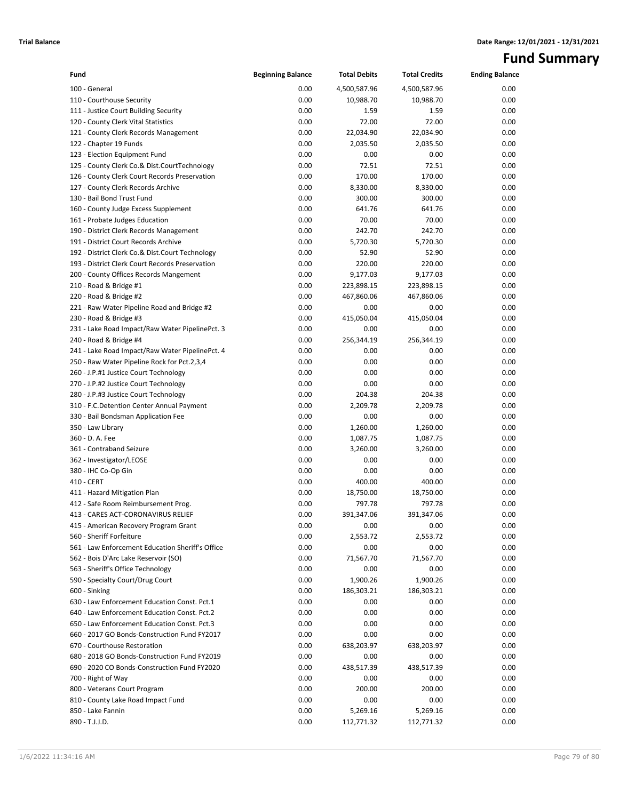# **Fund Summary**

| Fund                                                                               | <b>Beginning Balance</b> | <b>Total Debits</b> | <b>Total Credits</b> | <b>Ending Balance</b> |
|------------------------------------------------------------------------------------|--------------------------|---------------------|----------------------|-----------------------|
| 100 - General                                                                      | 0.00                     | 4,500,587.96        | 4,500,587.96         | 0.00                  |
| 110 - Courthouse Security                                                          | 0.00                     | 10,988.70           | 10,988.70            | 0.00                  |
| 111 - Justice Court Building Security                                              | 0.00                     | 1.59                | 1.59                 | 0.00                  |
| 120 - County Clerk Vital Statistics                                                | 0.00                     | 72.00               | 72.00                | 0.00                  |
| 121 - County Clerk Records Management                                              | 0.00                     | 22,034.90           | 22,034.90            | 0.00                  |
| 122 - Chapter 19 Funds                                                             | 0.00                     | 2,035.50            | 2,035.50             | 0.00                  |
| 123 - Election Equipment Fund                                                      | 0.00                     | 0.00                | 0.00                 | 0.00                  |
| 125 - County Clerk Co.& Dist.CourtTechnology                                       | 0.00                     | 72.51               | 72.51                | 0.00                  |
| 126 - County Clerk Court Records Preservation                                      | 0.00                     | 170.00              | 170.00               | 0.00                  |
| 127 - County Clerk Records Archive                                                 | 0.00                     | 8,330.00            | 8,330.00             | 0.00                  |
| 130 - Bail Bond Trust Fund                                                         | 0.00                     | 300.00              | 300.00               | 0.00                  |
| 160 - County Judge Excess Supplement                                               | 0.00                     | 641.76              | 641.76               | 0.00                  |
| 161 - Probate Judges Education                                                     | 0.00                     | 70.00               | 70.00                | 0.00                  |
| 190 - District Clerk Records Management                                            | 0.00                     | 242.70              | 242.70               | 0.00                  |
| 191 - District Court Records Archive                                               | 0.00                     | 5,720.30            | 5,720.30             | 0.00                  |
| 192 - District Clerk Co.& Dist.Court Technology                                    | 0.00                     | 52.90               | 52.90                | 0.00                  |
| 193 - District Clerk Court Records Preservation                                    | 0.00                     | 220.00              | 220.00               | 0.00                  |
| 200 - County Offices Records Mangement                                             | 0.00                     | 9,177.03            | 9,177.03             | 0.00                  |
| 210 - Road & Bridge #1                                                             | 0.00                     | 223,898.15          | 223,898.15           | 0.00                  |
| 220 - Road & Bridge #2                                                             | 0.00                     | 467,860.06          | 467,860.06           | 0.00                  |
| 221 - Raw Water Pipeline Road and Bridge #2                                        | 0.00                     | 0.00                | 0.00                 | 0.00                  |
| 230 - Road & Bridge #3                                                             | 0.00                     | 415,050.04          | 415,050.04           | 0.00                  |
| 231 - Lake Road Impact/Raw Water PipelinePct. 3                                    | 0.00                     | 0.00                | 0.00                 | 0.00                  |
| 240 - Road & Bridge #4                                                             | 0.00                     | 256,344.19          | 256,344.19           | 0.00                  |
| 241 - Lake Road Impact/Raw Water PipelinePct. 4                                    | 0.00                     | 0.00                | 0.00                 | 0.00                  |
| 250 - Raw Water Pipeline Rock for Pct.2,3,4                                        | 0.00                     | 0.00                | 0.00                 | 0.00                  |
| 260 - J.P.#1 Justice Court Technology                                              | 0.00                     | 0.00                | 0.00<br>0.00         | 0.00<br>0.00          |
| 270 - J.P.#2 Justice Court Technology                                              | 0.00<br>0.00             | 0.00<br>204.38      | 204.38               | 0.00                  |
| 280 - J.P.#3 Justice Court Technology<br>310 - F.C.Detention Center Annual Payment | 0.00                     | 2,209.78            | 2,209.78             | 0.00                  |
| 330 - Bail Bondsman Application Fee                                                | 0.00                     | 0.00                | 0.00                 | 0.00                  |
| 350 - Law Library                                                                  | 0.00                     | 1,260.00            | 1,260.00             | 0.00                  |
| 360 - D. A. Fee                                                                    | 0.00                     | 1,087.75            | 1,087.75             | 0.00                  |
| 361 - Contraband Seizure                                                           | 0.00                     | 3,260.00            | 3,260.00             | 0.00                  |
| 362 - Investigator/LEOSE                                                           | 0.00                     | 0.00                | 0.00                 | 0.00                  |
| 380 - IHC Co-Op Gin                                                                | 0.00                     | 0.00                | 0.00                 | 0.00                  |
| 410 - CERT                                                                         | 0.00                     | 400.00              | 400.00               | 0.00                  |
| 411 - Hazard Mitigation Plan                                                       | 0.00                     | 18,750.00           | 18,750.00            | 0.00                  |
| 412 - Safe Room Reimbursement Prog.                                                | 0.00                     | 797.78              | 797.78               | 0.00                  |
| 413 - CARES ACT-CORONAVIRUS RELIEF                                                 | 0.00                     | 391,347.06          | 391,347.06           | 0.00                  |
| 415 - American Recovery Program Grant                                              | 0.00                     | 0.00                | 0.00                 | 0.00                  |
| 560 - Sheriff Forfeiture                                                           | 0.00                     | 2,553.72            | 2,553.72             | 0.00                  |
| 561 - Law Enforcement Education Sheriff's Office                                   | 0.00                     | 0.00                | 0.00                 | 0.00                  |
| 562 - Bois D'Arc Lake Reservoir (SO)                                               | 0.00                     | 71,567.70           | 71,567.70            | 0.00                  |
| 563 - Sheriff's Office Technology                                                  | 0.00                     | 0.00                | 0.00                 | 0.00                  |
| 590 - Specialty Court/Drug Court                                                   | 0.00                     | 1,900.26            | 1,900.26             | 0.00                  |
| 600 - Sinking                                                                      | 0.00                     | 186,303.21          | 186,303.21           | 0.00                  |
| 630 - Law Enforcement Education Const. Pct.1                                       | 0.00                     | 0.00                | 0.00                 | 0.00                  |
| 640 - Law Enforcement Education Const. Pct.2                                       | 0.00                     | 0.00                | 0.00                 | 0.00                  |
| 650 - Law Enforcement Education Const. Pct.3                                       | 0.00                     | 0.00                | 0.00                 | 0.00                  |
| 660 - 2017 GO Bonds-Construction Fund FY2017                                       | 0.00                     | 0.00                | 0.00                 | 0.00                  |
| 670 - Courthouse Restoration                                                       | 0.00                     | 638,203.97          | 638,203.97           | 0.00                  |
| 680 - 2018 GO Bonds-Construction Fund FY2019                                       | 0.00                     | 0.00                | 0.00                 | 0.00                  |
| 690 - 2020 CO Bonds-Construction Fund FY2020                                       | 0.00                     | 438,517.39          | 438,517.39           | 0.00                  |
| 700 - Right of Way                                                                 | 0.00                     | 0.00                | 0.00                 | 0.00                  |
| 800 - Veterans Court Program                                                       | 0.00                     | 200.00              | 200.00               | 0.00                  |
| 810 - County Lake Road Impact Fund                                                 | 0.00                     | 0.00                | 0.00                 | 0.00                  |
| 850 - Lake Fannin                                                                  | 0.00                     | 5,269.16            | 5,269.16             | 0.00                  |
| 890 - T.J.J.D.                                                                     | 0.00                     | 112,771.32          | 112,771.32           | 0.00                  |